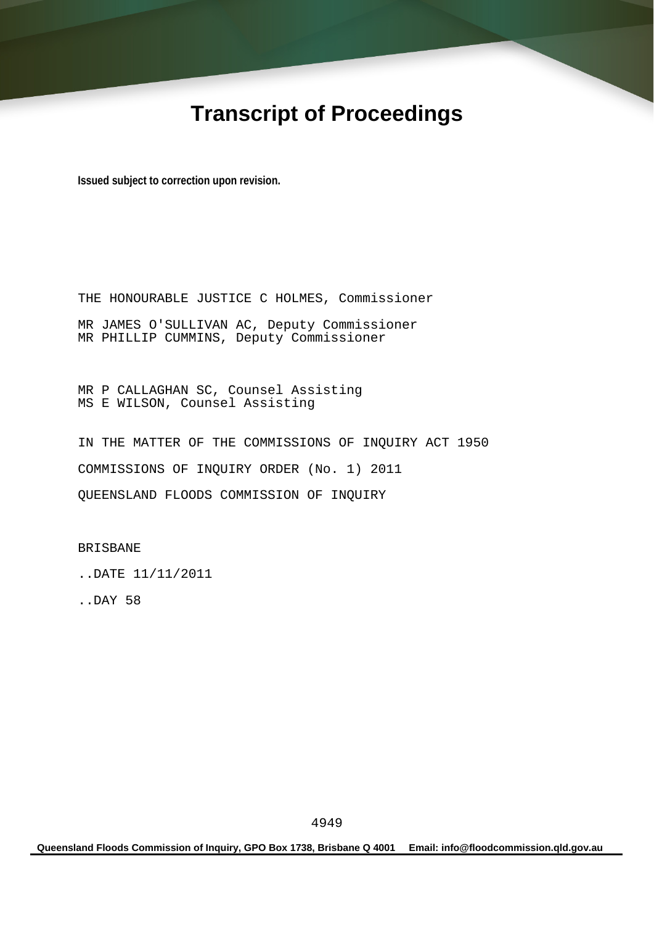## **Transcript of Proceedings**

**Issued subject to correction upon revision.** 

THE HONOURABLE JUSTICE C HOLMES, Commissioner MR JAMES O'SULLIVAN AC, Deputy Commissioner MR PHILLIP CUMMINS, Deputy Commissioner

MR P CALLAGHAN SC, Counsel Assisting MS E WILSON, Counsel Assisting

IN THE MATTER OF THE COMMISSIONS OF INQUIRY ACT 1950 COMMISSIONS OF INQUIRY ORDER (No. 1) 2011 QUEENSLAND FLOODS COMMISSION OF INQUIRY

BRISBANE

..DATE 11/11/2011

..DAY 58

**Queensland Floods Commission of Inquiry, GPO Box 1738, Brisbane Q 4001 Email: info@floodcommission.qld.gov.au**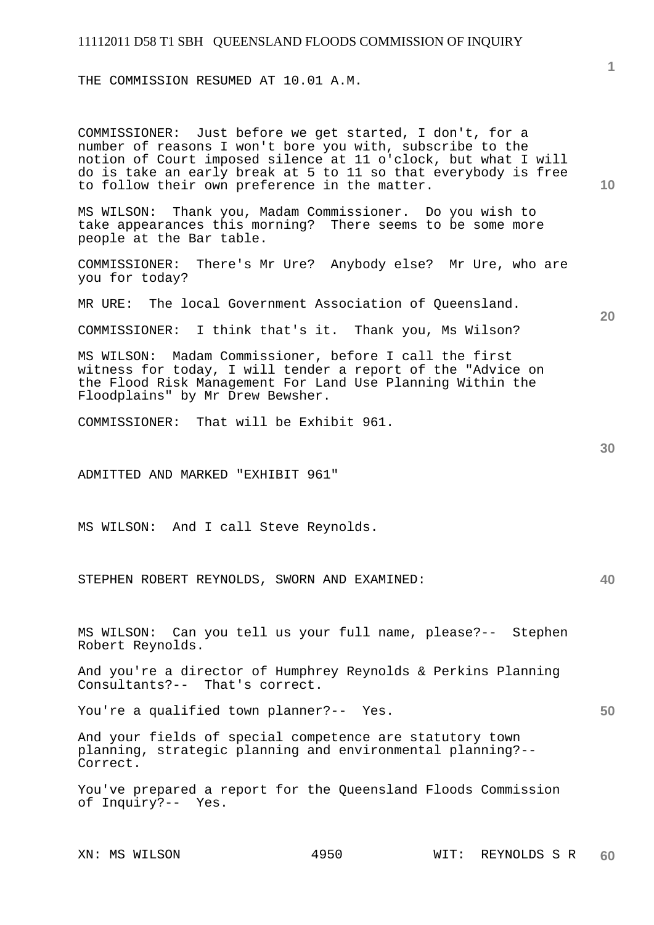THE COMMISSION RESUMED AT 10.01 A.M.

COMMISSIONER: Just before we get started, I don't, for a number of reasons I won't bore you with, subscribe to the notion of Court imposed silence at 11 o'clock, but what I will do is take an early break at 5 to 11 so that everybody is free to follow their own preference in the matter.

MS WILSON: Thank you, Madam Commissioner. Do you wish to take appearances this morning? There seems to be some more people at the Bar table.

COMMISSIONER: There's Mr Ure? Anybody else? Mr Ure, who are you for today?

MR URE: The local Government Association of Queensland.

COMMISSIONER: I think that's it. Thank you, Ms Wilson?

MS WILSON: Madam Commissioner, before I call the first witness for today, I will tender a report of the "Advice on the Flood Risk Management For Land Use Planning Within the Floodplains" by Mr Drew Bewsher.

COMMISSIONER: That will be Exhibit 961.

ADMITTED AND MARKED "EXHIBIT 961"

MS WILSON: And I call Steve Reynolds.

STEPHEN ROBERT REYNOLDS, SWORN AND EXAMINED:

MS WILSON: Can you tell us your full name, please?-- Stephen Robert Reynolds.

And you're a director of Humphrey Reynolds & Perkins Planning Consultants?-- That's correct.

You're a qualified town planner?-- Yes.

And your fields of special competence are statutory town planning, strategic planning and environmental planning?-- Correct.

You've prepared a report for the Queensland Floods Commission of Inquiry?-- Yes.

**10** 

**20** 

**1**

**40**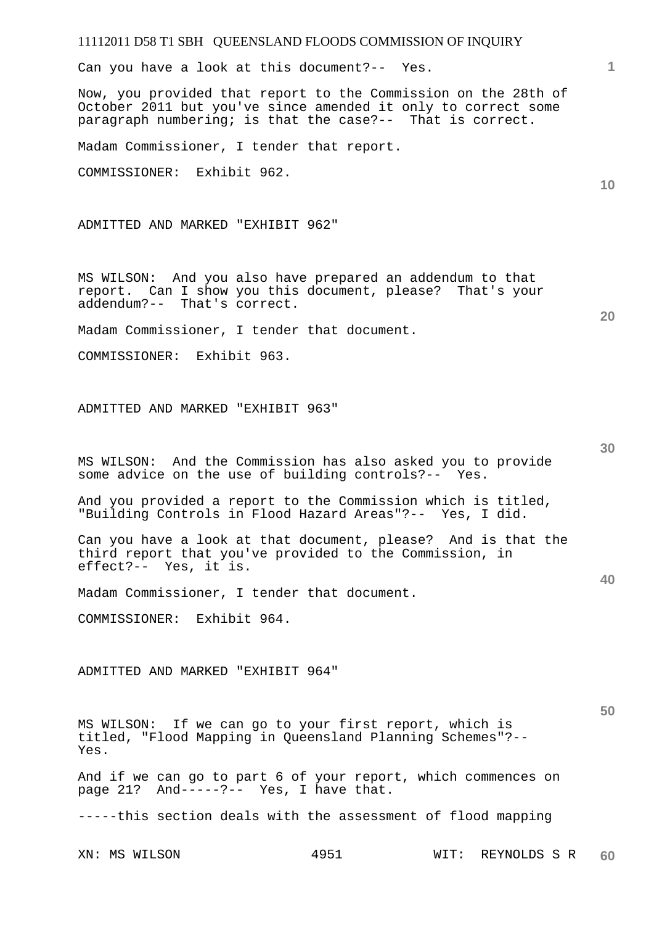Can you have a look at this document?-- Yes.

Now, you provided that report to the Commission on the 28th of October 2011 but you've since amended it only to correct some paragraph numbering; is that the case?-- That is correct.

Madam Commissioner, I tender that report.

COMMISSIONER: Exhibit 962.

ADMITTED AND MARKED "EXHIBIT 962"

MS WILSON: And you also have prepared an addendum to that report. Can I show you this document, please? That's your addendum?-- That's correct.

Madam Commissioner, I tender that document.

COMMISSIONER: Exhibit 963.

ADMITTED AND MARKED "EXHIBIT 963"

MS WILSON: And the Commission has also asked you to provide some advice on the use of building controls?-- Yes.

And you provided a report to the Commission which is titled, "Building Controls in Flood Hazard Areas"?-- Yes, I did.

Can you have a look at that document, please? And is that the third report that you've provided to the Commission, in effect?-- Yes, it is.

Madam Commissioner, I tender that document.

COMMISSIONER: Exhibit 964.

ADMITTED AND MARKED "EXHIBIT 964"

MS WILSON: If we can go to your first report, which is titled, "Flood Mapping in Queensland Planning Schemes"?-- Yes.

And if we can go to part 6 of your report, which commences on page 21? And-----?-- Yes, I have that.

-----this section deals with the assessment of flood mapping

XN: MS WILSON 4951 WIT: REYNOLDS S R **60** 

**30** 

**50** 

**40** 

**1**

**10**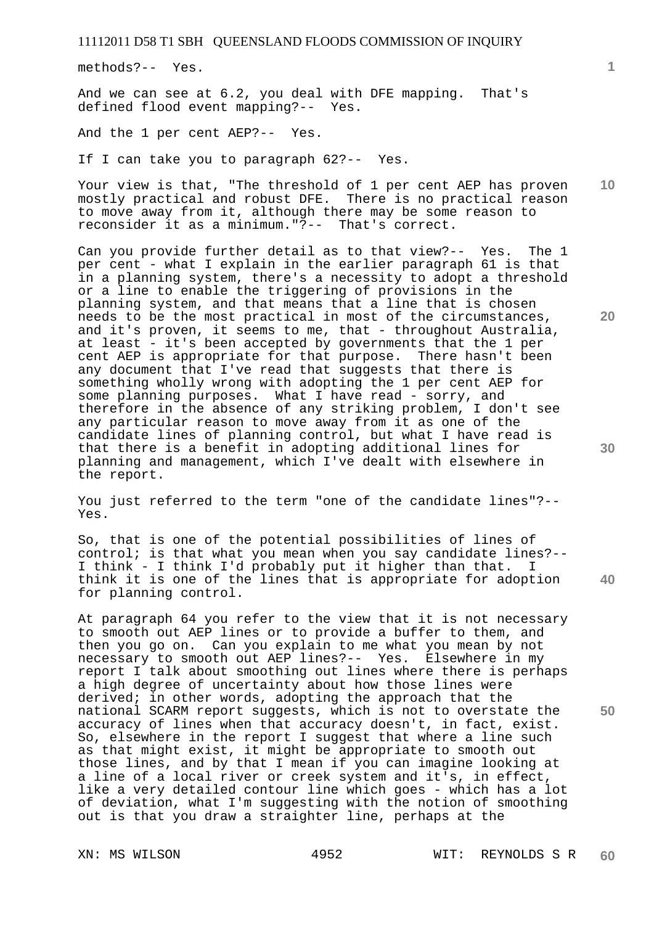methods?-- Yes.

And we can see at 6.2, you deal with DFE mapping. That's defined flood event mapping?-- Yes.

And the 1 per cent AEP?-- Yes.

If I can take you to paragraph 62?-- Yes.

**10**  Your view is that, "The threshold of 1 per cent AEP has proven mostly practical and robust DFE. There is no practical reason to move away from it, although there may be some reason to reconsider it as a minimum."?-- That's correct.

Can you provide further detail as to that view?-- Yes. The 1 per cent - what I explain in the earlier paragraph 61 is that in a planning system, there's a necessity to adopt a threshold or a line to enable the triggering of provisions in the planning system, and that means that a line that is chosen needs to be the most practical in most of the circumstances, and it's proven, it seems to me, that - throughout Australia, at least - it's been accepted by governments that the 1 per cent AEP is appropriate for that purpose. There hasn't been any document that I've read that suggests that there is something wholly wrong with adopting the 1 per cent AEP for some planning purposes. What I have read - sorry, and therefore in the absence of any striking problem, I don't see any particular reason to move away from it as one of the candidate lines of planning control, but what I have read is that there is a benefit in adopting additional lines for planning and management, which I've dealt with elsewhere in the report.

You just referred to the term "one of the candidate lines"?-- Yes.

So, that is one of the potential possibilities of lines of control; is that what you mean when you say candidate lines?-- I think - I think I'd probably put it higher than that. I think it is one of the lines that is appropriate for adoption for planning control.

At paragraph 64 you refer to the view that it is not necessary to smooth out AEP lines or to provide a buffer to them, and then you go on. Can you explain to me what you mean by not necessary to smooth out AEP lines?-- Yes. Elsewhere in my report I talk about smoothing out lines where there is perhaps a high degree of uncertainty about how those lines were derived; in other words, adopting the approach that the national SCARM report suggests, which is not to overstate the accuracy of lines when that accuracy doesn't, in fact, exist. So, elsewhere in the report I suggest that where a line such as that might exist, it might be appropriate to smooth out those lines, and by that I mean if you can imagine looking at a line of a local river or creek system and it's, in effect, like a very detailed contour line which goes - which has a lot of deviation, what I'm suggesting with the notion of smoothing out is that you draw a straighter line, perhaps at the

**20** 

**40**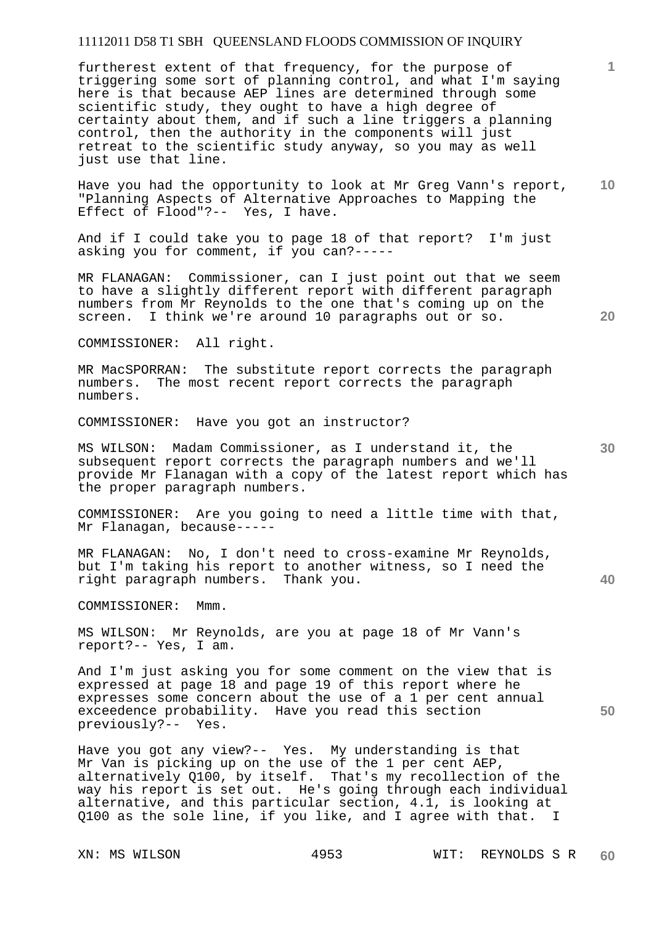furtherest extent of that frequency, for the purpose of triggering some sort of planning control, and what I'm saying here is that because AEP lines are determined through some scientific study, they ought to have a high degree of certainty about them, and if such a line triggers a planning control, then the authority in the components will just retreat to the scientific study anyway, so you may as well just use that line.

**10**  Have you had the opportunity to look at Mr Greg Vann's report, "Planning Aspects of Alternative Approaches to Mapping the Effect of Flood"?-- Yes, I have.

And if I could take you to page 18 of that report? I'm just asking you for comment, if you can?-----

MR FLANAGAN: Commissioner, can I just point out that we seem to have a slightly different report with different paragraph numbers from Mr Reynolds to the one that's coming up on the screen. I think we're around 10 paragraphs out or so.

COMMISSIONER: All right.

MR MacSPORRAN: The substitute report corrects the paragraph numbers. The most recent report corrects the paragraph numbers.

COMMISSIONER: Have you got an instructor?

MS WILSON: Madam Commissioner, as I understand it, the subsequent report corrects the paragraph numbers and we'll provide Mr Flanagan with a copy of the latest report which has the proper paragraph numbers.

COMMISSIONER: Are you going to need a little time with that, Mr Flanagan, because-----

MR FLANAGAN: No, I don't need to cross-examine Mr Reynolds, but I'm taking his report to another witness, so I need the right paragraph numbers. Thank you.

COMMISSIONER: Mmm.

MS WILSON: Mr Reynolds, are you at page 18 of Mr Vann's report?-- Yes, I am.

And I'm just asking you for some comment on the view that is expressed at page 18 and page 19 of this report where he expresses some concern about the use of a 1 per cent annual exceedence probability. Have you read this section previously?-- Yes.

Have you got any view?-- Yes. My understanding is that Mr Van is picking up on the use of the 1 per cent AEP, alternatively Q100, by itself. That's my recollection of the way his report is set out. He's going through each individual alternative, and this particular section, 4.1, is looking at Q100 as the sole line, if you like, and I agree with that. I

**20** 

**1**

**40**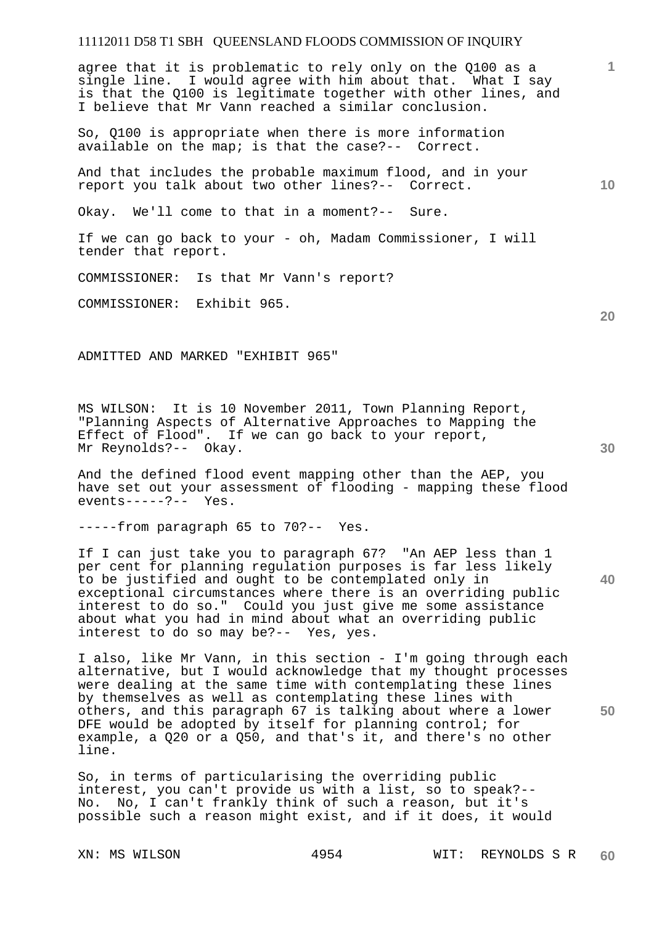agree that it is problematic to rely only on the Q100 as a single line. I would agree with him about that. What I say is that the Q100 is legitimate together with other lines, and I believe that Mr Vann reached a similar conclusion.

So, Q100 is appropriate when there is more information available on the map; is that the case?-- Correct.

And that includes the probable maximum flood, and in your report you talk about two other lines?-- Correct.

Okay. We'll come to that in a moment?-- Sure.

If we can go back to your - oh, Madam Commissioner, I will tender that report.

COMMISSIONER: Is that Mr Vann's report?

COMMISSIONER: Exhibit 965.

ADMITTED AND MARKED "EXHIBIT 965"

MS WILSON: It is 10 November 2011, Town Planning Report, "Planning Aspects of Alternative Approaches to Mapping the Effect of Flood". If we can go back to your report, Mr Reynolds?-- Okay.

And the defined flood event mapping other than the AEP, you have set out your assessment of flooding - mapping these flood  $events---?--$  Yes.

-----from paragraph 65 to 70?-- Yes.

If I can just take you to paragraph 67? "An AEP less than 1 per cent for planning regulation purposes is far less likely to be justified and ought to be contemplated only in exceptional circumstances where there is an overriding public interest to do so." Could you just give me some assistance about what you had in mind about what an overriding public interest to do so may be?-- Yes, yes.

I also, like Mr Vann, in this section - I'm going through each alternative, but I would acknowledge that my thought processes were dealing at the same time with contemplating these lines by themselves as well as contemplating these lines with others, and this paragraph 67 is talking about where a lower DFE would be adopted by itself for planning control; for example, a Q20 or a Q50, and that's it, and there's no other line.

So, in terms of particularising the overriding public interest, you can't provide us with a list, so to speak?-- No. No, I can't frankly think of such a reason, but it's possible such a reason might exist, and if it does, it would

**30** 

**40** 

**50** 

**20** 

**10**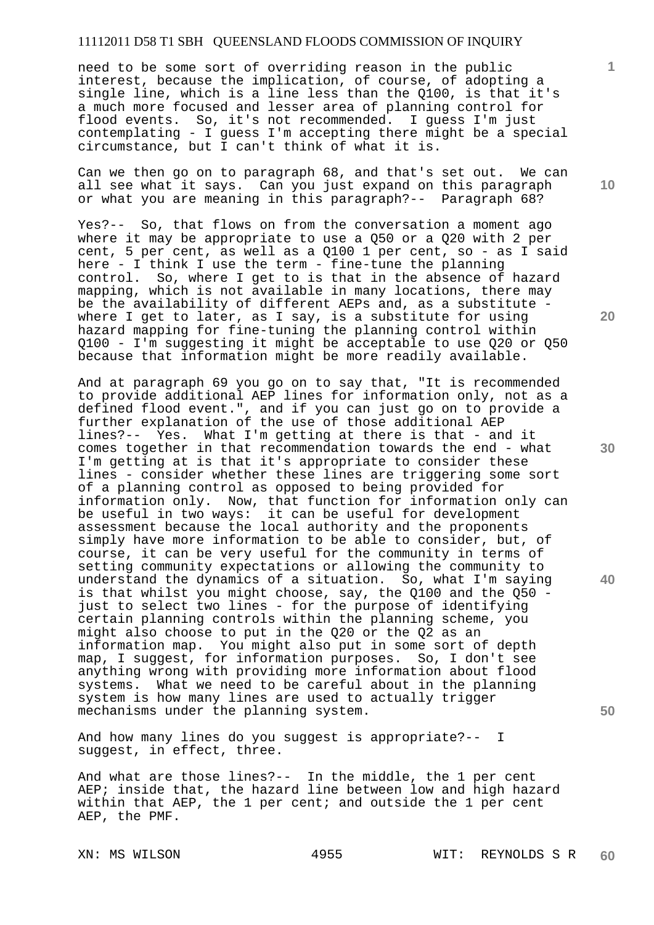need to be some sort of overriding reason in the public interest, because the implication, of course, of adopting a single line, which is a line less than the Q100, is that it's a much more focused and lesser area of planning control for flood events. So, it's not recommended. I guess I'm just contemplating - I guess I'm accepting there might be a special circumstance, but I can't think of what it is.

Can we then go on to paragraph 68, and that's set out. We can all see what it says. Can you just expand on this paragraph or what you are meaning in this paragraph?-- Paragraph 68?

Yes?-- So, that flows on from the conversation a moment ago where it may be appropriate to use a 050 or a 020 with 2 per cent, 5 per cent, as well as a Q100 1 per cent, so - as I said here - I think I use the term - fine-tune the planning control. So, where I get to is that in the absence of hazard mapping, which is not available in many locations, there may be the availability of different AEPs and, as a substitute where I get to later, as I say, is a substitute for using hazard mapping for fine-tuning the planning control within Q100 - I'm suggesting it might be acceptable to use Q20 or Q50 because that information might be more readily available.

And at paragraph 69 you go on to say that, "It is recommended to provide additional AEP lines for information only, not as a defined flood event.", and if you can just go on to provide a further explanation of the use of those additional AEP lines?-- Yes. What I'm getting at there is that - and it comes together in that recommendation towards the end - what I'm getting at is that it's appropriate to consider these lines - consider whether these lines are triggering some sort of a planning control as opposed to being provided for information only. Now, that function for information only can be useful in two ways: it can be useful for development assessment because the local authority and the proponents simply have more information to be able to consider, but, of course, it can be very useful for the community in terms of setting community expectations or allowing the community to understand the dynamics of a situation. So, what I'm saying is that whilst you might choose, say, the Q100 and the Q50 just to select two lines - for the purpose of identifying certain planning controls within the planning scheme, you might also choose to put in the Q20 or the Q2 as an information map. You might also put in some sort of depth map, I suggest, for information purposes. So, I don't see anything wrong with providing more information about flood systems. What we need to be careful about in the planning system is how many lines are used to actually trigger mechanisms under the planning system.

And how many lines do you suggest is appropriate?-- I suggest, in effect, three.

And what are those lines?-- In the middle, the 1 per cent AEP; inside that, the hazard line between low and high hazard within that AEP, the 1 per cent; and outside the 1 per cent AEP, the PMF.

**10** 

**1**

**20** 



**30** 

**40**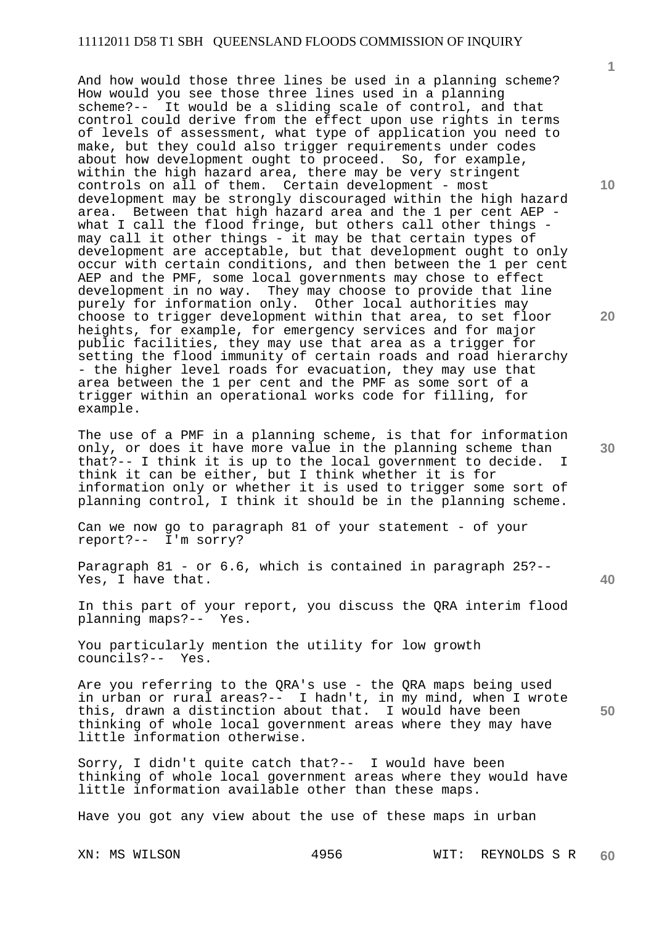And how would those three lines be used in a planning scheme? How would you see those three lines used in a planning scheme?-- It would be a sliding scale of control, and that control could derive from the effect upon use rights in terms of levels of assessment, what type of application you need to make, but they could also trigger requirements under codes about how development ought to proceed. So, for example, within the high hazard area, there may be very stringent controls on all of them. Certain development - most development may be strongly discouraged within the high hazard area. Between that high hazard area and the 1 per cent AEP what I call the flood fringe, but others call other things may call it other things - it may be that certain types of development are acceptable, but that development ought to only occur with certain conditions, and then between the 1 per cent AEP and the PMF, some local governments may chose to effect development in no way. They may choose to provide that line purely for information only. Other local authorities may choose to trigger development within that area, to set floor heights, for example, for emergency services and for major public facilities, they may use that area as a trigger for setting the flood immunity of certain roads and road hierarchy - the higher level roads for evacuation, they may use that area between the 1 per cent and the PMF as some sort of a trigger within an operational works code for filling, for example.

The use of a PMF in a planning scheme, is that for information only, or does it have more value in the planning scheme than that?-- I think it is up to the local government to decide. I think it can be either, but I think whether it is for information only or whether it is used to trigger some sort of planning control, I think it should be in the planning scheme.

Can we now go to paragraph 81 of your statement - of your report?-- I'm sorry?

Paragraph 81 - or 6.6, which is contained in paragraph 25?-- Yes, I have that.

In this part of your report, you discuss the QRA interim flood planning maps?-- Yes.

You particularly mention the utility for low growth councils?-- Yes.

Are you referring to the QRA's use - the QRA maps being used in urban or rural areas?-- I hadn't, in my mind, when I wrote this, drawn a distinction about that. I would have been thinking of whole local government areas where they may have little information otherwise.

Sorry, I didn't quite catch that?-- I would have been thinking of whole local government areas where they would have little information available other than these maps.

Have you got any view about the use of these maps in urban

XN: MS WILSON 4956 WIT: REYNOLDS S R **60** 

**10** 

**1**

**20** 

**30** 

**40**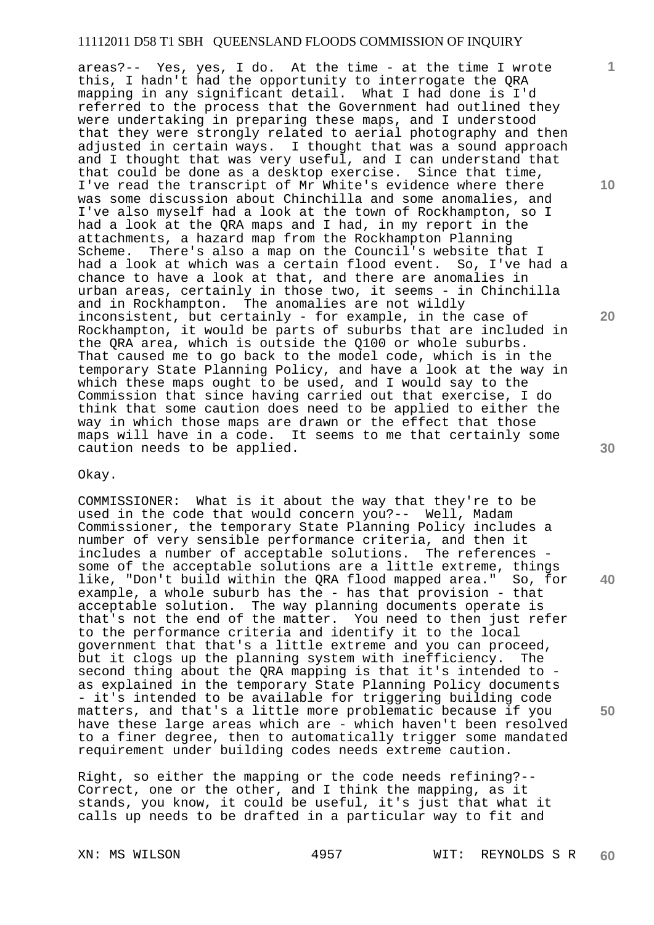areas?-- Yes, yes, I do. At the time - at the time I wrote this, I hadn't had the opportunity to interrogate the QRA mapping in any significant detail. What I had done is I'd referred to the process that the Government had outlined they were undertaking in preparing these maps, and I understood that they were strongly related to aerial photography and then adjusted in certain ways. I thought that was a sound approach and I thought that was very useful, and I can understand that that could be done as a desktop exercise. Since that time, I've read the transcript of Mr White's evidence where there was some discussion about Chinchilla and some anomalies, and I've also myself had a look at the town of Rockhampton, so I had a look at the QRA maps and I had, in my report in the attachments, a hazard map from the Rockhampton Planning Scheme. There's also a map on the Council's website that I had a look at which was a certain flood event. So, I've had a chance to have a look at that, and there are anomalies in urban areas, certainly in those two, it seems - in Chinchilla and in Rockhampton. The anomalies are not wildly inconsistent, but certainly - for example, in the case of Rockhampton, it would be parts of suburbs that are included in the QRA area, which is outside the Q100 or whole suburbs. That caused me to go back to the model code, which is in the temporary State Planning Policy, and have a look at the way in which these maps ought to be used, and I would say to the Commission that since having carried out that exercise, I do think that some caution does need to be applied to either the way in which those maps are drawn or the effect that those maps will have in a code. It seems to me that certainly some caution needs to be applied.

#### Okay.

COMMISSIONER: What is it about the way that they're to be used in the code that would concern you?-- Well, Madam Commissioner, the temporary State Planning Policy includes a number of very sensible performance criteria, and then it includes a number of acceptable solutions. The references some of the acceptable solutions are a little extreme, things like, "Don't build within the QRA flood mapped area." So, for example, a whole suburb has the - has that provision - that acceptable solution. The way planning documents operate is that's not the end of the matter. You need to then just refer to the performance criteria and identify it to the local government that that's a little extreme and you can proceed, but it clogs up the planning system with inefficiency. The second thing about the QRA mapping is that it's intended to as explained in the temporary State Planning Policy documents - it's intended to be available for triggering building code matters, and that's a little more problematic because if you have these large areas which are - which haven't been resolved to a finer degree, then to automatically trigger some mandated requirement under building codes needs extreme caution.

Right, so either the mapping or the code needs refining?-- Correct, one or the other, and I think the mapping, as it stands, you know, it could be useful, it's just that what it calls up needs to be drafted in a particular way to fit and

**1**

**10** 

**20** 

**40**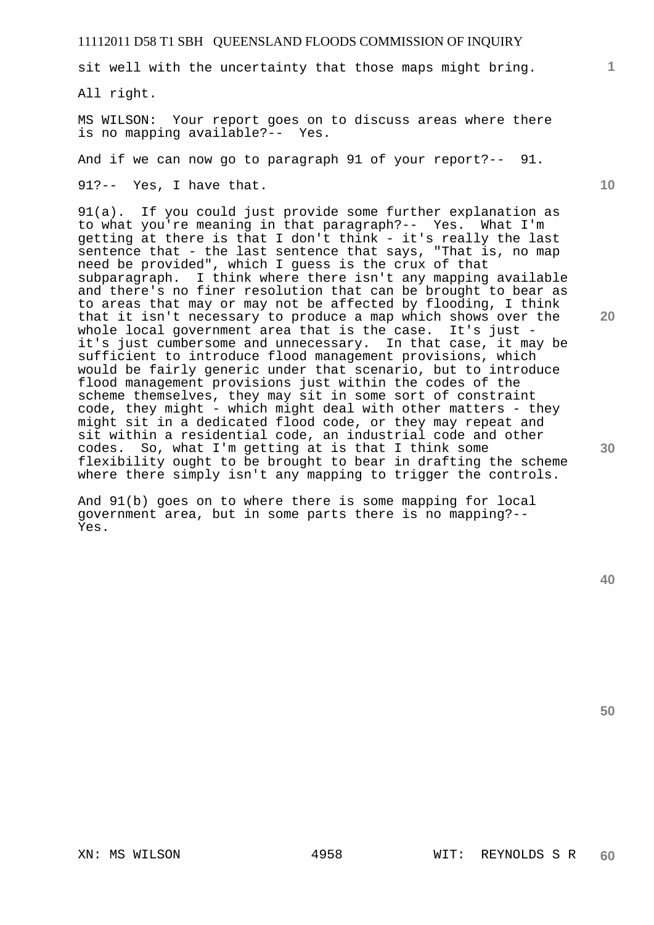sit well with the uncertainty that those maps might bring.

All right.

MS WILSON: Your report goes on to discuss areas where there is no mapping available?-- Yes.

And if we can now go to paragraph 91 of your report?-- 91.

91?-- Yes, I have that.

91(a). If you could just provide some further explanation as to what you're meaning in that paragraph?-- Yes. What I'm getting at there is that I don't think - it's really the last sentence that - the last sentence that says, "That is, no map need be provided", which I guess is the crux of that subparagraph. I think where there isn't any mapping available and there's no finer resolution that can be brought to bear as to areas that may or may not be affected by flooding, I think that it isn't necessary to produce a map which shows over the whole local government area that is the case. It's just it's just cumbersome and unnecessary. In that case, it may be sufficient to introduce flood management provisions, which would be fairly generic under that scenario, but to introduce flood management provisions just within the codes of the scheme themselves, they may sit in some sort of constraint code, they might - which might deal with other matters - they might sit in a dedicated flood code, or they may repeat and sit within a residential code, an industrial code and other codes. So, what I'm getting at is that I think some flexibility ought to be brought to bear in drafting the scheme where there simply isn't any mapping to trigger the controls.

And 91(b) goes on to where there is some mapping for local government area, but in some parts there is no mapping?-- Yes.

**50** 

**1**

**10** 

**20**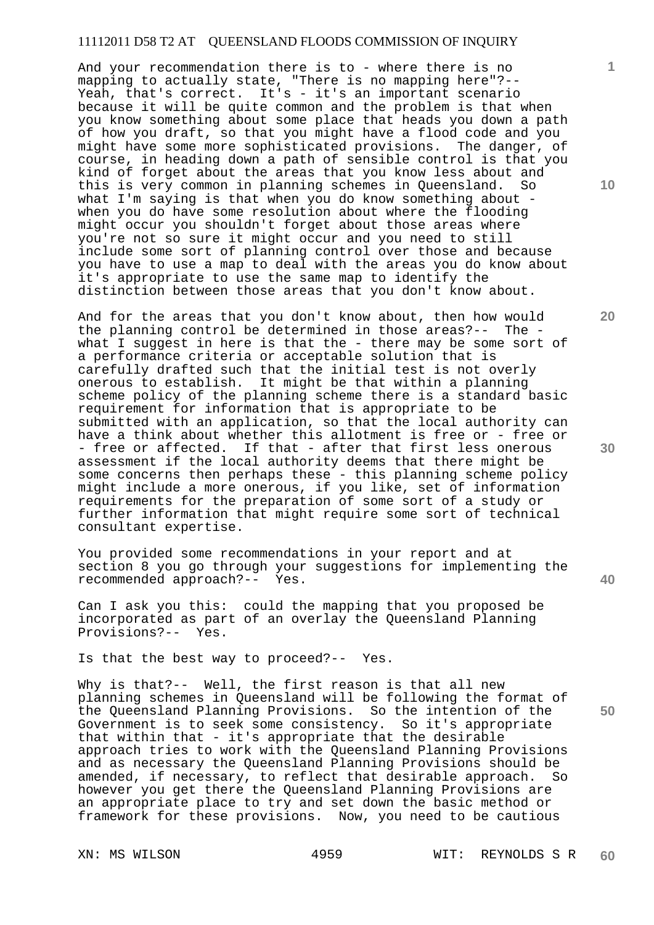And your recommendation there is to - where there is no mapping to actually state, "There is no mapping here"?-- Yeah, that's correct. It's - it's an important scenario because it will be quite common and the problem is that when you know something about some place that heads you down a path of how you draft, so that you might have a flood code and you might have some more sophisticated provisions. The danger, of course, in heading down a path of sensible control is that you kind of forget about the areas that you know less about and this is very common in planning schemes in Queensland. So what I'm saying is that when you do know something about when you do have some resolution about where the flooding might occur you shouldn't forget about those areas where you're not so sure it might occur and you need to still include some sort of planning control over those and because you have to use a map to deal with the areas you do know about it's appropriate to use the same map to identify the distinction between those areas that you don't know about.

And for the areas that you don't know about, then how would the planning control be determined in those areas?-- The what I suggest in here is that the - there may be some sort of a performance criteria or acceptable solution that is carefully drafted such that the initial test is not overly onerous to establish. It might be that within a planning scheme policy of the planning scheme there is a standard basic requirement for information that is appropriate to be submitted with an application, so that the local authority can have a think about whether this allotment is free or - free or - free or affected. If that - after that first less onerous assessment if the local authority deems that there might be some concerns then perhaps these - this planning scheme policy might include a more onerous, if you like, set of information requirements for the preparation of some sort of a study or further information that might require some sort of technical consultant expertise.

You provided some recommendations in your report and at section 8 you go through your suggestions for implementing the recommended approach?-- Yes.

Can I ask you this: could the mapping that you proposed be incorporated as part of an overlay the Queensland Planning Provisions?-- Yes.

Is that the best way to proceed?-- Yes.

Why is that?-- Well, the first reason is that all new planning schemes in Queensland will be following the format of the Queensland Planning Provisions. So the intention of the Government is to seek some consistency. So it's appropriate that within that - it's appropriate that the desirable approach tries to work with the Queensland Planning Provisions and as necessary the Queensland Planning Provisions should be amended, if necessary, to reflect that desirable approach. So however you get there the Queensland Planning Provisions are an appropriate place to try and set down the basic method or framework for these provisions. Now, you need to be cautious

**10** 

**1**

**30** 

**40**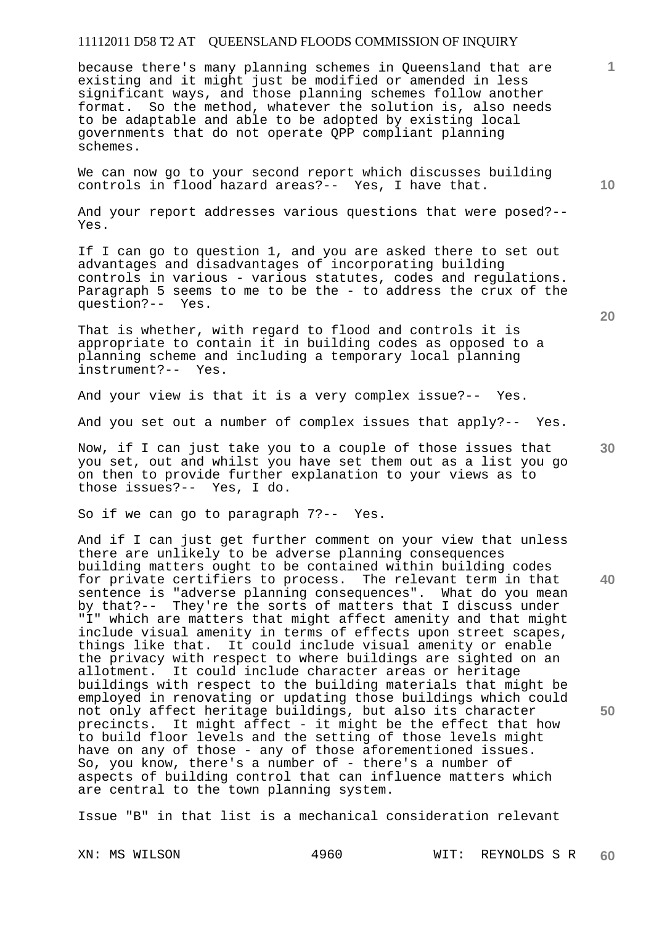because there's many planning schemes in Queensland that are existing and it might just be modified or amended in less significant ways, and those planning schemes follow another format. So the method, whatever the solution is, also needs to be adaptable and able to be adopted by existing local governments that do not operate QPP compliant planning schemes.

We can now go to your second report which discusses building controls in flood hazard areas?-- Yes, I have that.

And your report addresses various questions that were posed?-- Yes.

If I can go to question 1, and you are asked there to set out advantages and disadvantages of incorporating building controls in various - various statutes, codes and regulations. Paragraph 5 seems to me to be the - to address the crux of the question?-- Yes.

That is whether, with regard to flood and controls it is appropriate to contain it in building codes as opposed to a planning scheme and including a temporary local planning instrument?-- Yes.

And your view is that it is a very complex issue?-- Yes.

And you set out a number of complex issues that apply?-- Yes.

Now, if I can just take you to a couple of those issues that you set, out and whilst you have set them out as a list you go on then to provide further explanation to your views as to those issues?-- Yes, I do.

So if we can go to paragraph 7?-- Yes.

And if I can just get further comment on your view that unless there are unlikely to be adverse planning consequences building matters ought to be contained within building codes for private certifiers to process. The relevant term in that sentence is "adverse planning consequences". What do you mean by that?-- They're the sorts of matters that I discuss under "I" which are matters that might affect amenity and that might include visual amenity in terms of effects upon street scapes, things like that. It could include visual amenity or enable the privacy with respect to where buildings are sighted on an allotment. It could include character areas or heritage buildings with respect to the building materials that might be employed in renovating or updating those buildings which could not only affect heritage buildings, but also its character precincts. It might affect - it might be the effect that how to build floor levels and the setting of those levels might have on any of those - any of those aforementioned issues. So, you know, there's a number of - there's a number of aspects of building control that can influence matters which are central to the town planning system.

Issue "B" in that list is a mechanical consideration relevant

**10** 

**1**

**30** 

**20**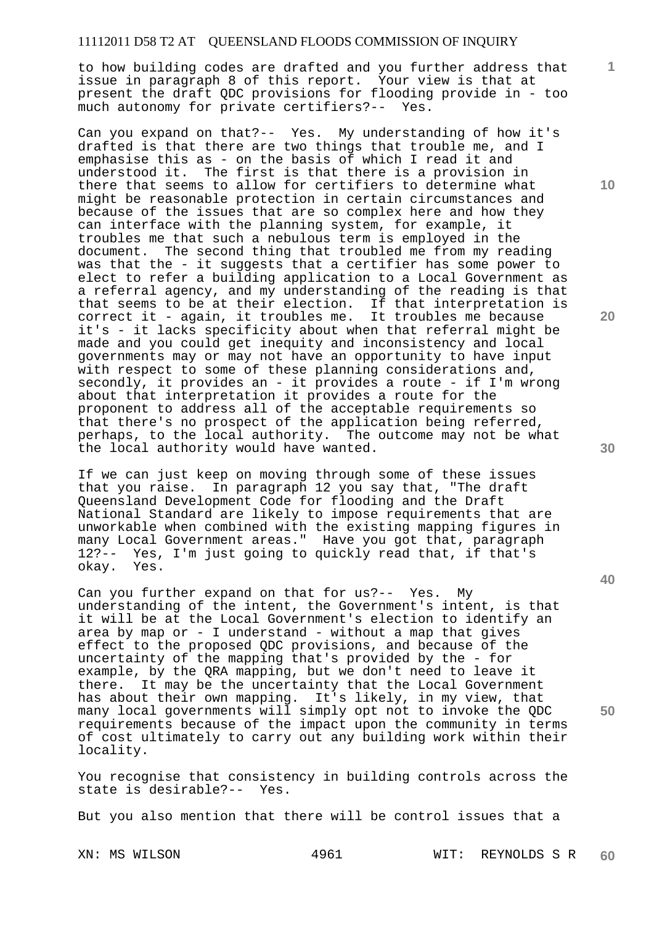to how building codes are drafted and you further address that issue in paragraph 8 of this report. Your view is that at present the draft QDC provisions for flooding provide in - too much autonomy for private certifiers?-- Yes.

Can you expand on that?-- Yes. My understanding of how it's drafted is that there are two things that trouble me, and I emphasise this as - on the basis of which I read it and understood it. The first is that there is a provision in there that seems to allow for certifiers to determine what might be reasonable protection in certain circumstances and because of the issues that are so complex here and how they can interface with the planning system, for example, it troubles me that such a nebulous term is employed in the document. The second thing that troubled me from my reading was that the - it suggests that a certifier has some power to elect to refer a building application to a Local Government as a referral agency, and my understanding of the reading is that that seems to be at their election. If that interpretation is correct it - again, it troubles me. It troubles me because it's - it lacks specificity about when that referral might be made and you could get inequity and inconsistency and local governments may or may not have an opportunity to have input with respect to some of these planning considerations and, secondly, it provides an - it provides a route - if I'm wrong about that interpretation it provides a route for the proponent to address all of the acceptable requirements so that there's no prospect of the application being referred, perhaps, to the local authority. The outcome may not be what the local authority would have wanted.

If we can just keep on moving through some of these issues that you raise. In paragraph 12 you say that, "The draft Queensland Development Code for flooding and the Draft National Standard are likely to impose requirements that are unworkable when combined with the existing mapping figures in many Local Government areas." Have you got that, paragraph 12?-- Yes, I'm just going to quickly read that, if that's okay. Yes.

Can you further expand on that for us?-- Yes. My understanding of the intent, the Government's intent, is that it will be at the Local Government's election to identify an area by map or - I understand - without a map that gives effect to the proposed QDC provisions, and because of the uncertainty of the mapping that's provided by the - for example, by the QRA mapping, but we don't need to leave it there. It may be the uncertainty that the Local Government has about their own mapping. It's likely, in my view, that many local governments will simply opt not to invoke the QDC requirements because of the impact upon the community in terms of cost ultimately to carry out any building work within their locality.

You recognise that consistency in building controls across the state is desirable?-- Yes.

But you also mention that there will be control issues that a

**10** 

**1**

**20** 

**30** 

**40**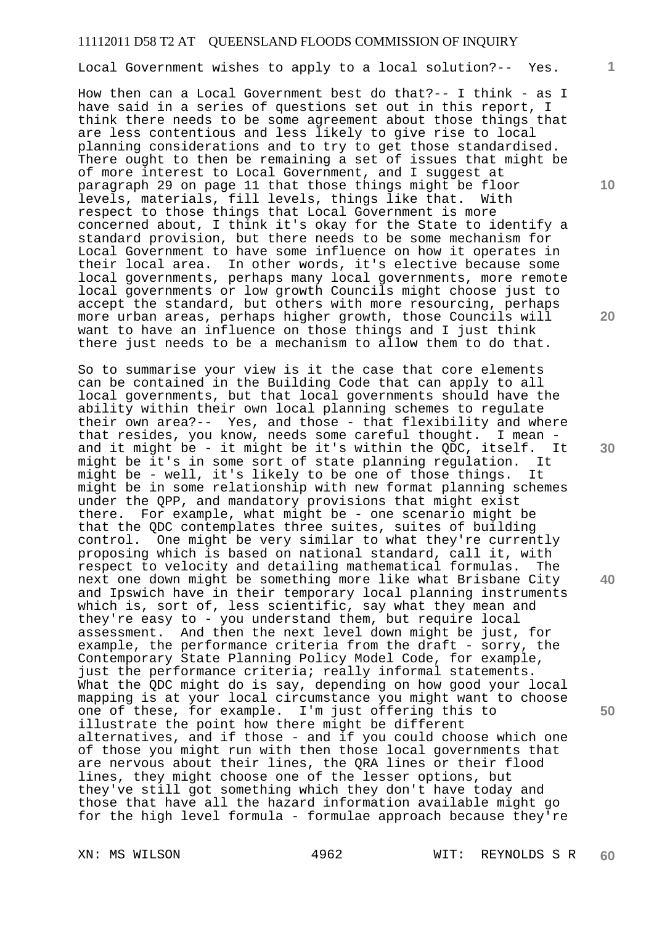Local Government wishes to apply to a local solution?-- Yes.

How then can a Local Government best do that?-- I think - as I have said in a series of questions set out in this report, I think there needs to be some agreement about those things that are less contentious and less likely to give rise to local planning considerations and to try to get those standardised. planning considerations and so  $\alpha_1$  so got size a contract which of more interest to Local Government, and I suggest at paragraph 29 on page 11 that those things might be floor levels, materials, fill levels, things like that. With respect to those things that Local Government is more concerned about, I think it's okay for the State to identify a standard provision, but there needs to be some mechanism for Local Government to have some influence on how it operates in their local area. In other words, it's elective because some local governments, perhaps many local governments, more remote local governments or low growth Councils might choose just to accept the standard, but others with more resourcing, perhaps more urban areas, perhaps higher growth, those Councils will want to have an influence on those things and I just think there just needs to be a mechanism to allow them to do that.

So to summarise your view is it the case that core elements can be contained in the Building Code that can apply to all local governments, but that local governments should have the ability within their own local planning schemes to regulate their own area?-- Yes, and those - that flexibility and where that resides, you know, needs some careful thought. I mean and it might be - it might be it's within the QDC, itself. It might be it's in some sort of state planning regulation. It might be - well, it's likely to be one of those things. It might be in some relationship with new format planning schemes under the QPP, and mandatory provisions that might exist there. For example, what might be - one scenario might be that the QDC contemplates three suites, suites of building control. One might be very similar to what they're currently proposing which is based on national standard, call it, with respect to velocity and detailing mathematical formulas. The next one down might be something more like what Brisbane City and Ipswich have in their temporary local planning instruments which is, sort of, less scientific, say what they mean and they're easy to - you understand them, but require local assessment. And then the next level down might be just, for example, the performance criteria from the draft - sorry, the Contemporary State Planning Policy Model Code, for example, just the performance criteria; really informal statements. What the QDC might do is say, depending on how good your local mapping is at your local circumstance you might want to choose one of these, for example. I'm just offering this to illustrate the point how there might be different alternatives, and if those - and if you could choose which one of those you might run with then those local governments that are nervous about their lines, the QRA lines or their flood lines, they might choose one of the lesser options, but they've still got something which they don't have today and those that have all the hazard information available might go for the high level formula - formulae approach because they're

**20** 

**10** 

**1**

**30** 

**40**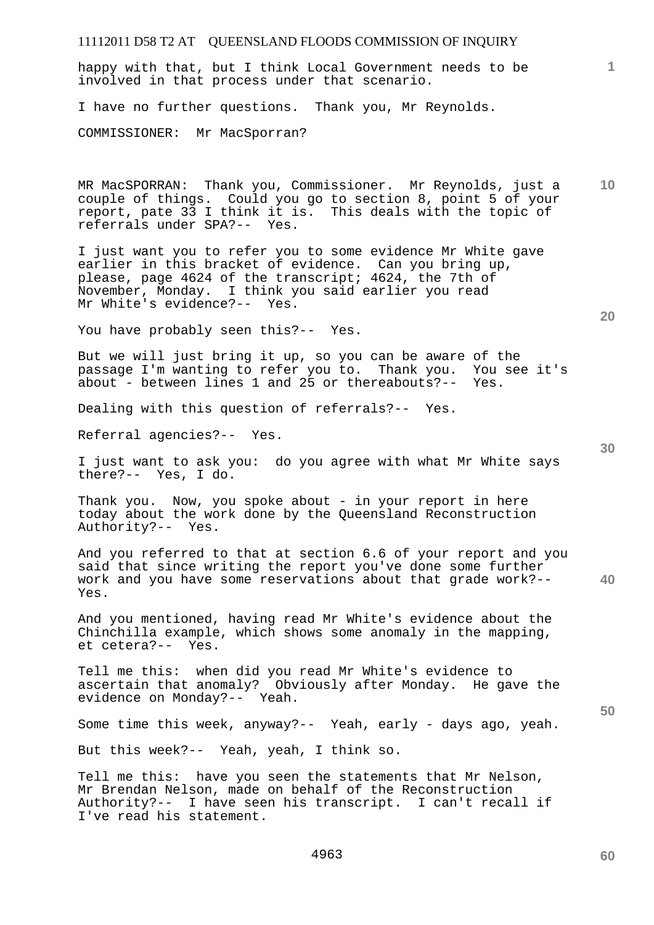| 11112011 D58 T2 AT QUEENSLAND FLOODS COMMISSION OF INQUIRY                                                                                                                                                                                                           |
|----------------------------------------------------------------------------------------------------------------------------------------------------------------------------------------------------------------------------------------------------------------------|
| 1<br>happy with that, but I think Local Government needs to be<br>involved in that process under that scenario.                                                                                                                                                      |
| I have no further questions. Thank you, Mr Reynolds.                                                                                                                                                                                                                 |
| COMMISSIONER: Mr MacSporran?                                                                                                                                                                                                                                         |
| 10<br>MR MacSPORRAN: Thank you, Commissioner. Mr Reynolds, just a<br>couple of things. Could you go to section 8, point 5 of your<br>report, pate 33 I think it is. This deals with the topic of<br>referrals under SPA?-- Yes.                                      |
| I just want you to refer you to some evidence Mr White gave<br>earlier in this bracket of evidence. Can you bring up,<br>please, page 4624 of the transcript; 4624, the 7th of<br>November, Monday. I think you said earlier you read<br>Mr White's evidence?-- Yes. |
| 20<br>You have probably seen this?-- Yes.                                                                                                                                                                                                                            |
| But we will just bring it up, so you can be aware of the<br>passage I'm wanting to refer you to. Thank you. You see it's<br>about - between lines 1 and 25 or thereabouts?-- Yes.                                                                                    |
| Dealing with this question of referrals?-- Yes.                                                                                                                                                                                                                      |
| Referral agencies?-- Yes.<br>30                                                                                                                                                                                                                                      |
| I just want to ask you: do you agree with what Mr White says<br>there?-- Yes, I do.                                                                                                                                                                                  |
| Thank you. Now, you spoke about - in your report in here<br>today about the work done by the Queensland Reconstruction<br>Authority?-- Yes.                                                                                                                          |
| And you referred to that at section 6.6 of your report and you<br>said that since writing the report you've done some further<br>work and you have some reservations about that grade work?--<br>40<br>Yes.                                                          |
| And you mentioned, having read Mr White's evidence about the<br>Chinchilla example, which shows some anomaly in the mapping,<br>et cetera?-- Yes.                                                                                                                    |
| Tell me this: when did you read Mr White's evidence to<br>ascertain that anomaly? Obviously after Monday. He gave the<br>evidence on Monday?-- Yeah.<br>50                                                                                                           |
| Some time this week, anyway?-- Yeah, early - days ago, yeah.                                                                                                                                                                                                         |
| But this week?-- Yeah, yeah, I think so.                                                                                                                                                                                                                             |
| Tell me this: have you seen the statements that Mr Nelson,<br>Mr Brendan Nelson, made on behalf of the Reconstruction<br>Authority?-- I have seen his transcript. I can't recall if<br>I've read his statement.                                                      |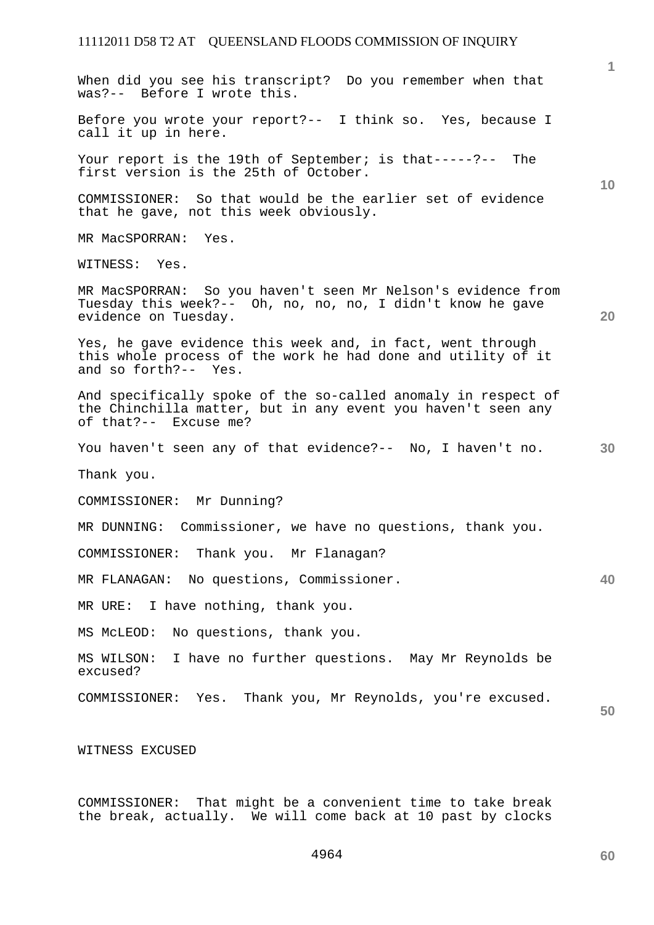**1 10 20 30 40 50**  When did you see his transcript? Do you remember when that was?-- Before I wrote this. Before you wrote your report?-- I think so. Yes, because I call it up in here. Your report is the 19th of September; is that-----?-- The first version is the 25th of October. COMMISSIONER: So that would be the earlier set of evidence that he gave, not this week obviously. MR MacSPORRAN: Yes. WITNESS: Yes. MR MacSPORRAN: So you haven't seen Mr Nelson's evidence from Tuesday this week?-- Oh, no, no, no, I didn't know he gave evidence on Tuesday. Yes, he gave evidence this week and, in fact, went through this whole process of the work he had done and utility of it and so forth?-- Yes. And specifically spoke of the so-called anomaly in respect of the Chinchilla matter, but in any event you haven't seen any of that?-- Excuse me? You haven't seen any of that evidence?-- No, I haven't no. Thank you. COMMISSIONER: Mr Dunning? MR DUNNING: Commissioner, we have no questions, thank you. COMMISSIONER: Thank you. Mr Flanagan? MR FLANAGAN: No questions, Commissioner. MR URE: I have nothing, thank you. MS McLEOD: No questions, thank you. MS WILSON: I have no further questions. May Mr Reynolds be excused? COMMISSIONER: Yes. Thank you, Mr Reynolds, you're excused. WITNESS EXCUSED

COMMISSIONER: That might be a convenient time to take break the break, actually. We will come back at 10 past by clocks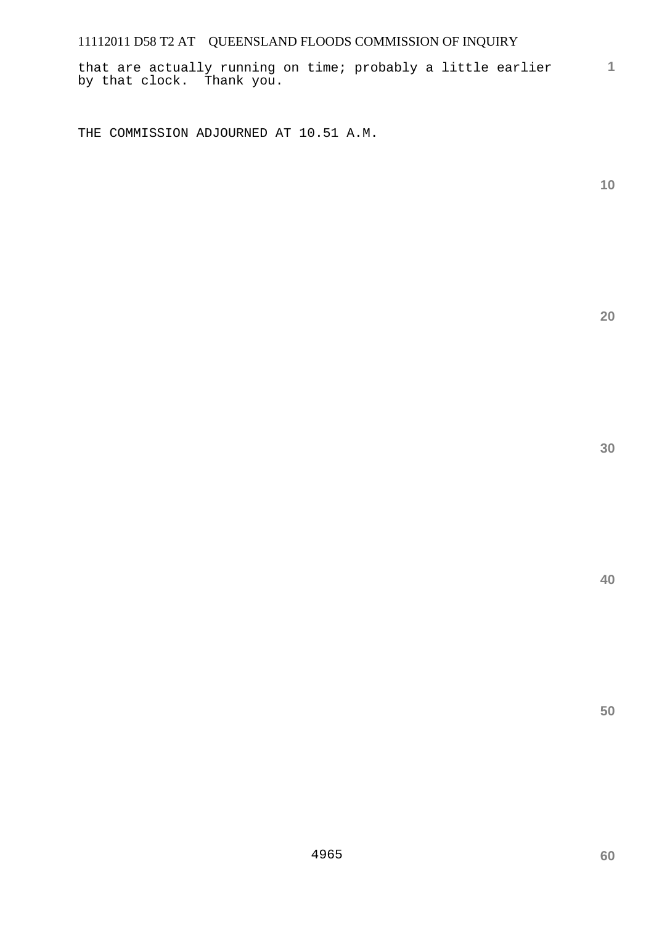that are actually running on time; probably a little earlier by that clock. Thank you.

THE COMMISSION ADJOURNED AT 10.51 A.M.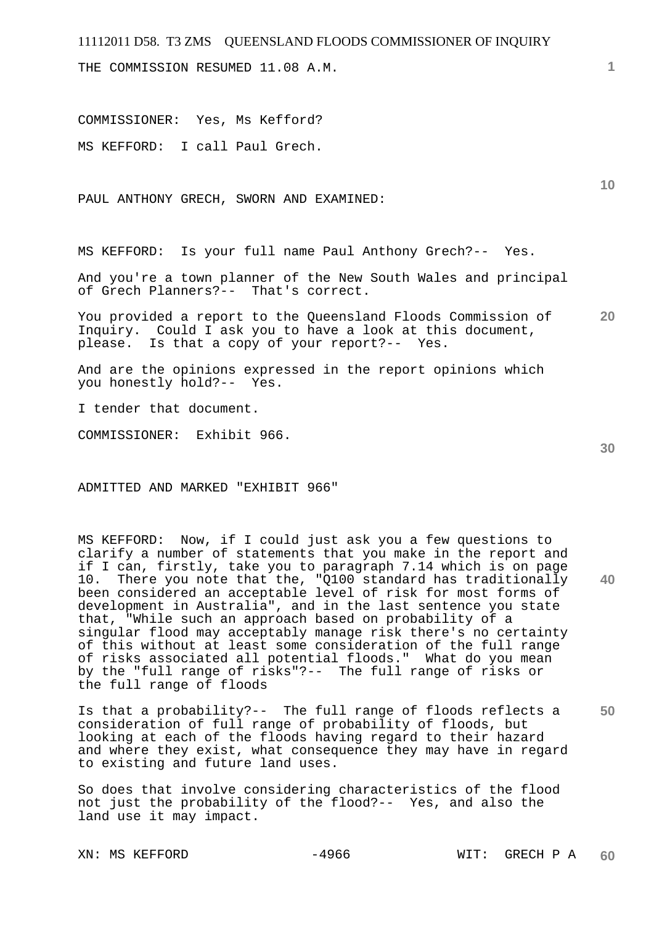THE COMMISSION RESUMED 11.08 A.M.

COMMISSIONER: Yes, Ms Kefford? MS KEFFORD: I call Paul Grech.

PAUL ANTHONY GRECH, SWORN AND EXAMINED:

MS KEFFORD: Is your full name Paul Anthony Grech?-- Yes.

And you're a town planner of the New South Wales and principal of Grech Planners?-- That's correct.

**20**  You provided a report to the Queensland Floods Commission of Inquiry. Could I ask you to have a look at this document, please. Is that a copy of your report?-- Yes.

And are the opinions expressed in the report opinions which you honestly hold?-- Yes.

I tender that document.

COMMISSIONER: Exhibit 966.

ADMITTED AND MARKED "EXHIBIT 966"

MS KEFFORD: Now, if I could just ask you a few questions to clarify a number of statements that you make in the report and if I can, firstly, take you to paragraph 7.14 which is on page 10. There you note that the, "Q100 standard has traditionally been considered an acceptable level of risk for most forms of development in Australia", and in the last sentence you state that, "While such an approach based on probability of a singular flood may acceptably manage risk there's no certainty of this without at least some consideration of the full range of risks associated all potential floods." What do you mean by the "full range of risks"?-- The full range of risks or the full range of floods

**50**  Is that a probability?-- The full range of floods reflects a consideration of full range of probability of floods, but looking at each of the floods having regard to their hazard and where they exist, what consequence they may have in regard to existing and future land uses.

So does that involve considering characteristics of the flood not just the probability of the flood?-- Yes, and also the land use it may impact.

**30** 

**40** 

**1**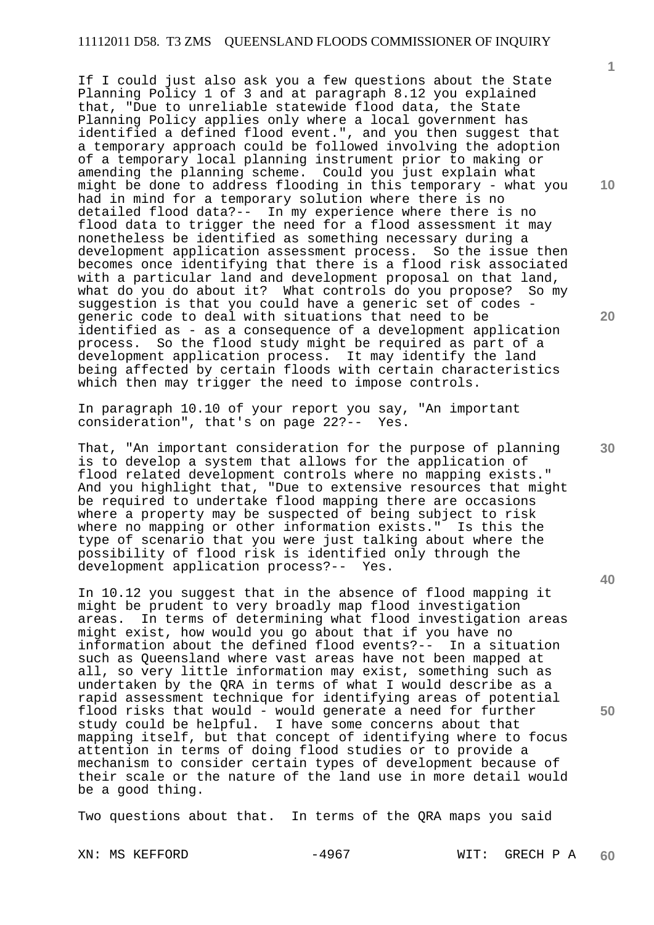If I could just also ask you a few questions about the State Planning Policy 1 of 3 and at paragraph 8.12 you explained that, "Due to unreliable statewide flood data, the State Planning Policy applies only where a local government has identified a defined flood event.", and you then suggest that a temporary approach could be followed involving the adoption of a temporary local planning instrument prior to making or amending the planning scheme. Could you just explain what might be done to address flooding in this temporary - what you had in mind for a temporary solution where there is no detailed flood data?-- In my experience where there is no flood data to trigger the need for a flood assessment it may nonetheless be identified as something necessary during a development application assessment process. So the issue then becomes once identifying that there is a flood risk associated with a particular land and development proposal on that land, what do you do about it? What controls do you propose? So my suggestion is that you could have a generic set of codes generic code to deal with situations that need to be identified as - as a consequence of a development application process. So the flood study might be required as part of a development application process. It may identify the land being affected by certain floods with certain characteristics which then may trigger the need to impose controls.

In paragraph 10.10 of your report you say, "An important consideration", that's on page 22?-- Yes.

That, "An important consideration for the purpose of planning is to develop a system that allows for the application of flood related development controls where no mapping exists." And you highlight that, "Due to extensive resources that might be required to undertake flood mapping there are occasions where a property may be suspected of being subject to risk where no mapping or other information exists." Is this the type of scenario that you were just talking about where the possibility of flood risk is identified only through the development application process?-- Yes.

In 10.12 you suggest that in the absence of flood mapping it might be prudent to very broadly map flood investigation areas. In terms of determining what flood investigation areas might exist, how would you go about that if you have no information about the defined flood events?-- In a situation such as Queensland where vast areas have not been mapped at all, so very little information may exist, something such as undertaken by the QRA in terms of what I would describe as a rapid assessment technique for identifying areas of potential flood risks that would - would generate a need for further study could be helpful. I have some concerns about that mapping itself, but that concept of identifying where to focus attention in terms of doing flood studies or to provide a mechanism to consider certain types of development because of their scale or the nature of the land use in more detail would be a good thing.

Two questions about that. In terms of the QRA maps you said

**10** 

**1**

**20** 

**30**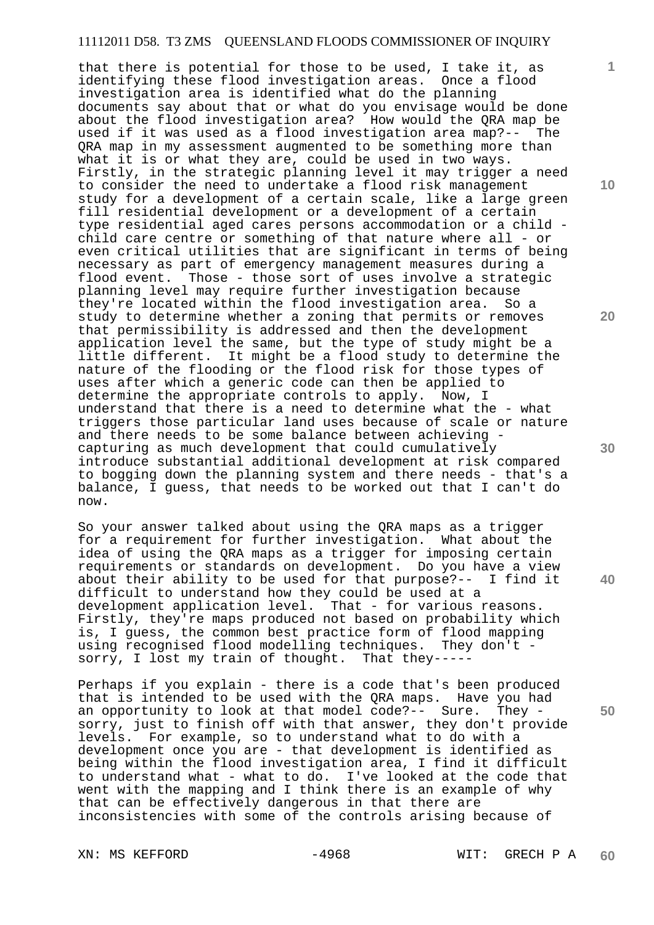that there is potential for those to be used, I take it, as identifying these flood investigation areas. Once a flood investigation area is identified what do the planning documents say about that or what do you envisage would be done about the flood investigation area? How would the QRA map be used if it was used as a flood investigation area map?-- The QRA map in my assessment augmented to be something more than what it is or what they are, could be used in two ways. Firstly, in the strategic planning level it may trigger a need to consider the need to undertake a flood risk management study for a development of a certain scale, like a large green fill residential development or a development of a certain type residential aged cares persons accommodation or a child child care centre or something of that nature where all - or even critical utilities that are significant in terms of being necessary as part of emergency management measures during a flood event. Those - those sort of uses involve a strategic planning level may require further investigation because they're located within the flood investigation area. So a study to determine whether a zoning that permits or removes that permissibility is addressed and then the development application level the same, but the type of study might be a little different. It might be a flood study to determine the nature of the flooding or the flood risk for those types of uses after which a generic code can then be applied to determine the appropriate controls to apply. Now, I understand that there is a need to determine what the - what triggers those particular land uses because of scale or nature and there needs to be some balance between achieving capturing as much development that could cumulatively introduce substantial additional development at risk compared to bogging down the planning system and there needs - that's a balance, I guess, that needs to be worked out that I can't do now.

So your answer talked about using the QRA maps as a trigger for a requirement for further investigation. What about the idea of using the QRA maps as a trigger for imposing certain requirements or standards on development. Do you have a view about their ability to be used for that purpose?-- I find it difficult to understand how they could be used at a development application level. That - for various reasons. Firstly, they're maps produced not based on probability which is, I guess, the common best practice form of flood mapping using recognised flood modelling techniques. They don't sorry, I lost my train of thought. That they-----

Perhaps if you explain - there is a code that's been produced that is intended to be used with the QRA maps. Have you had an opportunity to look at that model code?-- Sure. They sorry, just to finish off with that answer, they don't provide levels. For example, so to understand what to do with a development once you are - that development is identified as being within the flood investigation area, I find it difficult to understand what - what to do. I've looked at the code that went with the mapping and I think there is an example of why that can be effectively dangerous in that there are inconsistencies with some of the controls arising because of

**10** 

**1**

**20** 

**40**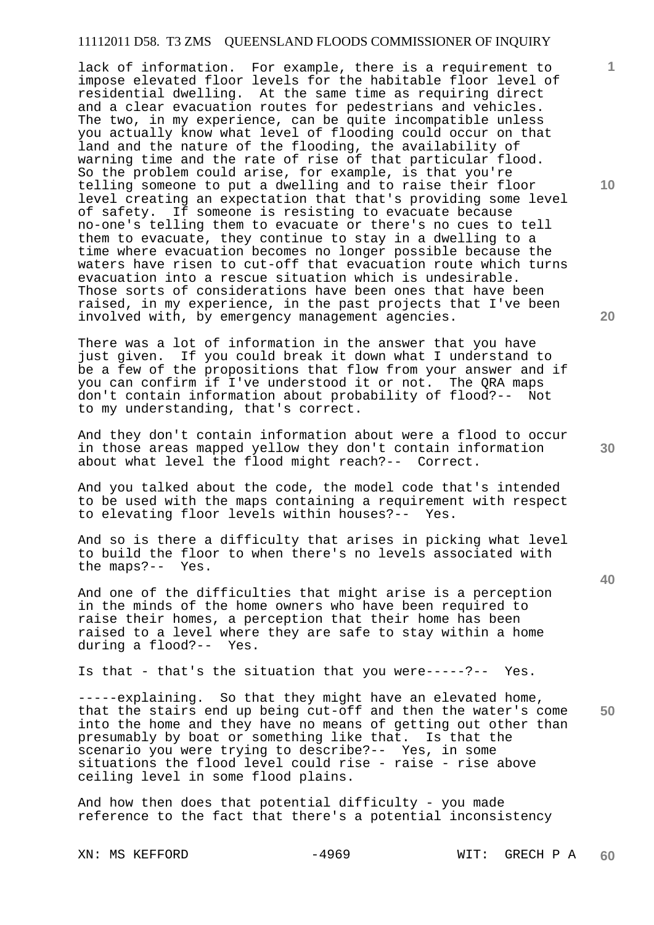lack of information. For example, there is a requirement to impose elevated floor levels for the habitable floor level of residential dwelling. At the same time as requiring direct and a clear evacuation routes for pedestrians and vehicles. The two, in my experience, can be quite incompatible unless you actually know what level of flooding could occur on that land and the nature of the flooding, the availability of warning time and the rate of rise of that particular flood. So the problem could arise, for example, is that you're telling someone to put a dwelling and to raise their floor level creating an expectation that that's providing some level of safety. If someone is resisting to evacuate because no-one's telling them to evacuate or there's no cues to tell them to evacuate, they continue to stay in a dwelling to a time where evacuation becomes no longer possible because the waters have risen to cut-off that evacuation route which turns evacuation into a rescue situation which is undesirable. Those sorts of considerations have been ones that have been raised, in my experience, in the past projects that I've been involved with, by emergency management agencies.

There was a lot of information in the answer that you have just given. If you could break it down what I understand to be a few of the propositions that flow from your answer and if you can confirm if I've understood it or not. The QRA maps don't contain information about probability of flood?-- Not to my understanding, that's correct.

And they don't contain information about were a flood to occur in those areas mapped yellow they don't contain information about what level the flood might reach?-- Correct.

And you talked about the code, the model code that's intended to be used with the maps containing a requirement with respect to elevating floor levels within houses?-- Yes.

And so is there a difficulty that arises in picking what level to build the floor to when there's no levels associated with the maps?-- Yes.

And one of the difficulties that might arise is a perception in the minds of the home owners who have been required to raise their homes, a perception that their home has been raised to a level where they are safe to stay within a home during a flood?-- Yes.

Is that - that's the situation that you were-----?-- Yes.

**50**  -----explaining. So that they might have an elevated home, that the stairs end up being cut-off and then the water's come into the home and they have no means of getting out other than presumably by boat or something like that. Is that the scenario you were trying to describe?-- Yes, in some situations the flood level could rise - raise - rise above ceiling level in some flood plains.

And how then does that potential difficulty - you made reference to the fact that there's a potential inconsistency

**20** 

**10** 

**1**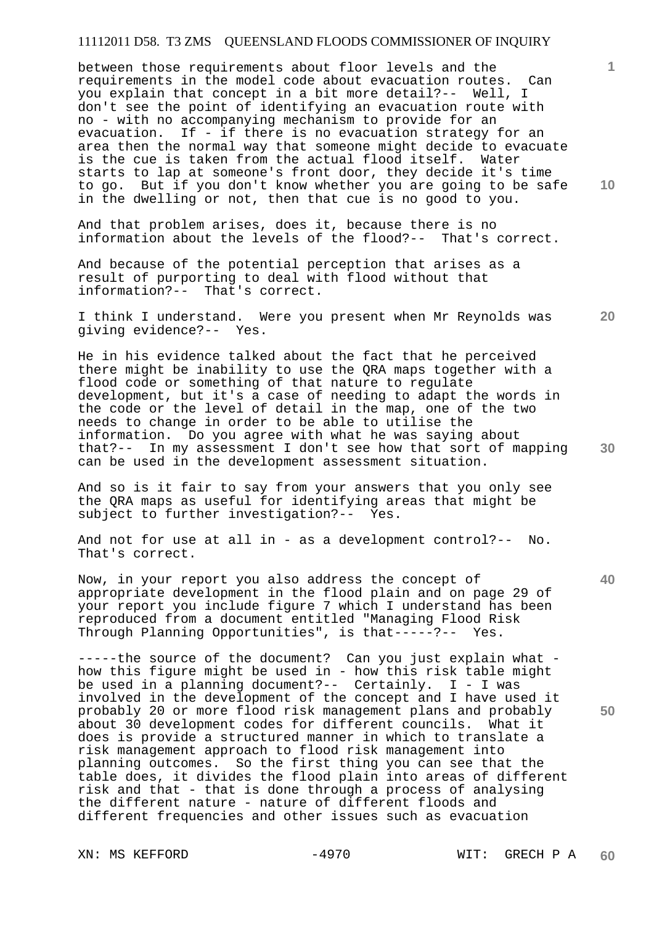between those requirements about floor levels and the requirements in the model code about evacuation routes. Can you explain that concept in a bit more detail?-- Well, I don't see the point of identifying an evacuation route with no - with no accompanying mechanism to provide for an evacuation. If - if there is no evacuation strategy for an area then the normal way that someone might decide to evacuate is the cue is taken from the actual flood itself. Water starts to lap at someone's front door, they decide it's time to go. But if you don't know whether you are going to be safe in the dwelling or not, then that cue is no good to you.

And that problem arises, does it, because there is no information about the levels of the flood?-- That's correct.

And because of the potential perception that arises as a result of purporting to deal with flood without that information?-- That's correct.

I think I understand. Were you present when Mr Reynolds was giving evidence?-- Yes.

He in his evidence talked about the fact that he perceived there might be inability to use the QRA maps together with a flood code or something of that nature to regulate development, but it's a case of needing to adapt the words in the code or the level of detail in the map, one of the two needs to change in order to be able to utilise the information. Do you agree with what he was saying about that?-- In my assessment I don't see how that sort of mapping can be used in the development assessment situation.

And so is it fair to say from your answers that you only see the QRA maps as useful for identifying areas that might be subject to further investigation?-- Yes.

And not for use at all in - as a development control?-- No. That's correct.

Now, in your report you also address the concept of appropriate development in the flood plain and on page 29 of your report you include figure 7 which I understand has been reproduced from a document entitled "Managing Flood Risk Through Planning Opportunities", is that-----?-- Yes.

-----the source of the document? Can you just explain what how this figure might be used in - how this risk table might be used in a planning document?-- Certainly. I - I was involved in the development of the concept and I have used it probably 20 or more flood risk management plans and probably about 30 development codes for different councils. What it does is provide a structured manner in which to translate a risk management approach to flood risk management into planning outcomes. So the first thing you can see that the table does, it divides the flood plain into areas of different risk and that - that is done through a process of analysing the different nature - nature of different floods and different frequencies and other issues such as evacuation

**10** 

**1**

**20** 

**40** 

**50**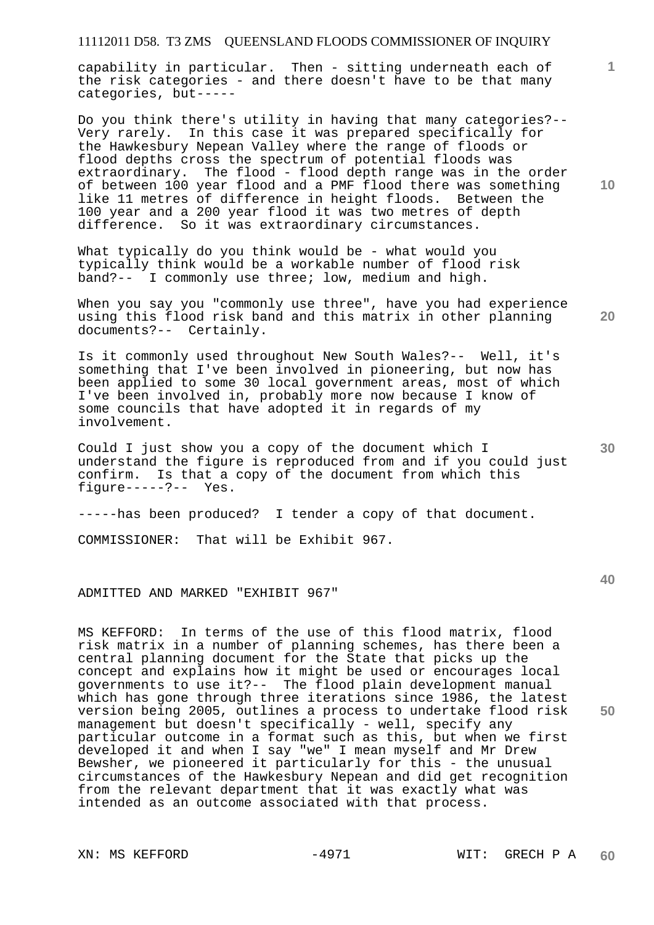capability in particular. Then - sitting underneath each of the risk categories - and there doesn't have to be that many categories, but-----

Do you think there's utility in having that many categories?-- Very rarely. In this case it was prepared specifically for the Hawkesbury Nepean Valley where the range of floods or flood depths cross the spectrum of potential floods was extraordinary. The flood - flood depth range was in the order of between 100 year flood and a PMF flood there was something like 11 metres of difference in height floods. Between the 100 year and a 200 year flood it was two metres of depth difference. So it was extraordinary circumstances.

What typically do you think would be - what would you typically think would be a workable number of flood risk band?-- I commonly use three; low, medium and high.

When you say you "commonly use three", have you had experience using this flood risk band and this matrix in other planning documents?-- Certainly.

Is it commonly used throughout New South Wales?-- Well, it's something that I've been involved in pioneering, but now has been applied to some 30 local government areas, most of which I've been involved in, probably more now because I know of some councils that have adopted it in regards of my involvement.

Could I just show you a copy of the document which I understand the figure is reproduced from and if you could just confirm. Is that a copy of the document from which this figure-----?-- Yes.

-----has been produced? I tender a copy of that document.

COMMISSIONER: That will be Exhibit 967.

ADMITTED AND MARKED "EXHIBIT 967"

MS KEFFORD: In terms of the use of this flood matrix, flood risk matrix in a number of planning schemes, has there been a central planning document for the State that picks up the concept and explains how it might be used or encourages local governments to use it?-- The flood plain development manual which has gone through three iterations since 1986, the latest version being 2005, outlines a process to undertake flood risk management but doesn't specifically - well, specify any particular outcome in a format such as this, but when we first developed it and when I say "we" I mean myself and Mr Drew Bewsher, we pioneered it particularly for this - the unusual circumstances of the Hawkesbury Nepean and did get recognition from the relevant department that it was exactly what was intended as an outcome associated with that process.

**10** 

**1**

**30** 

**20**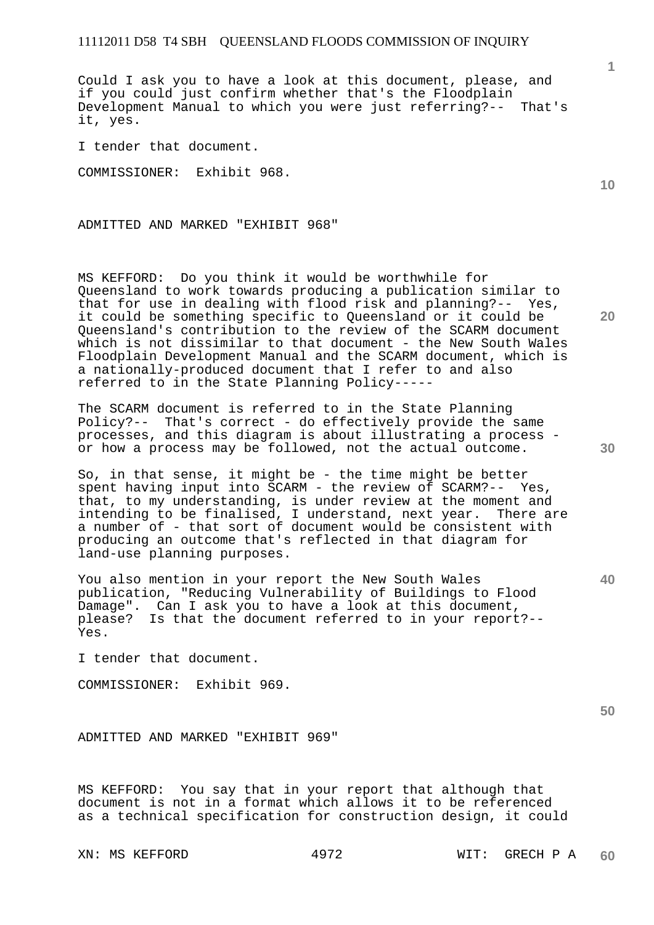Could I ask you to have a look at this document, please, and if you could just confirm whether that's the Floodplain Development Manual to which you were just referring?-- That's it, yes.

I tender that document.

COMMISSIONER: Exhibit 968.

ADMITTED AND MARKED "EXHIBIT 968"

MS KEFFORD: Do you think it would be worthwhile for Queensland to work towards producing a publication similar to that for use in dealing with flood risk and planning?-- Yes, it could be something specific to Queensland or it could be Queensland's contribution to the review of the SCARM document which is not dissimilar to that document - the New South Wales Floodplain Development Manual and the SCARM document, which is a nationally-produced document that I refer to and also referred to in the State Planning Policy-----

The SCARM document is referred to in the State Planning Policy?-- That's correct - do effectively provide the same processes, and this diagram is about illustrating a process or how a process may be followed, not the actual outcome.

So, in that sense, it might be - the time might be better spent having input into SCARM - the review of SCARM?-- Yes, that, to my understanding, is under review at the moment and intending to be finalised, I understand, next year. There are a number of - that sort of document would be consistent with producing an outcome that's reflected in that diagram for land-use planning purposes.

You also mention in your report the New South Wales publication, "Reducing Vulnerability of Buildings to Flood Damage". Can I ask you to have a look at this document, please? Is that the document referred to in your report?-- Yes.

I tender that document.

COMMISSIONER: Exhibit 969.

ADMITTED AND MARKED "EXHIBIT 969"

MS KEFFORD: You say that in your report that although that document is not in a format which allows it to be referenced as a technical specification for construction design, it could **10** 

**20** 

**30** 

**40**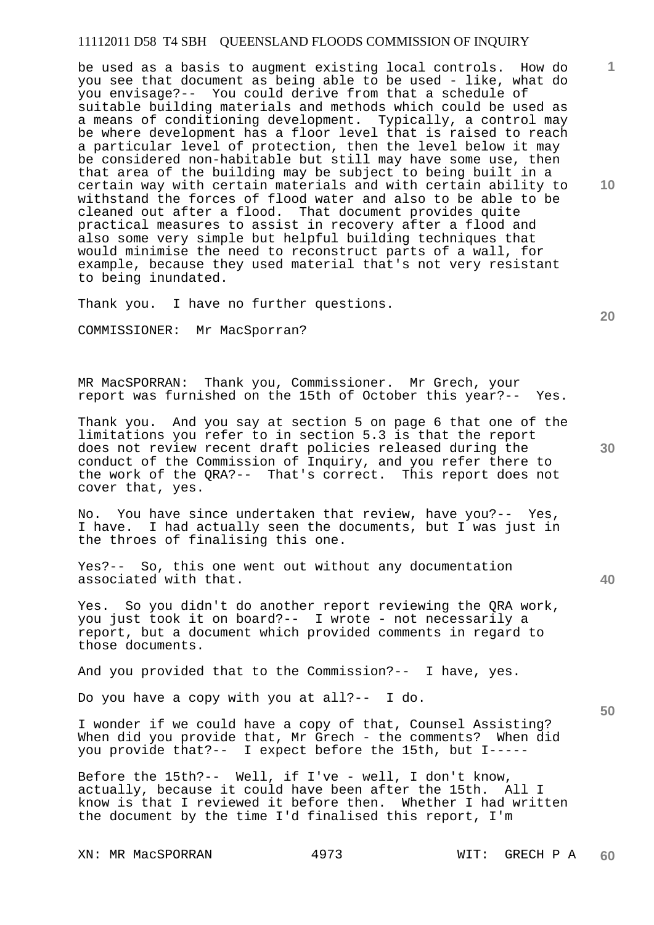be used as a basis to augment existing local controls. How do you see that document as being able to be used - like, what do you envisage?-- You could derive from that a schedule of suitable building materials and methods which could be used as a means of conditioning development. Typically, a control may be where development has a floor level that is raised to reach a particular level of protection, then the level below it may be considered non-habitable but still may have some use, then that area of the building may be subject to being built in a certain way with certain materials and with certain ability to withstand the forces of flood water and also to be able to be cleaned out after a flood. That document provides quite practical measures to assist in recovery after a flood and also some very simple but helpful building techniques that would minimise the need to reconstruct parts of a wall, for example, because they used material that's not very resistant to being inundated.

Thank you. I have no further questions.

COMMISSIONER: Mr MacSporran?

MR MacSPORRAN: Thank you, Commissioner. Mr Grech, your report was furnished on the 15th of October this year?-- Yes.

Thank you. And you say at section 5 on page 6 that one of the limitations you refer to in section 5.3 is that the report does not review recent draft policies released during the conduct of the Commission of Inquiry, and you refer there to the work of the QRA?-- That's correct. This report does not cover that, yes.

No. You have since undertaken that review, have you?-- Yes, I have. I had actually seen the documents, but I was just in the throes of finalising this one.

Yes?-- So, this one went out without any documentation associated with that.

Yes. So you didn't do another report reviewing the QRA work, you just took it on board?-- I wrote - not necessarily a report, but a document which provided comments in regard to those documents.

And you provided that to the Commission?-- I have, yes.

Do you have a copy with you at all?-- I do.

I wonder if we could have a copy of that, Counsel Assisting? When did you provide that, Mr Grech - the comments? When did you provide that?-- I expect before the 15th, but I-----

Before the 15th?-- Well, if I've - well, I don't know, actually, because it could have been after the 15th. All I know is that I reviewed it before then. Whether I had written the document by the time I'd finalised this report, I'm

XN: MR MacSPORRAN 4973 WIT: GRECH P A

**10** 

**20** 

**1**

**40** 

**50**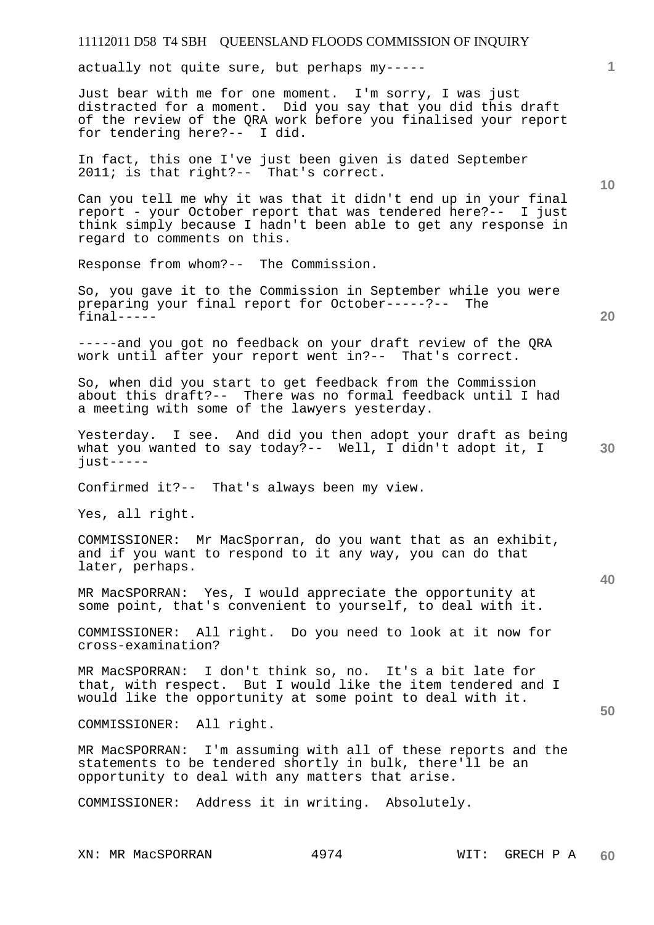actually not quite sure, but perhaps my-----

Just bear with me for one moment. I'm sorry, I was just distracted for a moment. Did you say that you did this draft of the review of the QRA work before you finalised your report for tendering here?-- I did.

In fact, this one I've just been given is dated September 2011; is that right?-- That's correct.

Can you tell me why it was that it didn't end up in your final report - your October report that was tendered here?-- I just think simply because I hadn't been able to get any response in regard to comments on this.

Response from whom?-- The Commission.

So, you gave it to the Commission in September while you were preparing your final report for October-----?-- The final-----

-----and you got no feedback on your draft review of the QRA work until after your report went in?-- That's correct.

So, when did you start to get feedback from the Commission about this draft?-- There was no formal feedback until I had a meeting with some of the lawyers yesterday.

**30**  Yesterday. I see. And did you then adopt your draft as being what you wanted to say today?-- Well, I didn't adopt it, I  $i$ ust-----

Confirmed it?-- That's always been my view.

Yes, all right.

COMMISSIONER: Mr MacSporran, do you want that as an exhibit, and if you want to respond to it any way, you can do that later, perhaps.

MR MacSPORRAN: Yes, I would appreciate the opportunity at some point, that's convenient to yourself, to deal with it.

COMMISSIONER: All right. Do you need to look at it now for cross-examination?

MR MacSPORRAN: I don't think so, no. It's a bit late for that, with respect. But I would like the item tendered and I would like the opportunity at some point to deal with it.

COMMISSIONER: All right.

MR MacSPORRAN: I'm assuming with all of these reports and the statements to be tendered shortly in bulk, there'll be an opportunity to deal with any matters that arise.

COMMISSIONER: Address it in writing. Absolutely.

XN: MR MacSPORRAN 4974 WIT: GRECH P A

**10** 

**20** 

**1**

**40**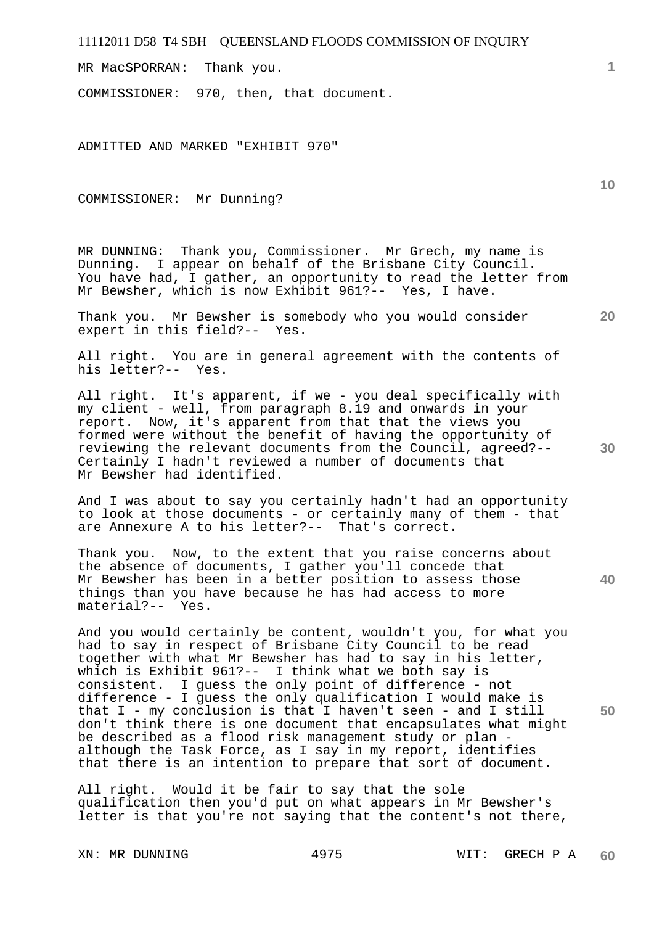MR MacSPORRAN: Thank you.

COMMISSIONER: 970, then, that document.

ADMITTED AND MARKED "EXHIBIT 970"

COMMISSIONER: Mr Dunning?

MR DUNNING: Thank you, Commissioner. Mr Grech, my name is Dunning. I appear on behalf of the Brisbane City Council. You have had, I gather, an opportunity to read the letter from Mr Bewsher, which is now Exhibit 961?-- Yes, I have.

Thank you. Mr Bewsher is somebody who you would consider expert in this field?-- Yes.

All right. You are in general agreement with the contents of his letter?-- Yes.

All right. It's apparent, if we - you deal specifically with my client - well, from paragraph 8.19 and onwards in your report. Now, it's apparent from that that the views you formed were without the benefit of having the opportunity of reviewing the relevant documents from the Council, agreed?-- Certainly I hadn't reviewed a number of documents that Mr Bewsher had identified.

And I was about to say you certainly hadn't had an opportunity to look at those documents - or certainly many of them - that are Annexure A to his letter?-- That's correct.

Thank you. Now, to the extent that you raise concerns about the absence of documents, I gather you'll concede that Mr Bewsher has been in a better position to assess those things than you have because he has had access to more material?-- Yes.

And you would certainly be content, wouldn't you, for what you had to say in respect of Brisbane City Council to be read together with what Mr Bewsher has had to say in his letter, which is Exhibit 961?-- I think what we both say is consistent. I guess the only point of difference - not difference - I guess the only qualification I would make is that I - my conclusion is that I haven't seen - and I still don't think there is one document that encapsulates what might be described as a flood risk management study or plan although the Task Force, as I say in my report, identifies that there is an intention to prepare that sort of document.

All right. Would it be fair to say that the sole qualification then you'd put on what appears in Mr Bewsher's letter is that you're not saying that the content's not there,

**10** 

**1**

**30** 

**40** 

**50**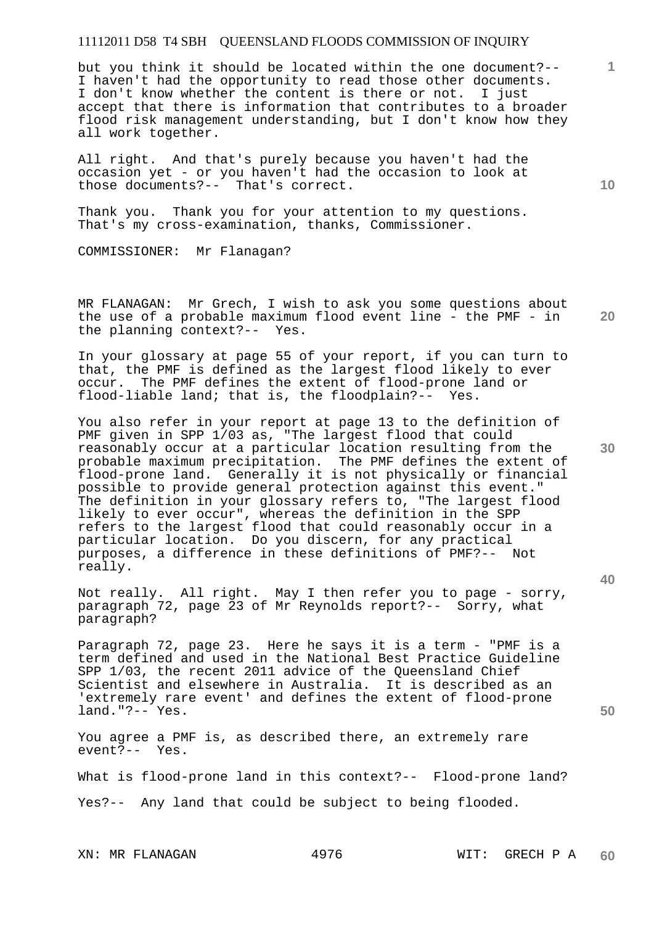but you think it should be located within the one document?-- I haven't had the opportunity to read those other documents. I don't know whether the content is there or not. I just accept that there is information that contributes to a broader flood risk management understanding, but I don't know how they all work together.

All right. And that's purely because you haven't had the occasion yet - or you haven't had the occasion to look at those documents?-- That's correct.

Thank you. Thank you for your attention to my questions. That's my cross-examination, thanks, Commissioner.

COMMISSIONER: Mr Flanagan?

**20**  MR FLANAGAN: Mr Grech, I wish to ask you some questions about the use of a probable maximum flood event line - the PMF - in the planning context?-- Yes.

In your glossary at page 55 of your report, if you can turn to that, the PMF is defined as the largest flood likely to ever occur. The PMF defines the extent of flood-prone land or flood-liable land; that is, the floodplain?-- Yes.

You also refer in your report at page 13 to the definition of PMF given in SPP 1/03 as, "The largest flood that could reasonably occur at a particular location resulting from the probable maximum precipitation. The PMF defines the extent of flood-prone land. Generally it is not physically or financial possible to provide general protection against this event." The definition in your glossary refers to, "The largest flood likely to ever occur", whereas the definition in the SPP refers to the largest flood that could reasonably occur in a particular location. Do you discern, for any practical purposes, a difference in these definitions of PMF?-- Not really.

Not really. All right. May I then refer you to page - sorry, paragraph 72, page 23 of Mr Reynolds report?-- Sorry, what paragraph?

Paragraph 72, page 23. Here he says it is a term - "PMF is a term defined and used in the National Best Practice Guideline SPP 1/03, the recent 2011 advice of the Queensland Chief Scientist and elsewhere in Australia. It is described as an 'extremely rare event' and defines the extent of flood-prone land."?-- Yes.

You agree a PMF is, as described there, an extremely rare event?-- Yes.

What is flood-prone land in this context?-- Flood-prone land?

Yes?-- Any land that could be subject to being flooded.

XN: MR FLANAGAN 4976 WIT: GRECH P A

**10** 

**1**

**40** 

**50**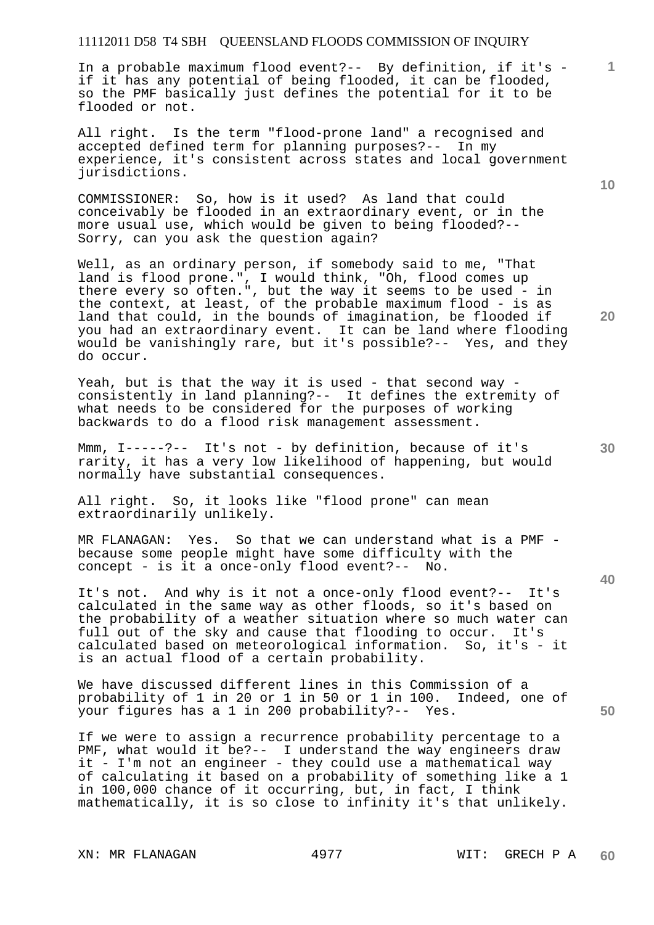In a probable maximum flood event?-- By definition, if it's if it has any potential of being flooded, it can be flooded, so the PMF basically just defines the potential for it to be flooded or not.

All right. Is the term "flood-prone land" a recognised and accepted defined term for planning purposes?-- In my experience, it's consistent across states and local government jurisdictions.

COMMISSIONER: So, how is it used? As land that could conceivably be flooded in an extraordinary event, or in the more usual use, which would be given to being flooded?-- Sorry, can you ask the question again?

Well, as an ordinary person, if somebody said to me, "That land is flood prone.", I would think, "Oh, flood comes up there every so often.", but the way it seems to be used - in the context, at least, of the probable maximum flood - is as land that could, in the bounds of imagination, be flooded if you had an extraordinary event. It can be land where flooding would be vanishingly rare, but it's possible?-- Yes, and they do occur.

Yeah, but is that the way it is used - that second way consistently in land planning?-- It defines the extremity of what needs to be considered for the purposes of working backwards to do a flood risk management assessment.

Mmm, I-----?-- It's not - by definition, because of it's rarity, it has a very low likelihood of happening, but would normally have substantial consequences.

All right. So, it looks like "flood prone" can mean extraordinarily unlikely.

MR FLANAGAN: Yes. So that we can understand what is a PMF because some people might have some difficulty with the concept - is it a once-only flood event?-- No.

It's not. And why is it not a once-only flood event?-- It's calculated in the same way as other floods, so it's based on the probability of a weather situation where so much water can full out of the sky and cause that flooding to occur. It's calculated based on meteorological information. So, it's - it is an actual flood of a certain probability.

We have discussed different lines in this Commission of a probability of 1 in 20 or 1 in 50 or 1 in 100. Indeed, one of your figures has a 1 in 200 probability?-- Yes.

If we were to assign a recurrence probability percentage to a PMF, what would it be?-- I understand the way engineers draw it - I'm not an engineer - they could use a mathematical way of calculating it based on a probability of something like a 1 in 100,000 chance of it occurring, but, in fact, I think mathematically, it is so close to infinity it's that unlikely.

**10** 

**1**

**20** 

**50**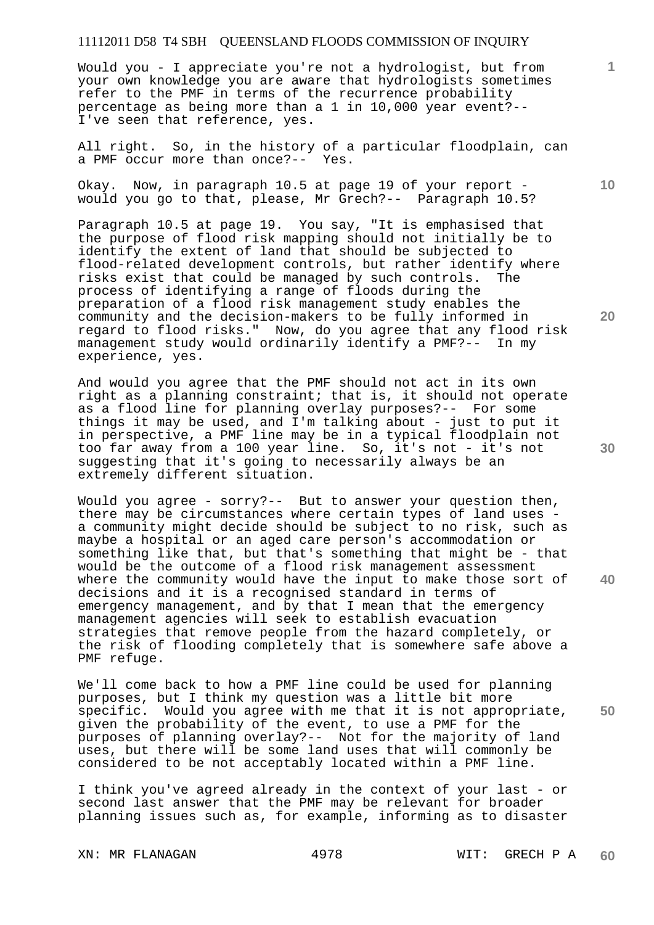Would you - I appreciate you're not a hydrologist, but from your own knowledge you are aware that hydrologists sometimes refer to the PMF in terms of the recurrence probability percentage as being more than a 1 in 10,000 year event?-- I've seen that reference, yes.

All right. So, in the history of a particular floodplain, can a PMF occur more than once?-- Yes.

Okay. Now, in paragraph 10.5 at page 19 of your report would you go to that, please, Mr Grech?-- Paragraph 10.5?

Paragraph 10.5 at page 19. You say, "It is emphasised that the purpose of flood risk mapping should not initially be to identify the extent of land that should be subjected to flood-related development controls, but rather identify where risks exist that could be managed by such controls. The process of identifying a range of floods during the preparation of a flood risk management study enables the community and the decision-makers to be fully informed in regard to flood risks." Now, do you agree that any flood risk<br>management study would ordinarily identify a PMF?-- In my management study would ordinarily identify a PMF?-experience, yes.

And would you agree that the PMF should not act in its own right as a planning constraint; that is, it should not operate as a flood line for planning overlay purposes?-- For some things it may be used, and I'm talking about - just to put it in perspective, a PMF line may be in a typical floodplain not too far away from a 100 year line. So, it's not - it's not suggesting that it's going to necessarily always be an extremely different situation.

Would you agree - sorry?-- But to answer your question then, there may be circumstances where certain types of land uses a community might decide should be subject to no risk, such as maybe a hospital or an aged care person's accommodation or something like that, but that's something that might be - that would be the outcome of a flood risk management assessment where the community would have the input to make those sort of decisions and it is a recognised standard in terms of emergency management, and by that I mean that the emergency management agencies will seek to establish evacuation strategies that remove people from the hazard completely, or the risk of flooding completely that is somewhere safe above a PMF refuge.

We'll come back to how a PMF line could be used for planning purposes, but I think my question was a little bit more specific. Would you agree with me that it is not appropriate, given the probability of the event, to use a PMF for the purposes of planning overlay?-- Not for the majority of land uses, but there will be some land uses that will commonly be considered to be not acceptably located within a PMF line.

I think you've agreed already in the context of your last - or second last answer that the PMF may be relevant for broader planning issues such as, for example, informing as to disaster

XN: MR FLANAGAN 4978 WIT: GRECH P A **60** 

**20** 

**10** 

**1**

**40**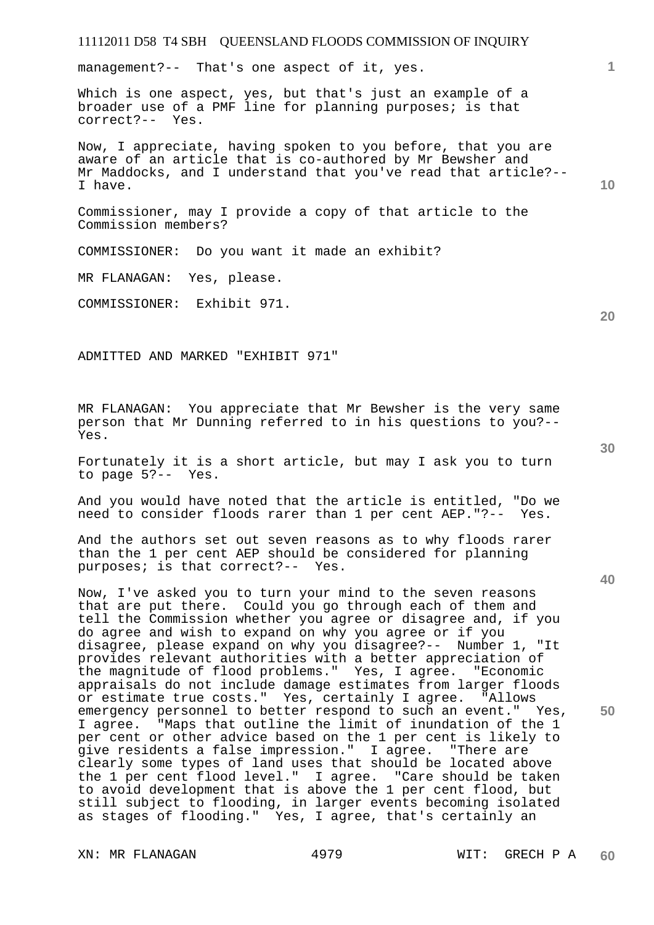## 11112011 D58 T4 SBH QUEENSLAND FLOODS COMMISSION OF INQUIRY management?-- That's one aspect of it, yes.

Which is one aspect, yes, but that's just an example of a broader use of a PMF line for planning purposes; is that correct?-- Yes.

Now, I appreciate, having spoken to you before, that you are aware of an article that is co-authored by Mr Bewsher and Mr Maddocks, and I understand that you've read that article?-- I have.

Commissioner, may I provide a copy of that article to the Commission members?

COMMISSIONER: Do you want it made an exhibit?

MR FLANAGAN: Yes, please.

COMMISSIONER: Exhibit 971.

ADMITTED AND MARKED "EXHIBIT 971"

MR FLANAGAN: You appreciate that Mr Bewsher is the very same person that Mr Dunning referred to in his questions to you?-- Yes.

Fortunately it is a short article, but may I ask you to turn to page 5?-- Yes.

And you would have noted that the article is entitled, "Do we need to consider floods rarer than 1 per cent AEP."?-- Yes.

And the authors set out seven reasons as to why floods rarer than the 1 per cent AEP should be considered for planning purposes; is that correct?-- Yes.

Now, I've asked you to turn your mind to the seven reasons that are put there. Could you go through each of them and tell the Commission whether you agree or disagree and, if you do agree and wish to expand on why you agree or if you disagree, please expand on why you disagree?-- Number 1, "It provides relevant authorities with a better appreciation of the magnitude of flood problems." Yes, I agree. "Economic appraisals do not include damage estimates from larger floods or estimate true costs." Yes, certainly I agree. "Allows emergency personnel to better respond to such an event." Yes, I agree. "Maps that outline the limit of inundation of the 1 per cent or other advice based on the 1 per cent is likely to give residents a false impression." I agree. "There are clearly some types of land uses that should be located above the 1 per cent flood level." I agree. "Care should be taken to avoid development that is above the 1 per cent flood, but still subject to flooding, in larger events becoming isolated as stages of flooding." Yes, I agree, that's certainly an

**30** 

**20** 

**50** 

**10**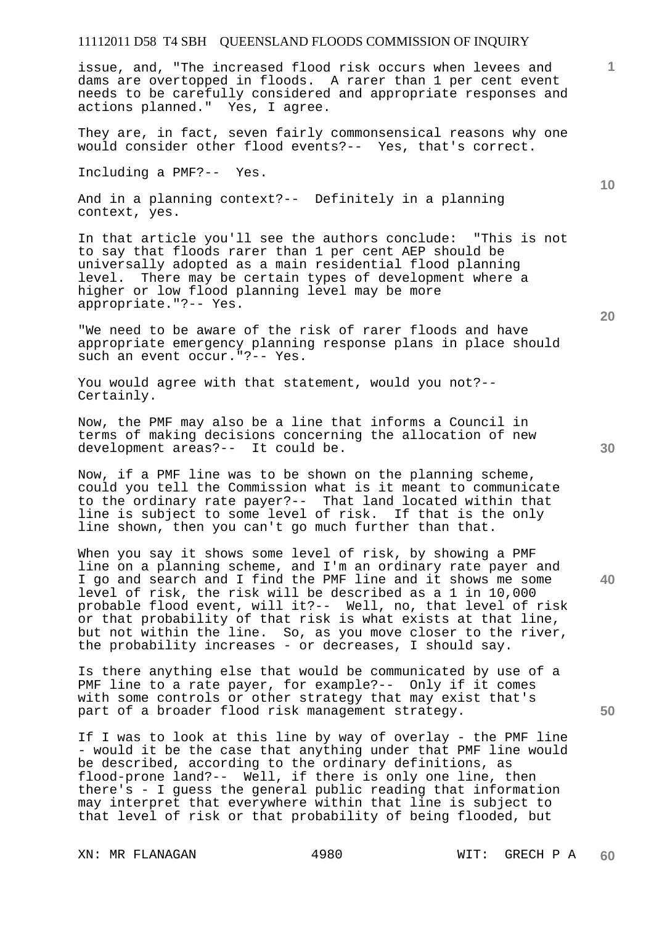issue, and, "The increased flood risk occurs when levees and dams are overtopped in floods. A rarer than 1 per cent event needs to be carefully considered and appropriate responses and actions planned." Yes, I agree.

They are, in fact, seven fairly commonsensical reasons why one would consider other flood events?-- Yes, that's correct.

Including a PMF?-- Yes.

And in a planning context?-- Definitely in a planning context, yes.

In that article you'll see the authors conclude: "This is not to say that floods rarer than 1 per cent AEP should be universally adopted as a main residential flood planning level. There may be certain types of development where a higher or low flood planning level may be more appropriate."?-- Yes.

"We need to be aware of the risk of rarer floods and have appropriate emergency planning response plans in place should such an event occur."?-- Yes.

You would agree with that statement, would you not?-- Certainly.

Now, the PMF may also be a line that informs a Council in terms of making decisions concerning the allocation of new development areas?-- It could be.

Now, if a PMF line was to be shown on the planning scheme, could you tell the Commission what is it meant to communicate to the ordinary rate payer?-- That land located within that line is subject to some level of risk. If that is the only line shown, then you can't go much further than that.

When you say it shows some level of risk, by showing a PMF line on a planning scheme, and I'm an ordinary rate payer and I go and search and I find the PMF line and it shows me some level of risk, the risk will be described as a 1 in 10,000 probable flood event, will it?-- Well, no, that level of risk or that probability of that risk is what exists at that line, but not within the line. So, as you move closer to the river, the probability increases - or decreases, I should say.

Is there anything else that would be communicated by use of a PMF line to a rate payer, for example?-- Only if it comes with some controls or other strategy that may exist that's part of a broader flood risk management strategy.

If I was to look at this line by way of overlay - the PMF line - would it be the case that anything under that PMF line would be described, according to the ordinary definitions, as flood-prone land?-- Well, if there is only one line, then there's - I guess the general public reading that information may interpret that everywhere within that line is subject to that level of risk or that probability of being flooded, but

XN: MR FLANAGAN 4980 WIT: GRECH P A

**20** 

**30** 

**40** 

**50** 

**10**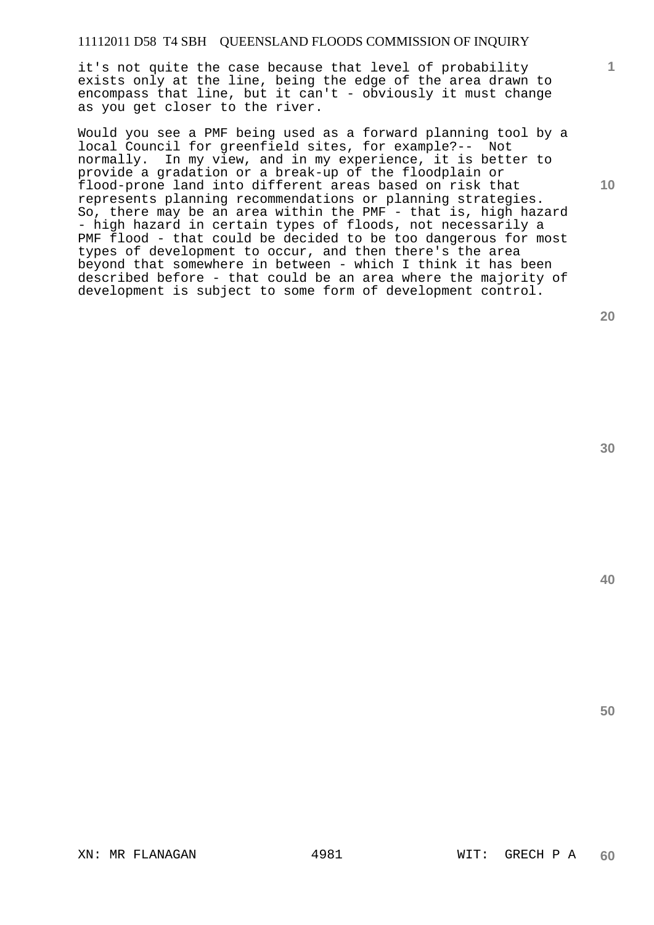it's not quite the case because that level of probability exists only at the line, being the edge of the area drawn to encompass that line, but it can't - obviously it must change as you get closer to the river.

Would you see a PMF being used as a forward planning tool by a local Council for greenfield sites, for example?-- Not normally. In my view, and in my experience, it is better to provide a gradation or a break-up of the floodplain or flood-prone land into different areas based on risk that represents planning recommendations or planning strategies. So, there may be an area within the PMF - that is, high hazard - high hazard in certain types of floods, not necessarily a PMF flood - that could be decided to be too dangerous for most types of development to occur, and then there's the area beyond that somewhere in between - which I think it has been described before - that could be an area where the majority of development is subject to some form of development control.

**20** 

**30** 

**40** 

**50** 

**1**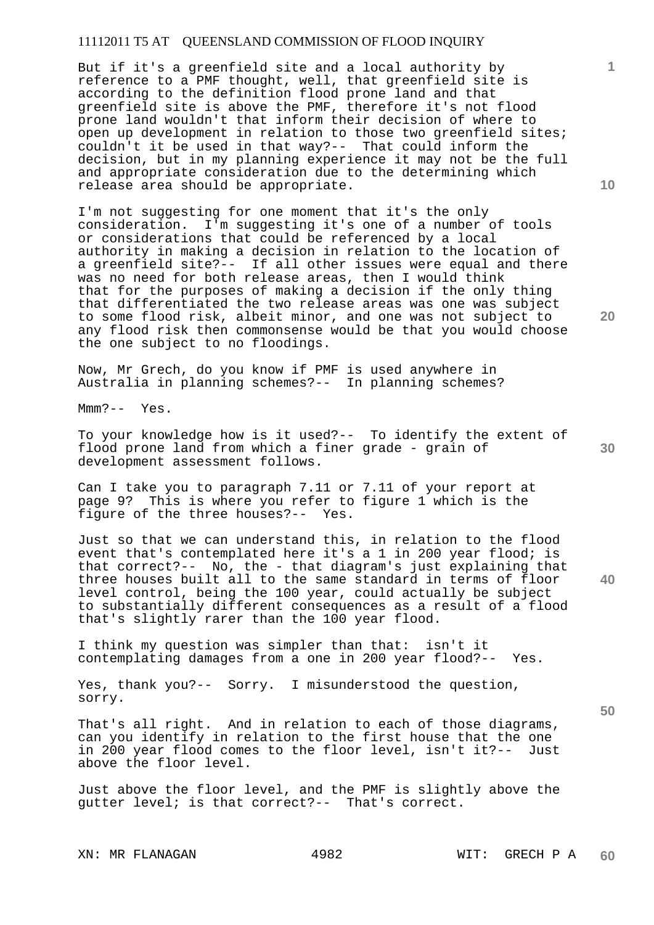But if it's a greenfield site and a local authority by reference to a PMF thought, well, that greenfield site is according to the definition flood prone land and that greenfield site is above the PMF, therefore it's not flood prone land wouldn't that inform their decision of where to open up development in relation to those two greenfield sites; couldn't it be used in that way?-- That could inform the decision, but in my planning experience it may not be the full and appropriate consideration due to the determining which release area should be appropriate.

I'm not suggesting for one moment that it's the only consideration. I'm suggesting it's one of a number of tools or considerations that could be referenced by a local authority in making a decision in relation to the location of a greenfield site?-- If all other issues were equal and there was no need for both release areas, then I would think that for the purposes of making a decision if the only thing that differentiated the two release areas was one was subject to some flood risk, albeit minor, and one was not subject to any flood risk then commonsense would be that you would choose the one subject to no floodings.

Now, Mr Grech, do you know if PMF is used anywhere in Australia in planning schemes?-- In planning schemes?

Mmm?-- Yes.

To your knowledge how is it used?-- To identify the extent of flood prone land from which a finer grade - grain of development assessment follows.

Can I take you to paragraph 7.11 or 7.11 of your report at page 9? This is where you refer to figure 1 which is the figure of the three houses?-- Yes.

Just so that we can understand this, in relation to the flood event that's contemplated here it's a 1 in 200 year flood; is that correct?-- No, the - that diagram's just explaining that three houses built all to the same standard in terms of floor level control, being the 100 year, could actually be subject to substantially different consequences as a result of a flood that's slightly rarer than the 100 year flood.

I think my question was simpler than that: isn't it contemplating damages from a one in 200 year flood?-- Yes.

Yes, thank you?-- Sorry. I misunderstood the question, sorry.

That's all right. And in relation to each of those diagrams, can you identify in relation to the first house that the one in 200 year flood comes to the floor level, isn't it?-- Just above the floor level.

Just above the floor level, and the PMF is slightly above the gutter level; is that correct?-- That's correct.

XN: MR FLANAGAN 4982 WIT: GRECH P A

**10** 

**1**

**20** 

**30**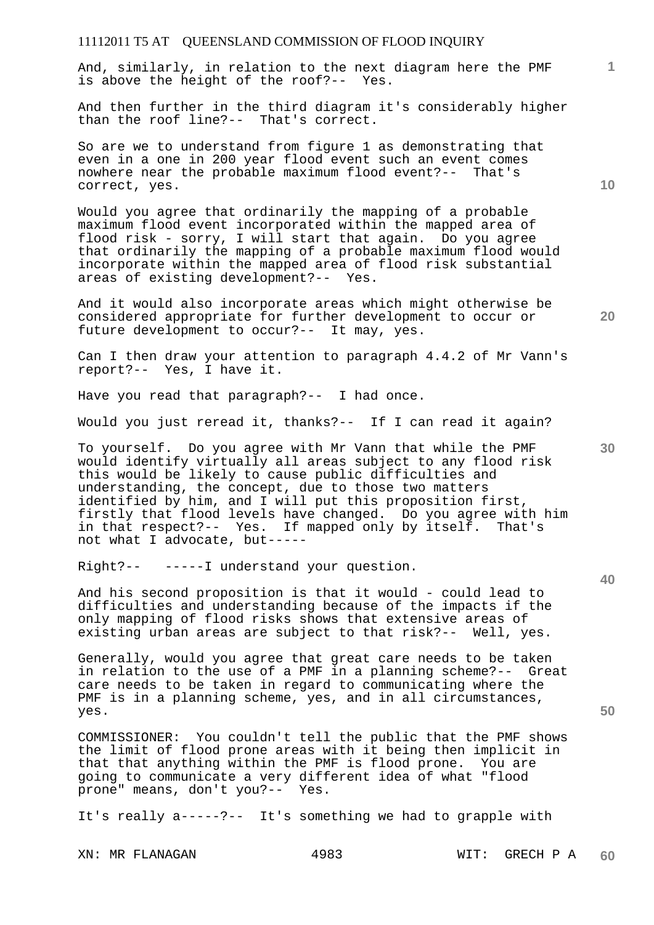And, similarly, in relation to the next diagram here the PMF is above the height of the roof?-- Yes.

And then further in the third diagram it's considerably higher than the roof line?-- That's correct.

So are we to understand from figure 1 as demonstrating that even in a one in 200 year flood event such an event comes nowhere near the probable maximum flood event?-- That's correct, yes.

Would you agree that ordinarily the mapping of a probable maximum flood event incorporated within the mapped area of flood risk - sorry, I will start that again. Do you agree that ordinarily the mapping of a probable maximum flood would incorporate within the mapped area of flood risk substantial areas of existing development?-- Yes.

And it would also incorporate areas which might otherwise be considered appropriate for further development to occur or future development to occur?-- It may, yes.

Can I then draw your attention to paragraph 4.4.2 of Mr Vann's report?-- Yes, I have it.

Have you read that paragraph?-- I had once.

Would you just reread it, thanks?-- If I can read it again?

To yourself. Do you agree with Mr Vann that while the PMF would identify virtually all areas subject to any flood risk this would be likely to cause public difficulties and understanding, the concept, due to those two matters identified by him, and I will put this proposition first, firstly that flood levels have changed. Do you agree with him in that respect?-- Yes. If mapped only by itself. That's not what I advocate, but-----

Right?-- -----I understand your question.

And his second proposition is that it would - could lead to difficulties and understanding because of the impacts if the only mapping of flood risks shows that extensive areas of existing urban areas are subject to that risk?-- Well, yes.

Generally, would you agree that great care needs to be taken in relation to the use of a PMF in a planning scheme?-- Great care needs to be taken in regard to communicating where the PMF is in a planning scheme, yes, and in all circumstances, yes.

COMMISSIONER: You couldn't tell the public that the PMF shows the limit of flood prone areas with it being then implicit in that that anything within the PMF is flood prone. You are going to communicate a very different idea of what "flood prone" means, don't you?-- Yes.

It's really a-----?-- It's something we had to grapple with

XN: MR FLANAGAN 4983 WIT: GRECH P A

**10** 

**1**

**20** 

**30**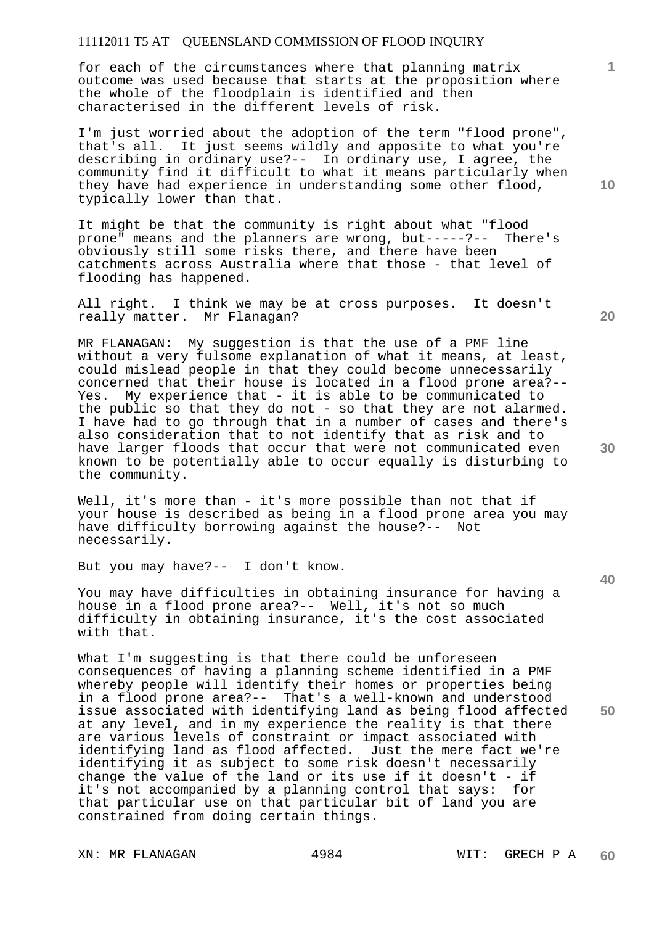for each of the circumstances where that planning matrix outcome was used because that starts at the proposition where the whole of the floodplain is identified and then characterised in the different levels of risk.

I'm just worried about the adoption of the term "flood prone", that's all. It just seems wildly and apposite to what you're describing in ordinary use?-- In ordinary use, I agree, the community find it difficult to what it means particularly when they have had experience in understanding some other flood, typically lower than that.

It might be that the community is right about what "flood<br>prone" means and the planners are wrong, but-----?-- There's prone" means and the planners are wrong, but-----?-obviously still some risks there, and there have been catchments across Australia where that those - that level of flooding has happened.

All right. I think we may be at cross purposes. It doesn't really matter. Mr Flanagan?

MR FLANAGAN: My suggestion is that the use of a PMF line without a very fulsome explanation of what it means, at least, could mislead people in that they could become unnecessarily concerned that their house is located in a flood prone area?-- Yes. My experience that - it is able to be communicated to the public so that they do not - so that they are not alarmed. I have had to go through that in a number of cases and there's also consideration that to not identify that as risk and to have larger floods that occur that were not communicated even known to be potentially able to occur equally is disturbing to the community.

Well, it's more than - it's more possible than not that if your house is described as being in a flood prone area you may have difficulty borrowing against the house?-- Not necessarily.

But you may have?-- I don't know.

You may have difficulties in obtaining insurance for having a house in a flood prone area?-- Well, it's not so much difficulty in obtaining insurance, it's the cost associated with that.

What I'm suggesting is that there could be unforeseen consequences of having a planning scheme identified in a PMF whereby people will identify their homes or properties being in a flood prone area?-- That's a well-known and understood issue associated with identifying land as being flood affected at any level, and in my experience the reality is that there are various levels of constraint or impact associated with identifying land as flood affected. Just the mere fact we're identifying it as subject to some risk doesn't necessarily change the value of the land or its use if it doesn't - if it's not accompanied by a planning control that says: for that particular use on that particular bit of land you are constrained from doing certain things.

XN: MR FLANAGAN 4984 WIT: GRECH P A

**20** 

**10** 

**1**

**40**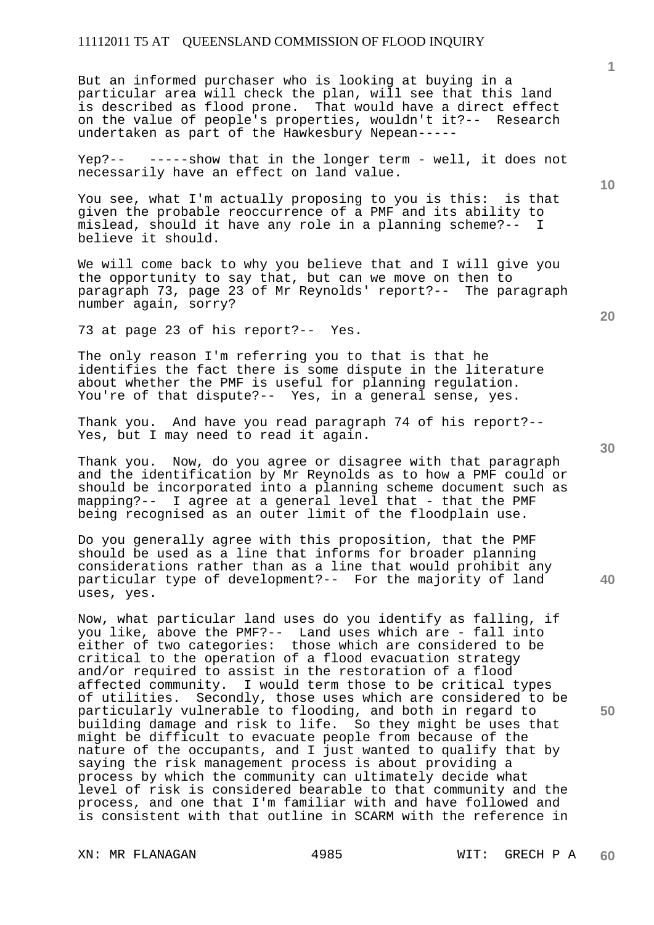But an informed purchaser who is looking at buying in a particular area will check the plan, will see that this land is described as flood prone. That would have a direct effect on the value of people's properties, wouldn't it?-- Research undertaken as part of the Hawkesbury Nepean-----

Yep?-- -----show that in the longer term - well, it does not necessarily have an effect on land value.

You see, what I'm actually proposing to you is this: is that given the probable reoccurrence of a PMF and its ability to mislead, should it have any role in a planning scheme?-- I believe it should.

We will come back to why you believe that and I will give you the opportunity to say that, but can we move on then to paragraph 73, page 23 of Mr Reynolds' report?-- The paragraph number again, sorry?

73 at page 23 of his report?-- Yes.

The only reason I'm referring you to that is that he identifies the fact there is some dispute in the literature about whether the PMF is useful for planning regulation. You're of that dispute?-- Yes, in a general sense, yes.

Thank you. And have you read paragraph 74 of his report?-- Yes, but I may need to read it again.

Thank you. Now, do you agree or disagree with that paragraph and the identification by Mr Reynolds as to how a PMF could or should be incorporated into a planning scheme document such as mapping?-- I agree at a general level that - that the PMF being recognised as an outer limit of the floodplain use.

Do you generally agree with this proposition, that the PMF should be used as a line that informs for broader planning considerations rather than as a line that would prohibit any particular type of development?-- For the majority of land uses, yes.

Now, what particular land uses do you identify as falling, if you like, above the PMF?-- Land uses which are - fall into either of two categories: those which are considered to be critical to the operation of a flood evacuation strategy and/or required to assist in the restoration of a flood affected community. I would term those to be critical types of utilities. Secondly, those uses which are considered to be particularly vulnerable to flooding, and both in regard to building damage and risk to life. So they might be uses that might be difficult to evacuate people from because of the nature of the occupants, and I just wanted to qualify that by saying the risk management process is about providing a process by which the community can ultimately decide what level of risk is considered bearable to that community and the process, and one that I'm familiar with and have followed and is consistent with that outline in SCARM with the reference in

XN: MR FLANAGAN 4985 WIT: GRECH P A

**20** 

**1**

**10** 

**30** 

**40**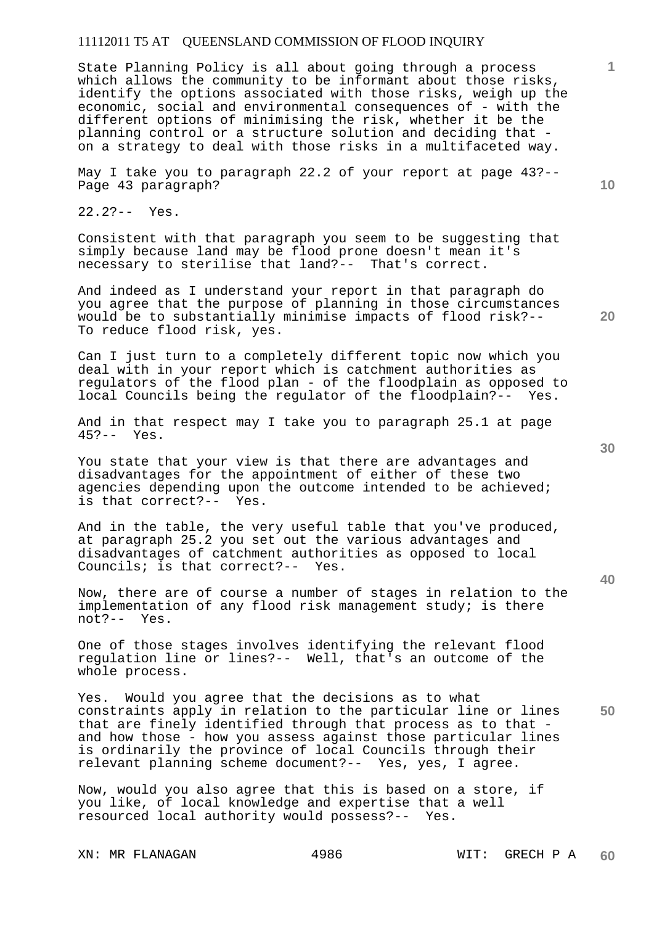State Planning Policy is all about going through a process which allows the community to be informant about those risks, identify the options associated with those risks, weigh up the economic, social and environmental consequences of - with the different options of minimising the risk, whether it be the planning control or a structure solution and deciding that on a strategy to deal with those risks in a multifaceted way.

May I take you to paragraph 22.2 of your report at page 43?-- Page 43 paragraph?

22.2?-- Yes.

Consistent with that paragraph you seem to be suggesting that simply because land may be flood prone doesn't mean it's necessary to sterilise that land?-- That's correct.

And indeed as I understand your report in that paragraph do you agree that the purpose of planning in those circumstances would be to substantially minimise impacts of flood risk?-- To reduce flood risk, yes.

Can I just turn to a completely different topic now which you deal with in your report which is catchment authorities as regulators of the flood plan - of the floodplain as opposed to local Councils being the regulator of the floodplain?-- Yes.

And in that respect may I take you to paragraph 25.1 at page 45?-- Yes.

You state that your view is that there are advantages and disadvantages for the appointment of either of these two agencies depending upon the outcome intended to be achieved; is that correct?-- Yes.

And in the table, the very useful table that you've produced, at paragraph 25.2 you set out the various advantages and disadvantages of catchment authorities as opposed to local Councils; is that correct?-- Yes.

Now, there are of course a number of stages in relation to the implementation of any flood risk management study; is there not?-- Yes.

One of those stages involves identifying the relevant flood regulation line or lines?-- Well, that's an outcome of the whole process.

**50**  Yes. Would you agree that the decisions as to what constraints apply in relation to the particular line or lines that are finely identified through that process as to that and how those - how you assess against those particular lines is ordinarily the province of local Councils through their relevant planning scheme document?-- Yes, yes, I agree.

Now, would you also agree that this is based on a store, if you like, of local knowledge and expertise that a well resourced local authority would possess?-- Yes.

XN: MR FLANAGAN 4986 WIT: GRECH P A

**30** 

**40** 

**1**

**10**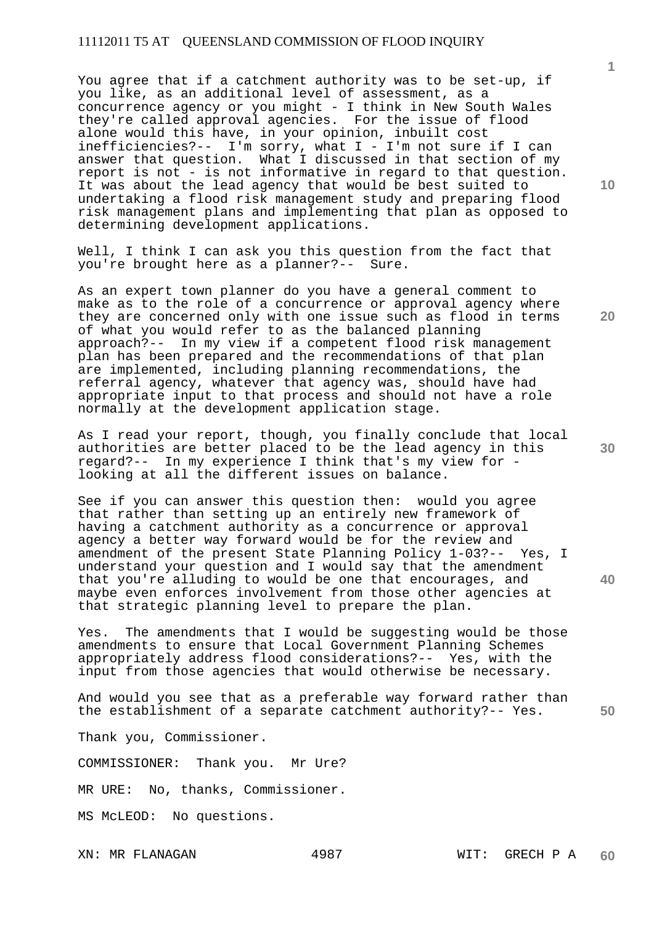You agree that if a catchment authority was to be set-up, if you like, as an additional level of assessment, as a concurrence agency or you might - I think in New South Wales they're called approval agencies. For the issue of flood alone would this have, in your opinion, inbuilt cost inefficiencies?-- I'm sorry, what I - I'm not sure if I can answer that question. What I discussed in that section of my report is not - is not informative in regard to that question. It was about the lead agency that would be best suited to undertaking a flood risk management study and preparing flood risk management plans and implementing that plan as opposed to determining development applications.

Well, I think I can ask you this question from the fact that you're brought here as a planner?-- Sure.

As an expert town planner do you have a general comment to make as to the role of a concurrence or approval agency where they are concerned only with one issue such as flood in terms of what you would refer to as the balanced planning approach?-- In my view if a competent flood risk management plan has been prepared and the recommendations of that plan are implemented, including planning recommendations, the referral agency, whatever that agency was, should have had appropriate input to that process and should not have a role normally at the development application stage.

As I read your report, though, you finally conclude that local authorities are better placed to be the lead agency in this regard?-- In my experience I think that's my view for looking at all the different issues on balance.

See if you can answer this question then: would you agree that rather than setting up an entirely new framework of having a catchment authority as a concurrence or approval agency a better way forward would be for the review and amendment of the present State Planning Policy 1-03?-- Yes, I understand your question and I would say that the amendment that you're alluding to would be one that encourages, and maybe even enforces involvement from those other agencies at that strategic planning level to prepare the plan.

Yes. The amendments that I would be suggesting would be those amendments to ensure that Local Government Planning Schemes appropriately address flood considerations?-- Yes, with the input from those agencies that would otherwise be necessary.

And would you see that as a preferable way forward rather than the establishment of a separate catchment authority?-- Yes.

Thank you, Commissioner.

COMMISSIONER: Thank you. Mr Ure?

MR URE: No, thanks, Commissioner.

MS McLEOD: No questions.

XN: MR FLANAGAN 4987 WIT: GRECH P A **60** 

**10** 

**1**

**20** 

**30** 

**40**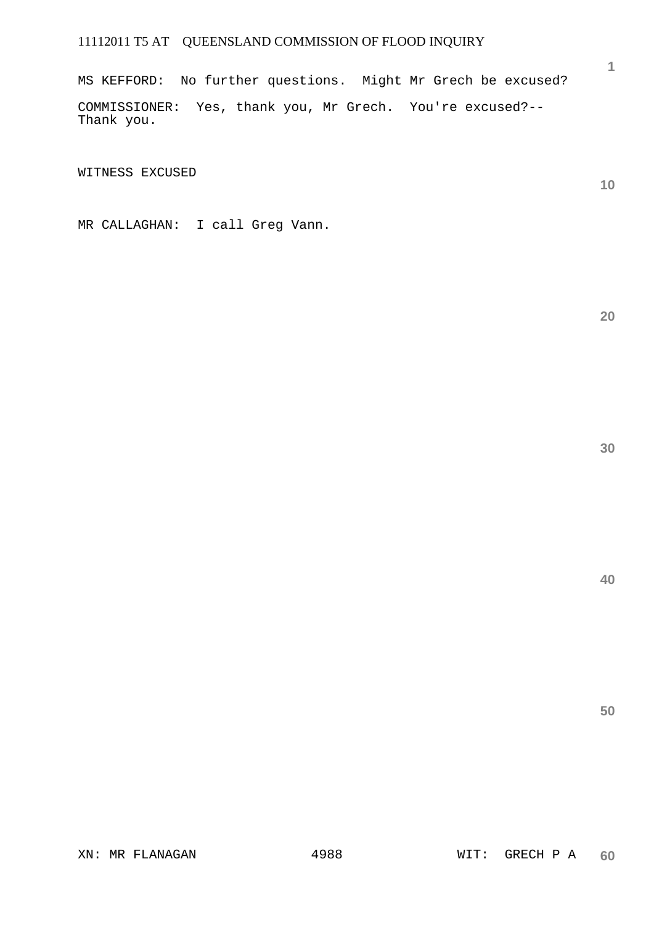MS KEFFORD: No further questions. Might Mr Grech be excused?

COMMISSIONER: Yes, thank you, Mr Grech. You're excused?-- Thank you.

WITNESS EXCUSED

MR CALLAGHAN: I call Greg Vann.

**20** 

**1**

**10**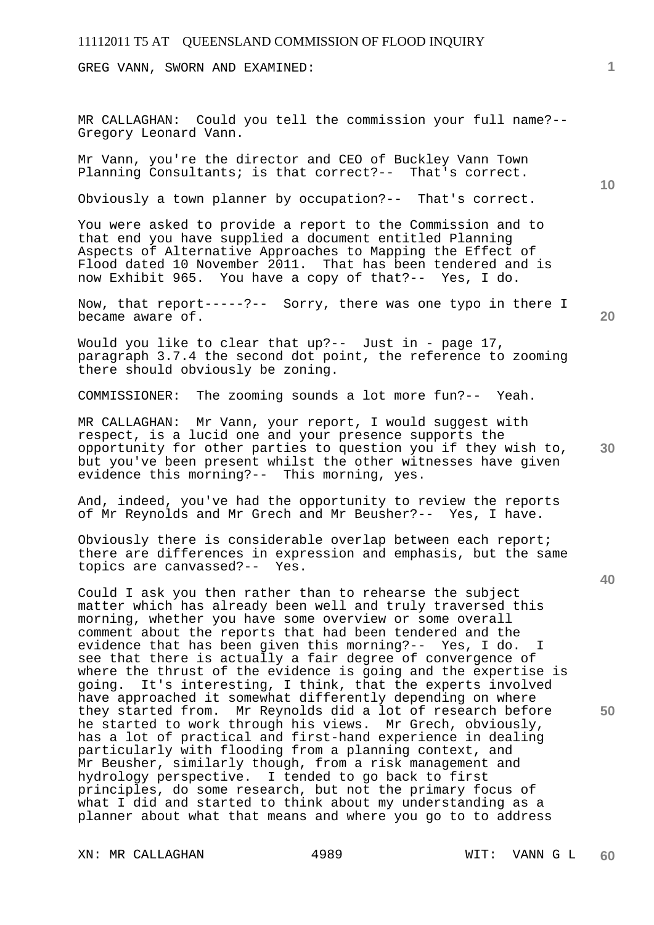GREG VANN, SWORN AND EXAMINED:

MR CALLAGHAN: Could you tell the commission your full name?-- Gregory Leonard Vann.

Mr Vann, you're the director and CEO of Buckley Vann Town Planning Consultants; is that correct?-- That's correct.

Obviously a town planner by occupation?-- That's correct.

You were asked to provide a report to the Commission and to that end you have supplied a document entitled Planning Aspects of Alternative Approaches to Mapping the Effect of Flood dated 10 November 2011. That has been tendered and is now Exhibit 965. You have a copy of that?-- Yes, I do.

Now, that report-----?-- Sorry, there was one typo in there I became aware of.

**20** 

**40** 

**50** 

**10** 

Would you like to clear that up?-- Just in - page 17, paragraph 3.7.4 the second dot point, the reference to zooming there should obviously be zoning.

COMMISSIONER: The zooming sounds a lot more fun?-- Yeah.

**30**  MR CALLAGHAN: Mr Vann, your report, I would suggest with respect, is a lucid one and your presence supports the opportunity for other parties to question you if they wish to, but you've been present whilst the other witnesses have given evidence this morning?-- This morning, yes.

And, indeed, you've had the opportunity to review the reports of Mr Reynolds and Mr Grech and Mr Beusher?-- Yes, I have.

Obviously there is considerable overlap between each report; there are differences in expression and emphasis, but the same topics are canvassed?-- Yes.

Could I ask you then rather than to rehearse the subject matter which has already been well and truly traversed this morning, whether you have some overview or some overall comment about the reports that had been tendered and the evidence that has been given this morning?-- Yes, I do. I see that there is actually a fair degree of convergence of where the thrust of the evidence is going and the expertise is going. It's interesting, I think, that the experts involved have approached it somewhat differently depending on where they started from. Mr Reynolds did a lot of research before he started to work through his views. Mr Grech, obviously, has a lot of practical and first-hand experience in dealing particularly with flooding from a planning context, and Mr Beusher, similarly though, from a risk management and hydrology perspective. I tended to go back to first principles, do some research, but not the primary focus of what I did and started to think about my understanding as a planner about what that means and where you go to to address

XN: MR CALLAGHAN 4989 WIT: VANN G L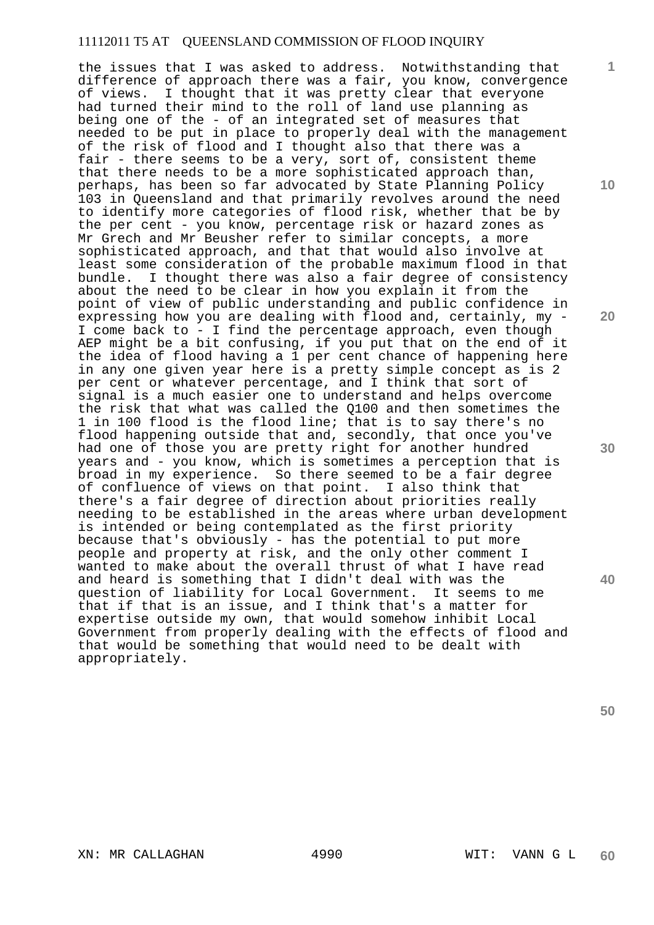the issues that I was asked to address. Notwithstanding that difference of approach there was a fair, you know, convergence of views. I thought that it was pretty clear that everyone had turned their mind to the roll of land use planning as being one of the - of an integrated set of measures that needed to be put in place to properly deal with the management of the risk of flood and I thought also that there was a fair - there seems to be a very, sort of, consistent theme that there needs to be a more sophisticated approach than, perhaps, has been so far advocated by State Planning Policy 103 in Queensland and that primarily revolves around the need to identify more categories of flood risk, whether that be by the per cent - you know, percentage risk or hazard zones as Mr Grech and Mr Beusher refer to similar concepts, a more sophisticated approach, and that that would also involve at least some consideration of the probable maximum flood in that bundle. I thought there was also a fair degree of consistency about the need to be clear in how you explain it from the point of view of public understanding and public confidence in expressing how you are dealing with flood and, certainly, my - I come back to - I find the percentage approach, even though AEP might be a bit confusing, if you put that on the end of it the idea of flood having a 1 per cent chance of happening here in any one given year here is a pretty simple concept as is 2 per cent or whatever percentage, and I think that sort of signal is a much easier one to understand and helps overcome the risk that what was called the Q100 and then sometimes the 1 in 100 flood is the flood line; that is to say there's no flood happening outside that and, secondly, that once you've had one of those you are pretty right for another hundred years and - you know, which is sometimes a perception that is broad in my experience. So there seemed to be a fair degree of confluence of views on that point. I also think that there's a fair degree of direction about priorities really needing to be established in the areas where urban development is intended or being contemplated as the first priority because that's obviously - has the potential to put more people and property at risk, and the only other comment I wanted to make about the overall thrust of what I have read and heard is something that I didn't deal with was the question of liability for Local Government. It seems to me that if that is an issue, and I think that's a matter for expertise outside my own, that would somehow inhibit Local Government from properly dealing with the effects of flood and that would be something that would need to be dealt with appropriately.

**10** 

**1**

**20** 

**30** 

**40**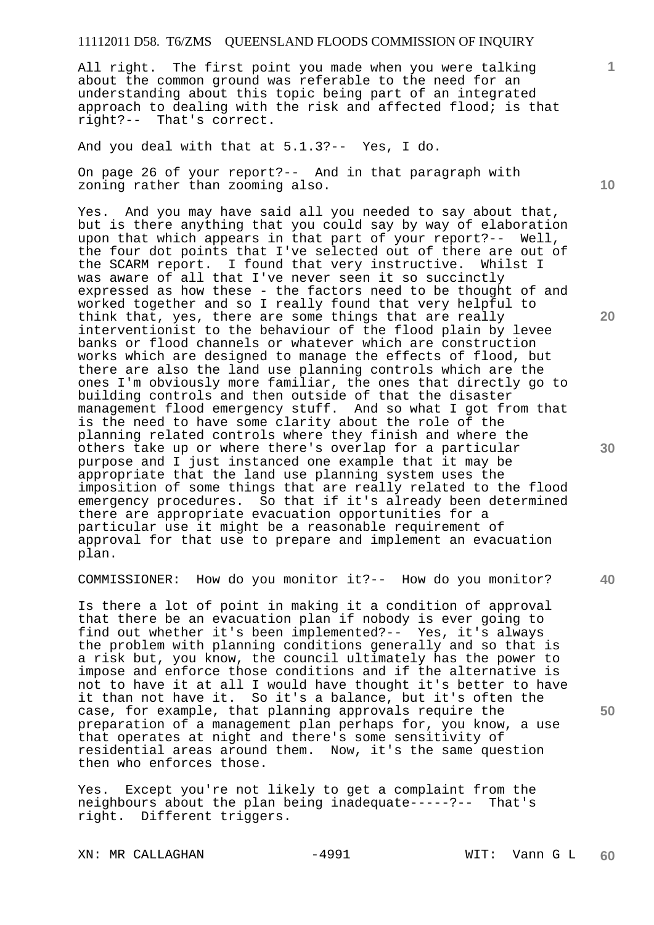All right. The first point you made when you were talking about the common ground was referable to the need for an understanding about this topic being part of an integrated approach to dealing with the risk and affected flood; is that right?-- That's correct.

And you deal with that at 5.1.3?-- Yes, I do.

On page 26 of your report?-- And in that paragraph with zoning rather than zooming also.

Yes. And you may have said all you needed to say about that, but is there anything that you could say by way of elaboration upon that which appears in that part of your report?-- Well, the four dot points that I've selected out of there are out of the SCARM report. I found that very instructive. Whilst I was aware of all that I've never seen it so succinctly expressed as how these - the factors need to be thought of and worked together and so I really found that very helpful to think that, yes, there are some things that are really interventionist to the behaviour of the flood plain by levee banks or flood channels or whatever which are construction works which are designed to manage the effects of flood, but there are also the land use planning controls which are the ones I'm obviously more familiar, the ones that directly go to building controls and then outside of that the disaster management flood emergency stuff. And so what I got from that is the need to have some clarity about the role of the planning related controls where they finish and where the others take up or where there's overlap for a particular purpose and I just instanced one example that it may be appropriate that the land use planning system uses the imposition of some things that are really related to the flood emergency procedures. So that if it's already been determined there are appropriate evacuation opportunities for a particular use it might be a reasonable requirement of approval for that use to prepare and implement an evacuation plan.

COMMISSIONER: How do you monitor it?-- How do you monitor?

Is there a lot of point in making it a condition of approval that there be an evacuation plan if nobody is ever going to find out whether it's been implemented?-- Yes, it's always the problem with planning conditions generally and so that is a risk but, you know, the council ultimately has the power to impose and enforce those conditions and if the alternative is not to have it at all I would have thought it's better to have it than not have it. So it's a balance, but it's often the case, for example, that planning approvals require the preparation of a management plan perhaps for, you know, a use that operates at night and there's some sensitivity of residential areas around them. Now, it's the same question then who enforces those.

Yes. Except you're not likely to get a complaint from the neighbours about the plan being inadequate-----?-- That's right. Different triggers.

XN: MR CALLAGHAN -4991 -4991 WIT: Vann G L

**10** 

**1**

**20** 

**30** 

**40**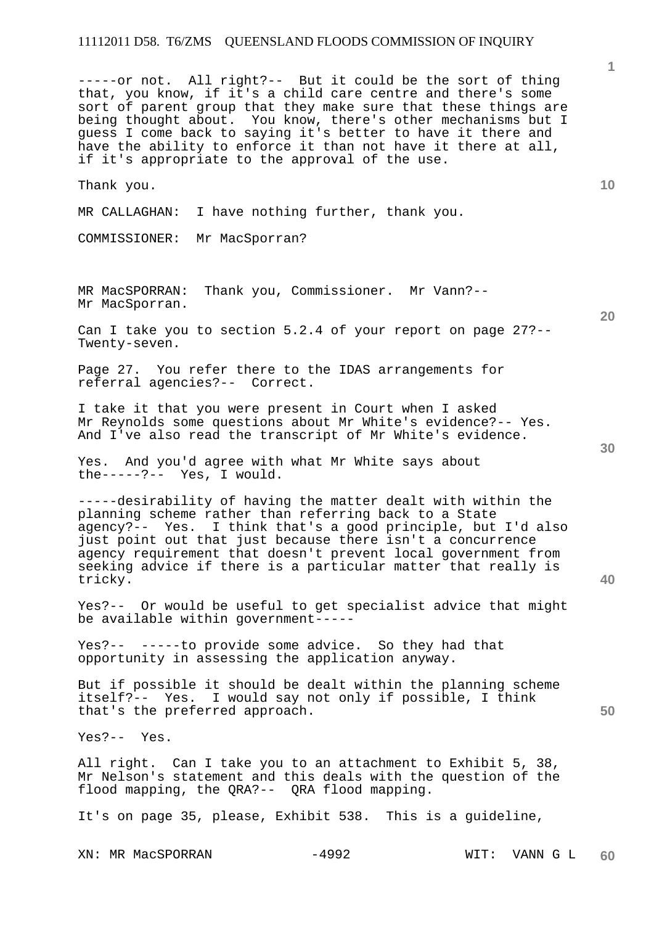-----or not. All right?-- But it could be the sort of thing that, you know, if it's a child care centre and there's some sort of parent group that they make sure that these things are being thought about. You know, there's other mechanisms but I guess I come back to saying it's better to have it there and have the ability to enforce it than not have it there at all, if it's appropriate to the approval of the use.

Thank you.

MR CALLAGHAN: I have nothing further, thank you.

COMMISSIONER: Mr MacSporran?

MR MacSPORRAN: Thank you, Commissioner. Mr Vann?-- Mr MacSporran.

Can I take you to section 5.2.4 of your report on page 27?-- Twenty-seven.

Page 27. You refer there to the IDAS arrangements for referral agencies?-- Correct.

I take it that you were present in Court when I asked Mr Reynolds some questions about Mr White's evidence?-- Yes. And I've also read the transcript of Mr White's evidence.

Yes. And you'd agree with what Mr White says about the-----?-- Yes, I would.

-----desirability of having the matter dealt with within the planning scheme rather than referring back to a State agency?-- Yes. I think that's a good principle, but I'd also just point out that just because there isn't a concurrence agency requirement that doesn't prevent local government from seeking advice if there is a particular matter that really is tricky.

Yes?-- Or would be useful to get specialist advice that might be available within government-----

Yes?-- -----to provide some advice. So they had that opportunity in assessing the application anyway.

But if possible it should be dealt within the planning scheme itself?-- Yes. I would say not only if possible, I think that's the preferred approach.

Yes?-- Yes.

All right. Can I take you to an attachment to Exhibit 5, 38, Mr Nelson's statement and this deals with the question of the flood mapping, the QRA?-- QRA flood mapping.

It's on page 35, please, Exhibit 538. This is a guideline,

XN: MR MacSPORRAN -4992 WIT: VANN G L

**1**

**10** 

**30** 

**40** 

**50**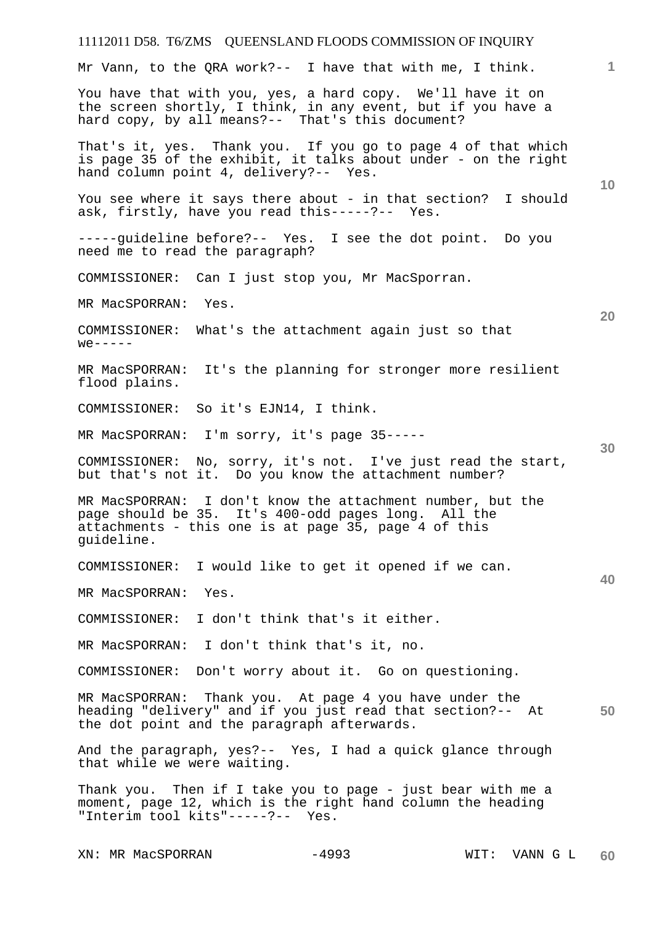### 11112011 D58. T6/ZMS QUEENSLAND FLOODS COMMISSION OF INQUIRY **1 10 20 30 40 50**  Mr Vann, to the QRA work?-- I have that with me, I think. You have that with you, yes, a hard copy. We'll have it on the screen shortly, I think, in any event, but if you have a hard copy, by all means?-- That's this document? That's it, yes. Thank you. If you go to page 4 of that which is page 35 of the exhibit, it talks about under - on the right hand column point 4, delivery?-- Yes. You see where it says there about - in that section? I should ask, firstly, have you read this-----?-- Yes. -----guideline before?-- Yes. I see the dot point. Do you need me to read the paragraph? COMMISSIONER: Can I just stop you, Mr MacSporran. MR MacSPORRAN: Yes. COMMISSIONER: What's the attachment again just so that  $we---$ MR MacSPORRAN: It's the planning for stronger more resilient flood plains. COMMISSIONER: So it's EJN14, I think. MR MacSPORRAN: I'm sorry, it's page 35----- COMMISSIONER: No, sorry, it's not. I've just read the start, but that's not it. Do you know the attachment number? MR MacSPORRAN: I don't know the attachment number, but the page should be 35. It's 400-odd pages long. All the attachments - this one is at page 35, page 4 of this guideline. COMMISSIONER: I would like to get it opened if we can. MR MacSPORRAN: Yes. COMMISSIONER: I don't think that's it either. MR MacSPORRAN: I don't think that's it, no. COMMISSIONER: Don't worry about it. Go on questioning. MR MacSPORRAN: Thank you. At page 4 you have under the heading "delivery" and if you just read that section?-- At the dot point and the paragraph afterwards. And the paragraph, yes?-- Yes, I had a quick glance through that while we were waiting. Thank you. Then if I take you to page - just bear with me a moment, page 12, which is the right hand column the heading "Interim tool kits"-----?-- Yes.

XN: MR MacSPORRAN -4993 WIT: VANN G L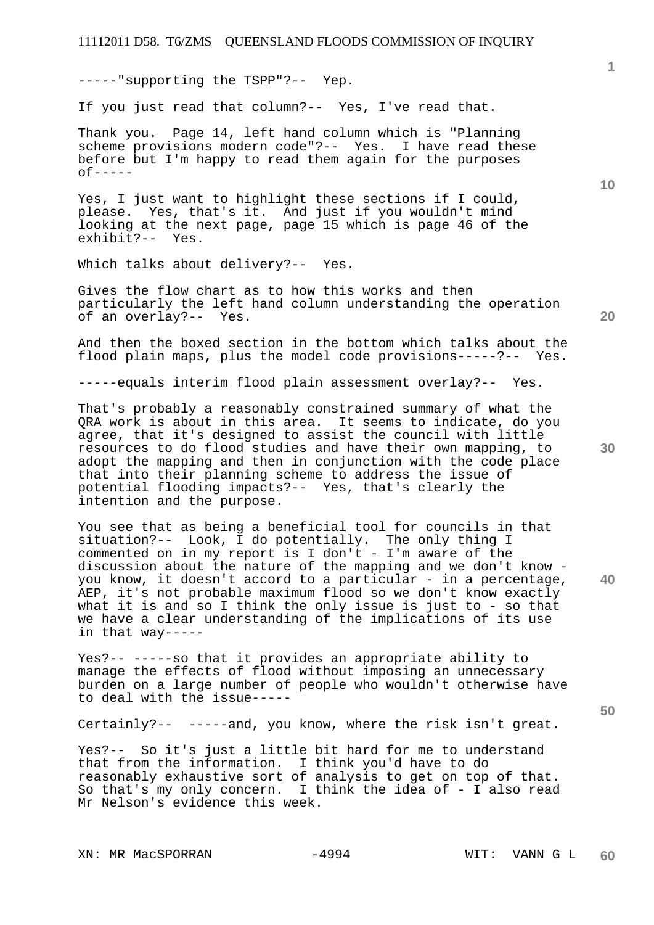-----"supporting the TSPP"?-- Yep.

If you just read that column?-- Yes, I've read that.

Thank you. Page 14, left hand column which is "Planning scheme provisions modern code"?-- Yes. I have read these before but I'm happy to read them again for the purposes  $of---$ 

Yes, I just want to highlight these sections if I could, please. Yes, that's it. And just if you wouldn't mind looking at the next page, page 15 which is page 46 of the exhibit?-- Yes.

Which talks about delivery?-- Yes.

Gives the flow chart as to how this works and then particularly the left hand column understanding the operation of an overlay?-- Yes.

And then the boxed section in the bottom which talks about the flood plain maps, plus the model code provisions-----?-- Yes.

-----equals interim flood plain assessment overlay?-- Yes.

That's probably a reasonably constrained summary of what the QRA work is about in this area. It seems to indicate, do you agree, that it's designed to assist the council with little resources to do flood studies and have their own mapping, to adopt the mapping and then in conjunction with the code place that into their planning scheme to address the issue of potential flooding impacts?-- Yes, that's clearly the intention and the purpose.

You see that as being a beneficial tool for councils in that situation?-- Look, I do potentially. The only thing I commented on in my report is I don't - I'm aware of the discussion about the nature of the mapping and we don't know you know, it doesn't accord to a particular - in a percentage, AEP, it's not probable maximum flood so we don't know exactly what it is and so I think the only issue is just to - so that we have a clear understanding of the implications of its use in that way-----

Yes?-- -----so that it provides an appropriate ability to manage the effects of flood without imposing an unnecessary burden on a large number of people who wouldn't otherwise have to deal with the issue-----

Certainly?-- -----and, you know, where the risk isn't great.

Yes?-- So it's just a little bit hard for me to understand that from the information. I think you'd have to do reasonably exhaustive sort of analysis to get on top of that. So that's my only concern. I think the idea of - I also read Mr Nelson's evidence this week.

XN: MR MacSPORRAN -4994 WIT: VANN G L

**10** 

**20** 

**30** 

**50**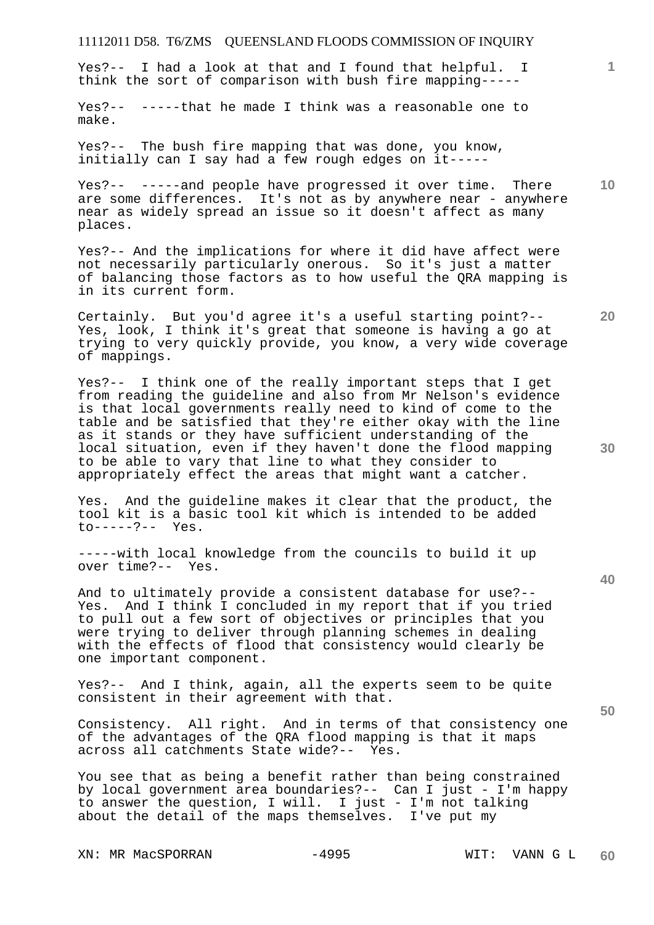Yes?-- I had a look at that and I found that helpful. I think the sort of comparison with bush fire mapping-----

Yes?-- -----that he made I think was a reasonable one to make.

Yes?-- The bush fire mapping that was done, you know, initially can I say had a few rough edges on it-----

Yes?-- -----and people have progressed it over time. There are some differences. It's not as by anywhere near - anywhere near as widely spread an issue so it doesn't affect as many places.

Yes?-- And the implications for where it did have affect were not necessarily particularly onerous. So it's just a matter of balancing those factors as to how useful the QRA mapping is in its current form.

Certainly. But you'd agree it's a useful starting point?-- Yes, look, I think it's great that someone is having a go at trying to very quickly provide, you know, a very wide coverage of mappings.

Yes?-- I think one of the really important steps that I get from reading the guideline and also from Mr Nelson's evidence is that local governments really need to kind of come to the table and be satisfied that they're either okay with the line as it stands or they have sufficient understanding of the local situation, even if they haven't done the flood mapping to be able to vary that line to what they consider to appropriately effect the areas that might want a catcher.

Yes. And the guideline makes it clear that the product, the tool kit is a basic tool kit which is intended to be added to-----?-- Yes.

-----with local knowledge from the councils to build it up over time?-- Yes.

And to ultimately provide a consistent database for use?-- Yes. And I think I concluded in my report that if you tried to pull out a few sort of objectives or principles that you were trying to deliver through planning schemes in dealing with the effects of flood that consistency would clearly be one important component.

Yes?-- And I think, again, all the experts seem to be quite consistent in their agreement with that.

Consistency. All right. And in terms of that consistency one of the advantages of the QRA flood mapping is that it maps across all catchments State wide?-- Yes.

You see that as being a benefit rather than being constrained by local government area boundaries?-- Can I just - I'm happy to answer the question, I will. I just - I'm not talking about the detail of the maps themselves. I've put my

XN: MR MacSPORRAN -4995 WIT: VANN G L

**10** 

**20** 

**1**

**30** 

**40**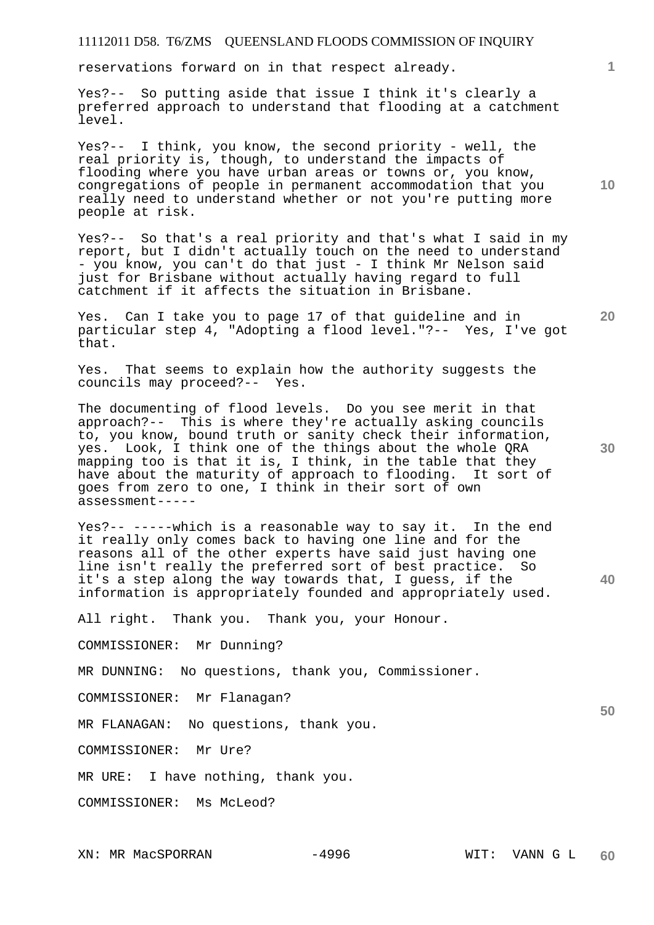reservations forward on in that respect already.

Yes?-- So putting aside that issue I think it's clearly a preferred approach to understand that flooding at a catchment level.

Yes?-- I think, you know, the second priority - well, the real priority is, though, to understand the impacts of flooding where you have urban areas or towns or, you know, congregations of people in permanent accommodation that you really need to understand whether or not you're putting more people at risk.

Yes?-- So that's a real priority and that's what I said in my report, but I didn't actually touch on the need to understand - you know, you can't do that just - I think Mr Nelson said just for Brisbane without actually having regard to full catchment if it affects the situation in Brisbane.

Yes. Can I take you to page 17 of that guideline and in particular step 4, "Adopting a flood level."?-- Yes, I've got that.

Yes. That seems to explain how the authority suggests the councils may proceed?-- Yes.

The documenting of flood levels. Do you see merit in that approach?-- This is where they're actually asking councils to, you know, bound truth or sanity check their information, yes. Look, I think one of the things about the whole QRA mapping too is that it is, I think, in the table that they have about the maturity of approach to flooding. It sort of goes from zero to one, I think in their sort of own assessment-----

Yes?-- -----which is a reasonable way to say it. In the end it really only comes back to having one line and for the reasons all of the other experts have said just having one line isn't really the preferred sort of best practice. So it's a step along the way towards that, I guess, if the information is appropriately founded and appropriately used.

All right. Thank you. Thank you, your Honour.

COMMISSIONER: Mr Dunning?

MR DUNNING: No questions, thank you, Commissioner.

COMMISSIONER: Mr Flanagan?

MR FLANAGAN: No questions, thank you.

COMMISSIONER: Mr Ure?

MR URE: I have nothing, thank you.

COMMISSIONER: Ms McLeod?

**1**

**10** 

**20** 

**30** 

**40**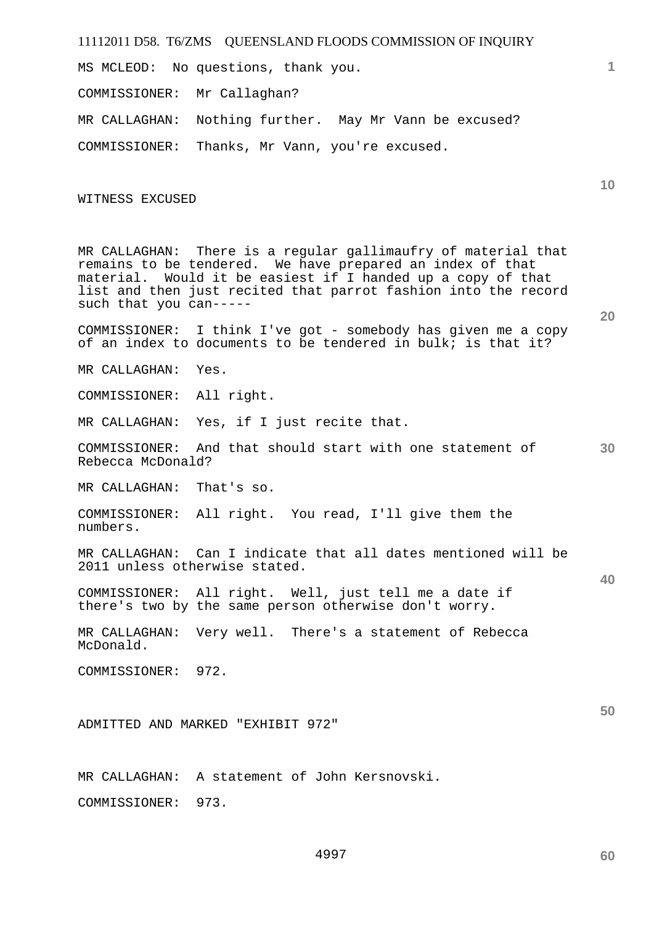MS MCLEOD: No questions, thank you.

COMMISSIONER: Mr Callaghan?

MR CALLAGHAN: Nothing further. May Mr Vann be excused?

COMMISSIONER: Thanks, Mr Vann, you're excused.

WITNESS EXCUSED

MR CALLAGHAN: There is a regular gallimaufry of material that remains to be tendered. We have prepared an index of that material. Would it be easiest if I handed up a copy of that list and then just recited that parrot fashion into the record such that you can-----

COMMISSIONER: I think I've got - somebody has given me a copy of an index to documents to be tendered in bulk; is that it?

MR CALLAGHAN: Yes.

COMMISSIONER: All right.

MR CALLAGHAN: Yes, if I just recite that.

COMMISSIONER: And that should start with one statement of Rebecca McDonald?

MR CALLAGHAN: That's so.

COMMISSIONER: All right. You read, I'll give them the numbers.

MR CALLAGHAN: Can I indicate that all dates mentioned will be 2011 unless otherwise stated.

COMMISSIONER: All right. Well, just tell me a date if there's two by the same person otherwise don't worry.

MR CALLAGHAN: Very well. There's a statement of Rebecca McDonald.

COMMISSIONER: 972.

ADMITTED AND MARKED "EXHIBIT 972"

MR CALLAGHAN: A statement of John Kersnovski.

COMMISSIONER: 973.

**50** 

# **20**

**10** 

**1**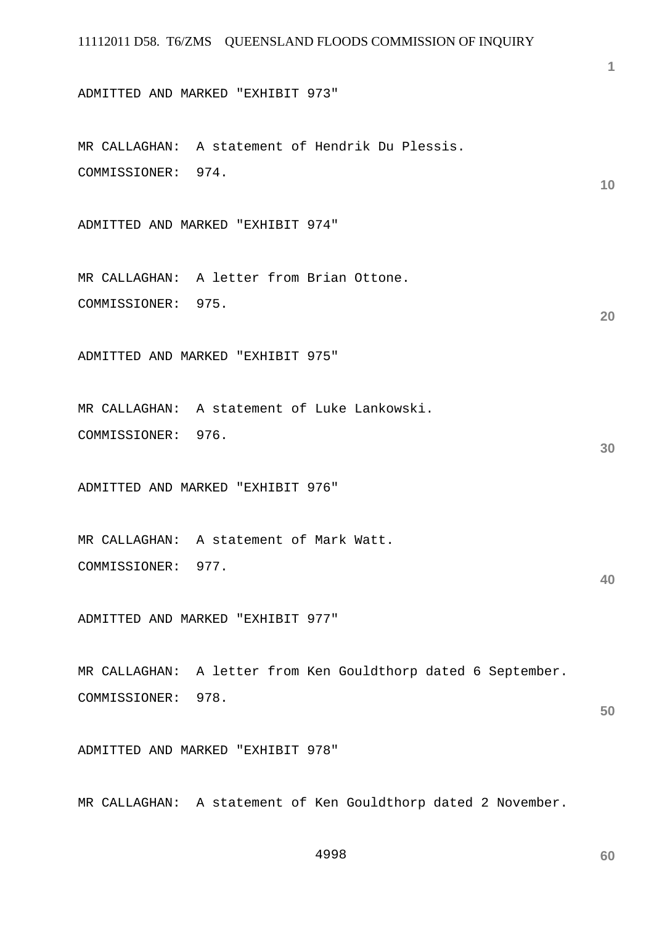ADMITTED AND MARKED "EXHIBIT 973"

MR CALLAGHAN: A statement of Hendrik Du Plessis. COMMISSIONER: 974.

ADMITTED AND MARKED "EXHIBIT 974"

MR CALLAGHAN: A letter from Brian Ottone. COMMISSIONER: 975.

ADMITTED AND MARKED "EXHIBIT 975"

MR CALLAGHAN: A statement of Luke Lankowski. COMMISSIONER: 976.

ADMITTED AND MARKED "EXHIBIT 976"

MR CALLAGHAN: A statement of Mark Watt. COMMISSIONER: 977.

ADMITTED AND MARKED "EXHIBIT 977"

MR CALLAGHAN: A letter from Ken Gouldthorp dated 6 September. COMMISSIONER: 978.

ADMITTED AND MARKED "EXHIBIT 978"

MR CALLAGHAN: A statement of Ken Gouldthorp dated 2 November.

4998

**60** 

**1**

**10** 

**20** 

**30** 

**40**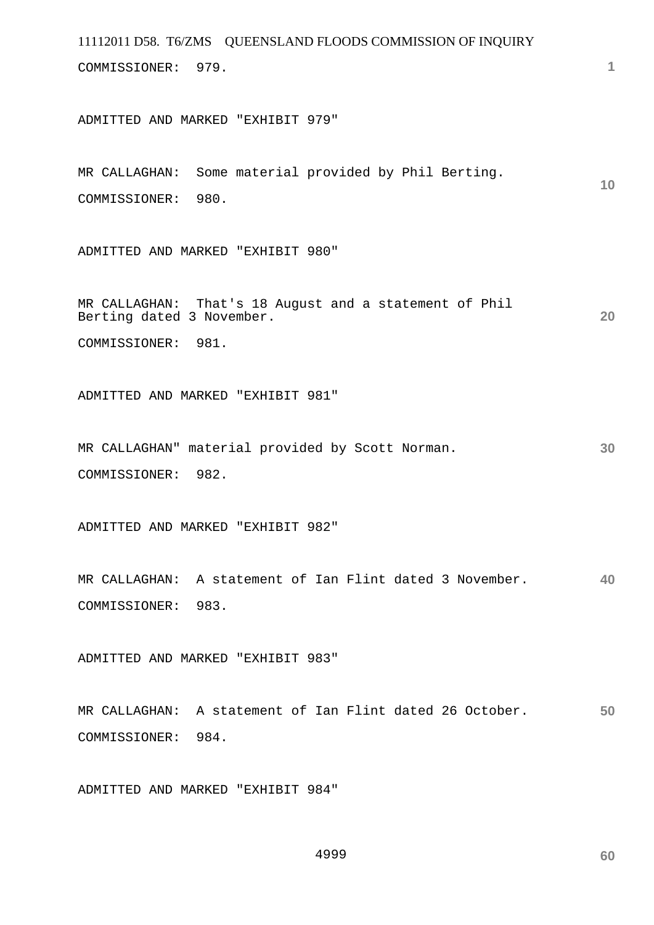11112011 D58. T6/ZMS QUEENSLAND FLOODS COMMISSION OF INQUIRY **1 10 20 30 40 50**  COMMISSIONER: 979. ADMITTED AND MARKED "EXHIBIT 979" MR CALLAGHAN: Some material provided by Phil Berting. COMMISSIONER: 980. ADMITTED AND MARKED "EXHIBIT 980" MR CALLAGHAN: That's 18 August and a statement of Phil Berting dated 3 November. COMMISSIONER: 981. ADMITTED AND MARKED "EXHIBIT 981" MR CALLAGHAN" material provided by Scott Norman. COMMISSIONER: 982. ADMITTED AND MARKED "EXHIBIT 982" MR CALLAGHAN: A statement of Ian Flint dated 3 November. COMMISSIONER: 983. ADMITTED AND MARKED "EXHIBIT 983" MR CALLAGHAN: A statement of Ian Flint dated 26 October. COMMISSIONER: 984.

ADMITTED AND MARKED "EXHIBIT 984"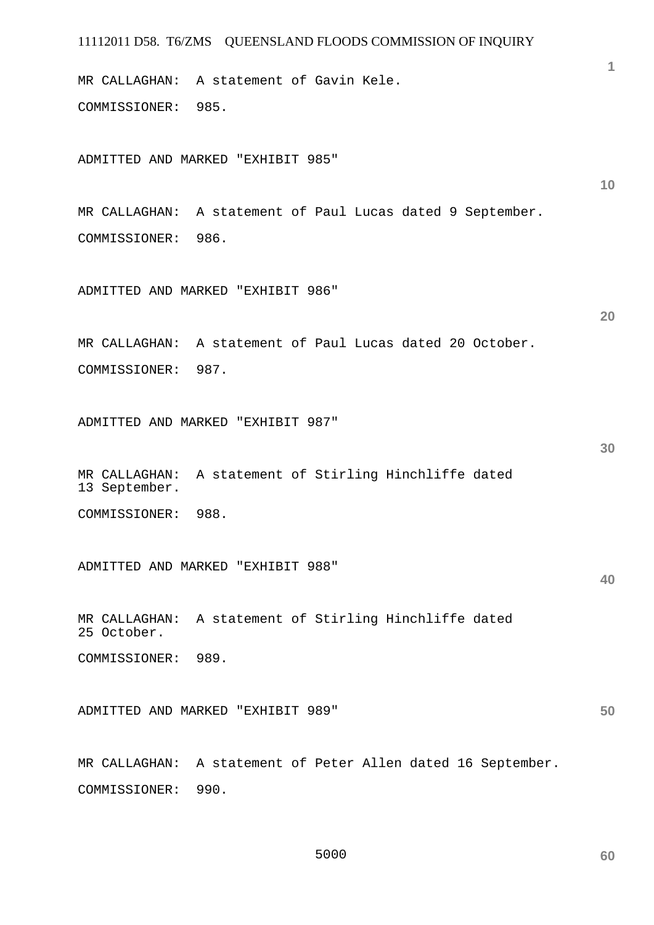MR CALLAGHAN: A statement of Gavin Kele. COMMISSIONER: 985.

ADMITTED AND MARKED "EXHIBIT 985"

MR CALLAGHAN: A statement of Paul Lucas dated 9 September. COMMISSIONER: 986.

ADMITTED AND MARKED "EXHIBIT 986"

MR CALLAGHAN: A statement of Paul Lucas dated 20 October. COMMISSIONER: 987.

ADMITTED AND MARKED "EXHIBIT 987"

MR CALLAGHAN: A statement of Stirling Hinchliffe dated 13 September.

COMMISSIONER: 988.

ADMITTED AND MARKED "EXHIBIT 988"

MR CALLAGHAN: A statement of Stirling Hinchliffe dated 25 October.

COMMISSIONER: 989.

**50**  ADMITTED AND MARKED "EXHIBIT 989"

MR CALLAGHAN: A statement of Peter Allen dated 16 September. COMMISSIONER: 990.

**1**

**10** 

**20** 

**30**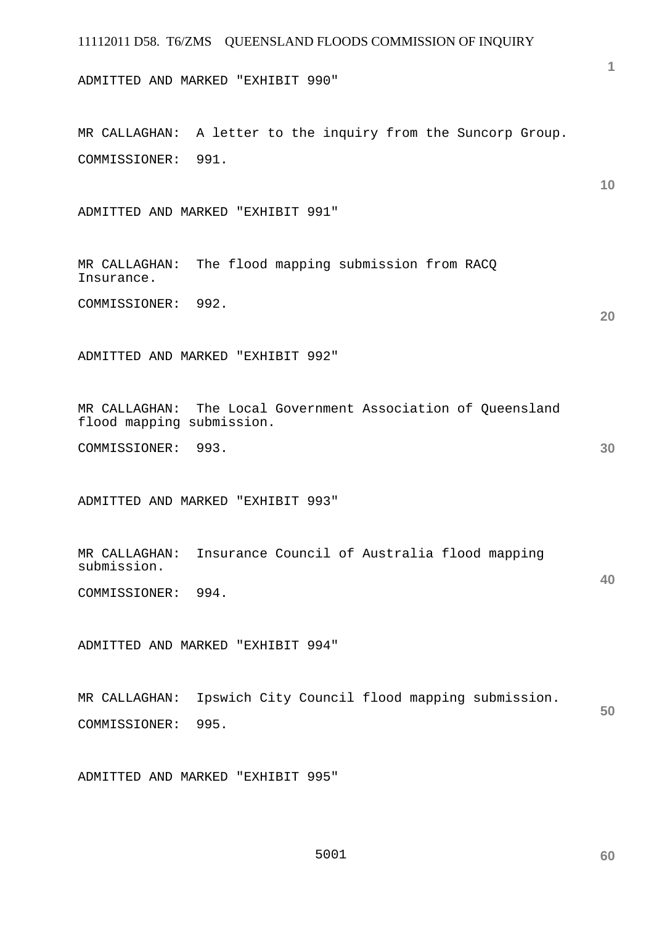# 11112011 D58. T6/ZMS QUEENSLAND FLOODS COMMISSION OF INQUIRY **1 10 20 30 40 50**  ADMITTED AND MARKED "EXHIBIT 990" MR CALLAGHAN: A letter to the inquiry from the Suncorp Group. COMMISSIONER: 991. ADMITTED AND MARKED "EXHIBIT 991" MR CALLAGHAN: The flood mapping submission from RACQ Insurance. COMMISSIONER: 992. ADMITTED AND MARKED "EXHIBIT 992" MR CALLAGHAN: The Local Government Association of Queensland flood mapping submission. COMMISSIONER: 993. ADMITTED AND MARKED "EXHIBIT 993" MR CALLAGHAN: Insurance Council of Australia flood mapping submission. COMMISSIONER: 994. ADMITTED AND MARKED "EXHIBIT 994" MR CALLAGHAN: Ipswich City Council flood mapping submission. COMMISSIONER: 995.

ADMITTED AND MARKED "EXHIBIT 995"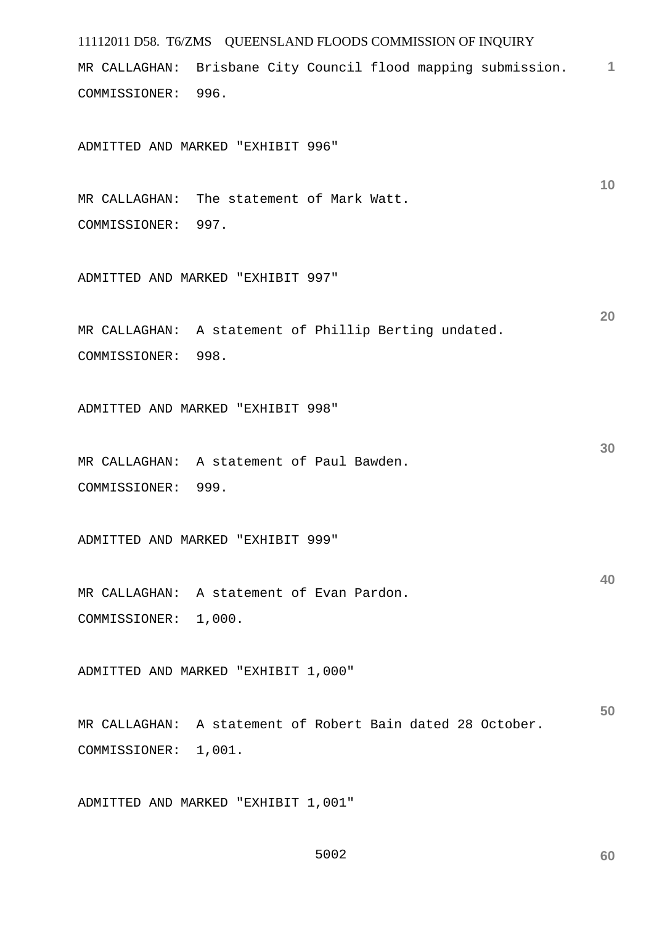11112011 D58. T6/ZMS QUEENSLAND FLOODS COMMISSION OF INQUIRY **1** MR CALLAGHAN: Brisbane City Council flood mapping submission. **10 20 30 40 50**  COMMISSIONER: 996. ADMITTED AND MARKED "EXHIBIT 996" MR CALLAGHAN: The statement of Mark Watt. COMMISSIONER: 997. ADMITTED AND MARKED "EXHIBIT 997" MR CALLAGHAN: A statement of Phillip Berting undated. COMMISSIONER: 998. ADMITTED AND MARKED "EXHIBIT 998" MR CALLAGHAN: A statement of Paul Bawden. COMMISSIONER: 999. ADMITTED AND MARKED "EXHIBIT 999" MR CALLAGHAN: A statement of Evan Pardon. COMMISSIONER: 1,000. ADMITTED AND MARKED "EXHIBIT 1,000" MR CALLAGHAN: A statement of Robert Bain dated 28 October. COMMISSIONER: 1,001.

ADMITTED AND MARKED "EXHIBIT 1,001"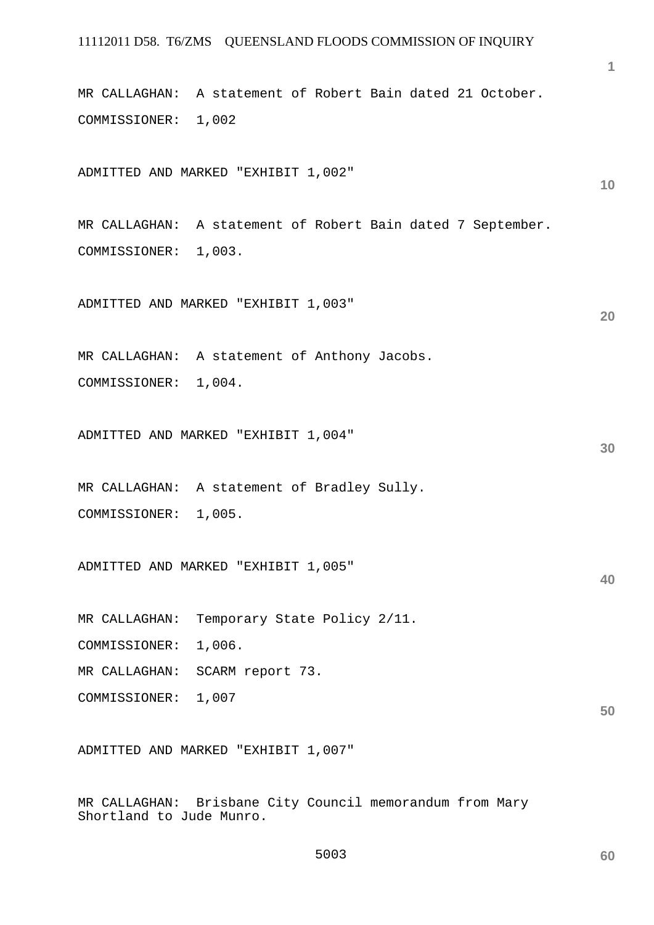MR CALLAGHAN: A statement of Robert Bain dated 21 October. COMMISSIONER: 1,002

ADMITTED AND MARKED "EXHIBIT 1,002"

MR CALLAGHAN: A statement of Robert Bain dated 7 September. COMMISSIONER: 1,003.

ADMITTED AND MARKED "EXHIBIT 1,003"

MR CALLAGHAN: A statement of Anthony Jacobs. COMMISSIONER: 1,004.

ADMITTED AND MARKED "EXHIBIT 1,004"

MR CALLAGHAN: A statement of Bradley Sully. COMMISSIONER: 1,005.

ADMITTED AND MARKED "EXHIBIT 1,005"

MR CALLAGHAN: Temporary State Policy 2/11.

COMMISSIONER: 1,006.

MR CALLAGHAN: SCARM report 73.

COMMISSIONER: 1,007

ADMITTED AND MARKED "EXHIBIT 1,007"

MR CALLAGHAN: Brisbane City Council memorandum from Mary Shortland to Jude Munro.

**60** 

**20** 

**10** 

**30** 

**40**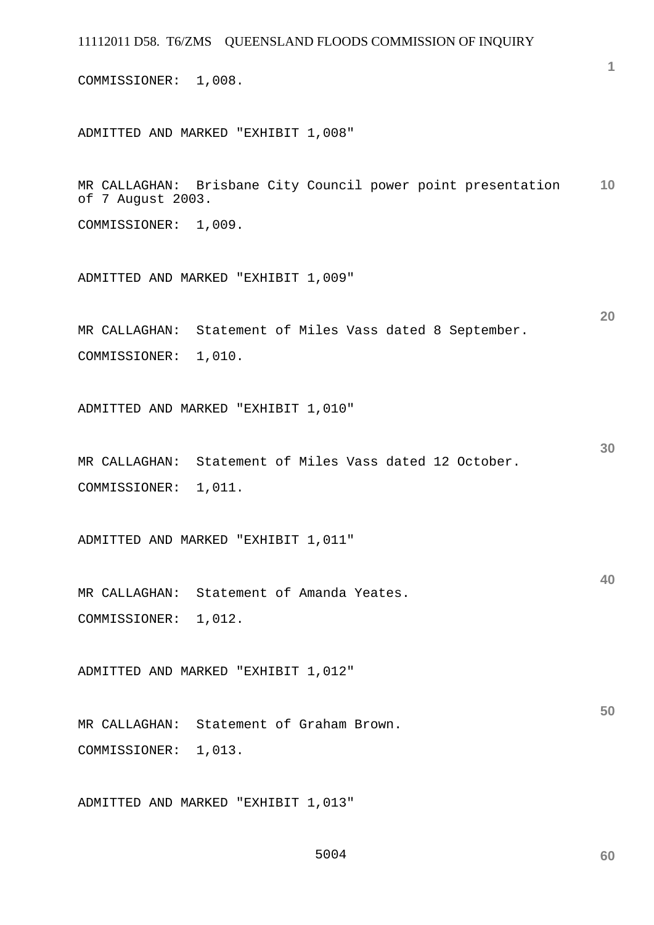COMMISSIONER: 1,008.

ADMITTED AND MARKED "EXHIBIT 1,008"

**10**  MR CALLAGHAN: Brisbane City Council power point presentation of 7 August 2003.

COMMISSIONER: 1,009.

ADMITTED AND MARKED "EXHIBIT 1,009"

MR CALLAGHAN: Statement of Miles Vass dated 8 September. COMMISSIONER: 1,010.

ADMITTED AND MARKED "EXHIBIT 1,010"

MR CALLAGHAN: Statement of Miles Vass dated 12 October. COMMISSIONER: 1,011.

ADMITTED AND MARKED "EXHIBIT 1,011"

MR CALLAGHAN: Statement of Amanda Yeates. COMMISSIONER: 1,012.

ADMITTED AND MARKED "EXHIBIT 1,012"

**50**  MR CALLAGHAN: Statement of Graham Brown. COMMISSIONER: 1,013.

ADMITTED AND MARKED "EXHIBIT 1,013"

**1**

**20** 

**30**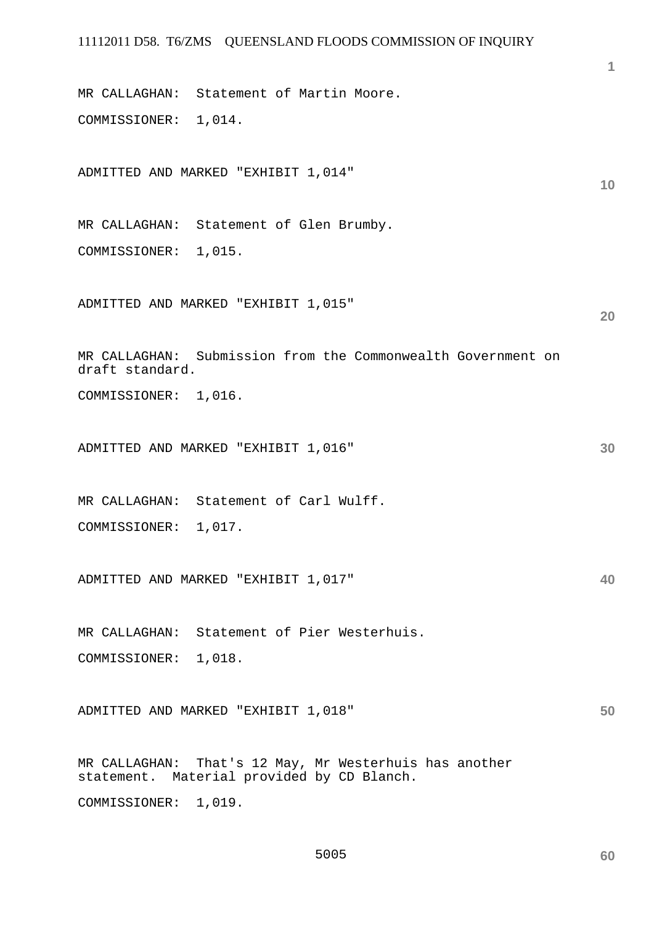MR CALLAGHAN: Statement of Martin Moore. COMMISSIONER: 1,014.

ADMITTED AND MARKED "EXHIBIT 1,014"

MR CALLAGHAN: Statement of Glen Brumby. COMMISSIONER: 1,015.

ADMITTED AND MARKED "EXHIBIT 1,015"

MR CALLAGHAN: Submission from the Commonwealth Government on draft standard.

COMMISSIONER: 1,016.

ADMITTED AND MARKED "EXHIBIT 1,016"

MR CALLAGHAN: Statement of Carl Wulff.

COMMISSIONER: 1,017.

ADMITTED AND MARKED "EXHIBIT 1,017"

MR CALLAGHAN: Statement of Pier Westerhuis. COMMISSIONER: 1,018.

**50**  ADMITTED AND MARKED "EXHIBIT 1,018"

MR CALLAGHAN: That's 12 May, Mr Westerhuis has another statement. Material provided by CD Blanch.

COMMISSIONER: 1,019.

**60** 

**1**

**10** 

**20** 

**30**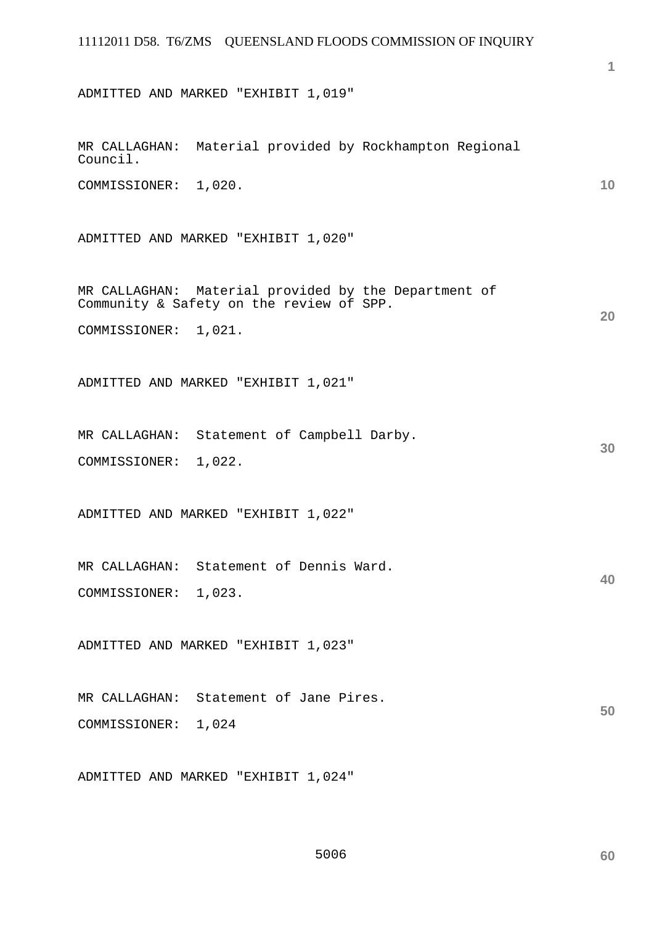ADMITTED AND MARKED "EXHIBIT 1,019"

**1**

**10** 

**20** 

**30** 

**40** 

| MR CALLAGHAN: Material provided by Rockhampton Regional<br>Council.                              |
|--------------------------------------------------------------------------------------------------|
| COMMISSIONER: 1,020.                                                                             |
| ADMITTED AND MARKED "EXHIBIT 1,020"                                                              |
| MR CALLAGHAN: Material provided by the Department of<br>Community & Safety on the review of SPP. |
| COMMISSIONER: 1,021.                                                                             |
| ADMITTED AND MARKED "EXHIBIT 1,021"                                                              |
| MR CALLAGHAN: Statement of Campbell Darby.                                                       |
| COMMISSIONER: 1,022.                                                                             |
| ADMITTED AND MARKED "EXHIBIT 1,022"                                                              |
| MR CALLAGHAN: Statement of Dennis Ward.                                                          |
| COMMISSIONER: 1,023.                                                                             |
| ADMITTED AND MARKED "EXHIBIT 1,023"                                                              |
| MR CALLAGHAN: Statement of Jane Pires.                                                           |
| COMMISSIONER: 1,024                                                                              |
| ADMITTED AND MARKED "EXHIBIT 1,024"                                                              |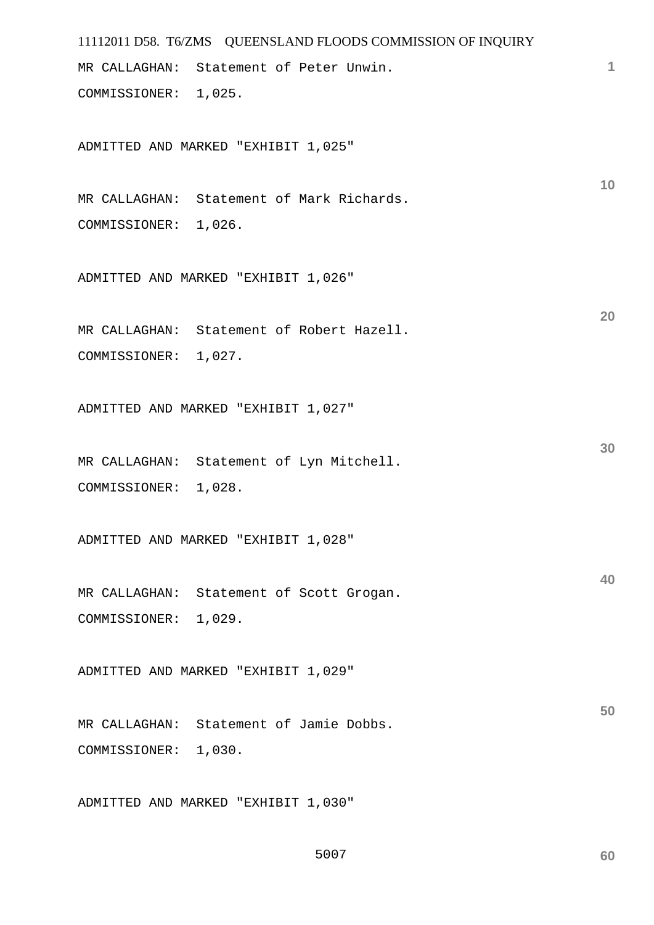```
11112011 D58. T6/ZMS QUEENSLAND FLOODS COMMISSION OF INQUIRY 
                                                                      1
                                                                     10 
                                                                     20 
                                                                     30 
                                                                     40 
                                                                     50 
MR CALLAGHAN: Statement of Peter Unwin. 
COMMISSIONER: 1,025. 
ADMITTED AND MARKED "EXHIBIT 1,025" 
MR CALLAGHAN: Statement of Mark Richards. 
COMMISSIONER: 1,026. 
ADMITTED AND MARKED "EXHIBIT 1,026" 
MR CALLAGHAN: Statement of Robert Hazell. 
COMMISSIONER: 1,027. 
ADMITTED AND MARKED "EXHIBIT 1,027" 
MR CALLAGHAN: Statement of Lyn Mitchell. 
COMMISSIONER: 1,028. 
ADMITTED AND MARKED "EXHIBIT 1,028" 
MR CALLAGHAN: Statement of Scott Grogan. 
COMMISSIONER: 1,029. 
ADMITTED AND MARKED "EXHIBIT 1,029" 
MR CALLAGHAN: Statement of Jamie Dobbs. 
COMMISSIONER: 1,030. 
ADMITTED AND MARKED "EXHIBIT 1,030"
```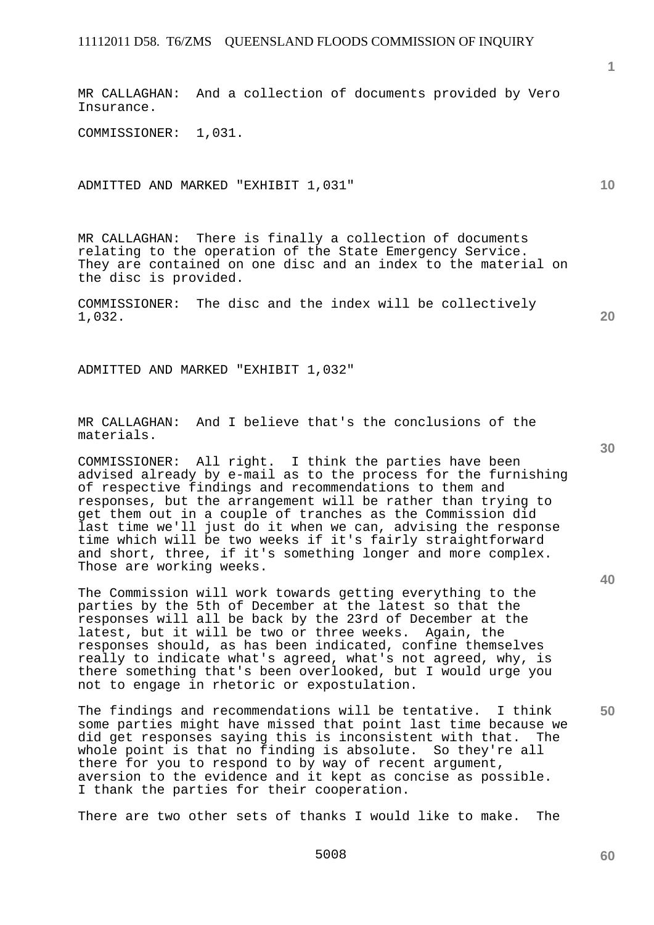MR CALLAGHAN: And a collection of documents provided by Vero Insurance.

COMMISSIONER: 1,031.

ADMITTED AND MARKED "EXHIBIT 1,031"

MR CALLAGHAN: There is finally a collection of documents relating to the operation of the State Emergency Service. They are contained on one disc and an index to the material on the disc is provided.

COMMISSIONER: The disc and the index will be collectively 1,032.

ADMITTED AND MARKED "EXHIBIT 1,032"

MR CALLAGHAN: And I believe that's the conclusions of the materials.

COMMISSIONER: All right. I think the parties have been advised already by e-mail as to the process for the furnishing of respective findings and recommendations to them and responses, but the arrangement will be rather than trying to get them out in a couple of tranches as the Commission did last time we'll just do it when we can, advising the response time which will be two weeks if it's fairly straightforward and short, three, if it's something longer and more complex. Those are working weeks.

The Commission will work towards getting everything to the parties by the 5th of December at the latest so that the responses will all be back by the 23rd of December at the latest, but it will be two or three weeks. Again, the responses should, as has been indicated, confine themselves really to indicate what's agreed, what's not agreed, why, is there something that's been overlooked, but I would urge you not to engage in rhetoric or expostulation.

The findings and recommendations will be tentative. I think some parties might have missed that point last time because we<br>did get responses saving this is inconsistent with that. The did get responses saying this is inconsistent with that. whole point is that no finding is absolute. So they're all there for you to respond to by way of recent argument, aversion to the evidence and it kept as concise as possible. I thank the parties for their cooperation.

There are two other sets of thanks I would like to make. The

**30** 

**50** 

**60** 

**10**